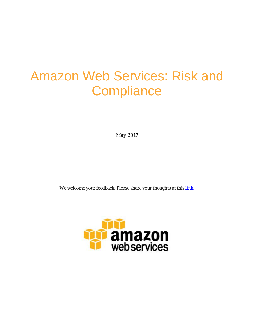# Amazon Web Services: Risk and **Compliance**

*May 2017*

We welcome your feedback. Please share your thoughts at this [link.](https://aws.au1.qualtrics.com/jfe/form/SV_50Sw0gh0CS4a2R7)

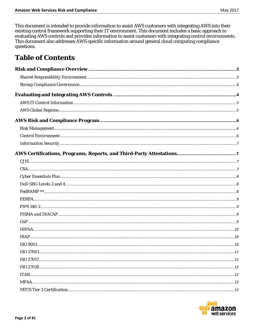This document is intended to provide information to assist AWS customers with integrating AWS into their existing control framework supporting their IT environment. This document includes a basic approach to evaluating AWS controls and provides information to assist customers with integrating control environments. This document also addresses AWS-specific information around general cloud computing compliance questions.

# **Table of Contents**

| ISO 27001 | $\dots 11$ |
|-----------|------------|
|           |            |
|           |            |
|           |            |
|           |            |
|           |            |

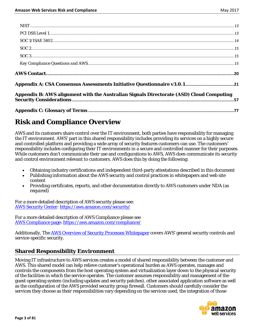| Appendix B: AWS alignment with the Australian Signals Directorate (ASD) Cloud Computing |  |
|-----------------------------------------------------------------------------------------|--|

# <span id="page-2-0"></span>**Risk and Compliance Overview**

AWS and its customers share control over the IT environment, both parties have responsibility for managing the IT environment. AWS' part in this shared responsibility includes providing its services on a highly secure and controlled platform and providing a wide array of security features customers can use. The customers' responsibility includes configuring their IT environments in a secure and controlled manner for their purposes. While customers don't communicate their use and configurations to AWS, AWS does communicate its security and control environment relevant to customers. AWS does this by doing the following:

- Obtaining industry certifications and independent third-party attestations described in this document
- Publishing information about the AWS security and control practices in whitepapers and web site content
- Providing certificates, reports, and other documentation directly to AWS customers under NDA (as required)

For a more detailed description of AWS security please see: [AWS Security Center: https://aws.amazon.com/security/](https://aws.amazon.com/security/)

For a more detailed description of AWS Compliance please see [AWS Compliance page: https://aws.amazon.com/compliance/](https://aws.amazon.com/compliance/)

Additionally, Th[e AWS Overview of Security Processes Whitepaper](https://d0.awsstatic.com/whitepapers/Security/AWS%20Security%20Whitepaper.pdf) covers AWS' general security controls and service-specific security.

## <span id="page-2-1"></span>**Shared Responsibility Environment**

Moving IT infrastructure to AWS services creates a model of shared responsibility between the customer and AWS. This shared model can help relieve customer's operational burden as AWS operates, manages and controls the components from the host operating system and virtualization layer down to the physical security of the facilities in which the service operates. The customer assumes responsibility and management of the guest operating system (including updates and security patches), other associated application software as well as the configuration of the AWS provided security group firewall. Customers should carefully consider the services they choose as their responsibilities vary depending on the services used, the integration of those

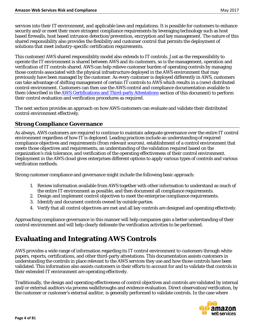services into their IT environment, and applicable laws and regulations. It is possible for customers to enhance security and/or meet their more stringent compliance requirements by leveraging technology such as host based firewalls, host based intrusion detection/prevention, encryption and key management. The nature of this shared responsibility also provides the flexibility and customer control that permits the deployment of solutions that meet industry-specific certification requirements.

This customer/AWS shared responsibility model also extends to IT controls. Just as the responsibility to operate the IT environment is shared between AWS and its customers, so is the management, operation and verification of IT controls shared. AWS can help relieve customer burden of operating controls by managing those controls associated with the physical infrastructure deployed in the AWS environment that may previously have been managed by the customer. As every customer is deployed differently in AWS, customers can take advantage of shifting management of certain IT controls to AWS which results in a (new) distributed control environment. Customers can then use the AWS control and compliance documentation available to them (described in the [AWS Certifications and Third-party Attestations](#page-6-1) section of this document) to perform their control evaluation and verification procedures as required.

The next section provides an approach on how AWS customers can evaluate and validate their distributed control environment effectively.

## <span id="page-3-0"></span>**Strong Compliance Governance**

As always, AWS customers are required to continue to maintain adequate governance over the entire IT control environment regardless of how IT is deployed. Leading practices include an understanding of required compliance objectives and requirements (from relevant sources), establishment of a control environment that meets those objectives and requirements, an understanding of the validation required based on the organization's risk tolerance, and verification of the operating effectiveness of their control environment. Deployment in the AWS cloud gives enterprises different options to apply various types of controls and various verification methods.

Strong customer compliance and governance might include the following basic approach:

- 1. Review information available from AWS together with other information to understand as much of the entire IT environment as possible, and then document all compliance requirements.
- 2. Design and implement control objectives to meet the enterprise compliance requirements.
- 3. Identify and document controls owned by outside parties.
- 4. Verify that all control objectives are met and all key controls are designed and operating effectively.

Approaching compliance governance in this manner will help companies gain a better understanding of their control environment and will help clearly delineate the verification activities to be performed.

# <span id="page-3-1"></span>**Evaluating and Integrating AWS Controls**

AWS provides a wide range of information regarding its IT control environment to customers through white papers, reports, certifications, and other third-party attestations. This documentation assists customers in understanding the controls in place relevant to the AWS services they use and how those controls have been validated. This information also assists customers in their efforts to account for and to validate that controls in their extended IT environment are operating effectively.

Traditionally, the design and operating effectiveness of control objectives and controls are validated by internal and/or external auditors via process walkthroughs and evidence evaluation. Direct observation/verification, by the customer or customer's external auditor, is generally performed to validate controls. In the case where

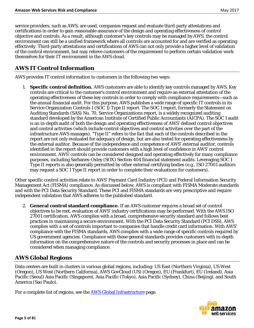service providers, such as AWS, are used, companies request and evaluate third-party attestations and certifications in order to gain reasonable assurance of the design and operating effectiveness of control objective and controls. As a result, although customer's key controls may be managed by AWS, the control environment can still be a unified framework where all controls are accounted for and are verified as operating effectively. Third-party attestations and certifications of AWS can not only provide a higher level of validation of the control environment, but may relieve customers of the requirement to perform certain validation work themselves for their IT environment in the AWS cloud.

## <span id="page-4-0"></span>**AWS IT Control Information**

AWS provides IT control information to customers in the following two ways:

1. **Specific control definition.** AWS customers are able to identify key controls managed by AWS. Key controls are critical to the customer's control environment and require an external attestation of the operating effectiveness of these key controls in order to comply with compliance requirements—such as the annual financial audit. For this purpose, AWS publishes a wide range of specific IT controls in its Service Organization Controls 1 (SOC 1) Type II report. The SOC 1 report, formerly the Statement on Auditing Standards (SAS) No. 70, Service Organizations report, is a widely recognized auditing standard developed by the American Institute of Certified Public Accountants (AICPA). The SOC 1 audit is an in-depth audit of both the design and operating effectiveness of AWS' defined control objectives and control activities (which include control objectives and control activities over the part of the infrastructure AWS manages). "Type II" refers to the fact that each of the controls described in the report are not only evaluated for adequacy of design, but are also tested for operating effectiveness by the external auditor. Because of the independence and competence of AWS' external auditor, controls identified in the report should provide customers with a high level of confidence in AWS' control environment. AWS' controls can be considered designed and operating effectively for many compliance purposes, including Sarbanes-Oxley (SOX) Section 404 financial statement audits. Leveraging SOC 1 Type II reports is also generally permitted by other external certifying bodies (e.g., ISO 27001 auditors may request a SOC 1 Type II report in order to complete their evaluations for customers).

Other specific control activities relate to AWS' Payment Card Industry (PCI) and Federal Information Security Management Act (FISMA) compliance. As discussed below, AWS is compliant with FISMA Moderate standards and with the PCI Data Security Standard. These PCI and FISMA standards are very prescriptive and require independent validation that AWS adheres to the published standard.

2. **General control standard compliance.** If an AWS customer requires a broad set of control objectives to be met, evaluation of AWS' industry certifications may be performed. With the AWS ISO 27001 certification, AWS complies with a broad, comprehensive security standard and follows best practices in maintaining a secure environment. With the PCI Data Security Standard (PCI DSS), AWS complies with a set of controls important to companies that handle credit card information. With AWS' compliance with the FISMA standards, AWS complies with a wide range of specific controls required by US government agencies. Compliance with these general standards provides customers with in-depth information on the comprehensive nature of the controls and security processes in place and can be considered when managing compliance.

## <span id="page-4-1"></span>**AWS Global Regions**

Data centers are built in clusters in various global regions, including: US East (Northern Virginia), US West (Oregon), US West (Northern California), AWS GovCloud (US) (Oregon), EU (Frankfurt), EU (Ireland), Asia Pacific (Seoul) Asia Pacific (Singapore), Asia Pacific (Tokyo), Asia Pacific (Sydney), China (Beijing), and South America (Sao Paulo).

For a complete list of regions, see the **AWS Global Infrastructure** page.

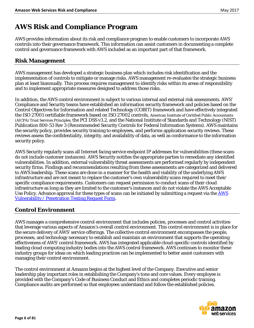# <span id="page-5-0"></span>**AWS Risk and Compliance Program**

AWS provides information about its risk and compliance program to enable customers to incorporate AWS controls into their governance framework. This information can assist customers in documenting a complete control and governance framework with AWS included as an important part of that framework.

## <span id="page-5-1"></span>**Risk Management**

AWS management has developed a strategic business plan which includes risk identification and the implementation of controls to mitigate or manage risks. AWS management re-evaluates the strategic business plan at least biannually. This process requires management to identify risks within its areas of responsibility and to implement appropriate measures designed to address those risks.

In addition, the AWS control environment is subject to various internal and external risk assessments. AWS' Compliance and Security teams have established an information security framework and policies based on the Control Objectives for Information and related Technology (COBIT) framework and have effectively integrated the ISO 27001 certifiable framework based on ISO 27002 controls, American Institute of Certified Public Accountants (AICPA) Trust Services Principles, the PCI DSS v3.2, and the National Institute of Standards and Technology (NIST) Publication 800-53 Rev 3 (Recommended Security Controls for Federal Information Systems). AWS maintains the security policy, provides security training to employees, and performs application security reviews. These reviews assess the confidentiality, integrity, and availability of data, as well as conformance to the information security policy.

AWS Security regularly scans all Internet facing service endpoint IP addresses for vulnerabilities (these scans do not include customer instances). AWS Security notifies the appropriate parties to remediate any identified vulnerabilities. In addition, external vulnerability threat assessments are performed regularly by independent security firms. Findings and recommendations resulting from these assessments are categorized and delivered to AWS leadership. These scans are done in a manner for the health and viability of the underlying AWS infrastructure and are not meant to replace the customer's own vulnerability scans required to meet their specific compliance requirements. Customers can request permission to conduct scans of their cloud infrastructure as long as they are limited to the customer's instances and do not violate the AWS Acceptable Use Policy. Advance approval for [the](mailto:aws-security@amazon.com)se types of scans can be initiated by submitting a request via the AWS [Vulnerability / Penetration Testing Request Form.](https://aws.amazon.com/forms/penetration-testing-request)

## <span id="page-5-2"></span>**Control Environment**

AWS manages a comprehensive control environment that includes policies, processes and control activities that leverage various aspects of Amazon's overall control environment. This control environment is in place for the secure delivery of AWS' service offerings. The collective control environment encompasses the people, processes, and technology necessary to establish and maintain an environment that supports the operating effectiveness of AWS' control framework. AWS has integrated applicable cloud-specific controls identified by leading cloud computing industry bodies into the AWS control framework. AWS continues to monitor these industry groups for ideas on which leading practices can be implemented to better assist customers with managing their control environment.

The control environment at Amazon begins at the highest level of the Company. Executive and senior leadership play important roles in establishing the Company's tone and core values. Every employee is provided with the Company's Code of Business Conduct and Ethics and completes periodic training. Compliance audits are performed so that employees understand and follow the established policies.

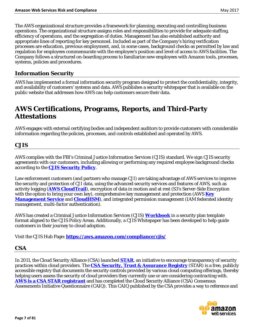The AWS organizational structure provides a framework for planning, executing and controlling business operations. The organizational structure assigns roles and responsibilities to provide for adequate staffing, efficiency of operations, and the segregation of duties. Management has also established authority and appropriate lines of reporting for key personnel. Included as part of the Company's hiring verification processes are education, previous employment, and, in some cases, background checks as permitted by law and regulation for employees commensurate with the employee's position and level of access to AWS facilities. The Company follows a structured on-boarding process to familiarize new employees with Amazon tools, processes, systems, policies and procedures.

#### <span id="page-6-0"></span>**Information Security**

AWS has implemented a formal information security program designed to protect the confidentiality, integrity, and availability of customers' systems and data. AWS publishes a security whitepaper that is available on the public website that addresses how AWS can help customers secure their data.

# <span id="page-6-1"></span>**AWS Certifications, Programs, Reports, and Third-Party Attestations**

AWS engages with external certifying bodies and independent auditors to provide customers with considerable information regarding the policies, processes, and controls established and operated by AWS.

#### <span id="page-6-2"></span>**CJIS**

AWS complies with the FBI's Criminal Justice Information Services (CJIS) standard. We sign CJIS security agreements with our customers, including allowing or performing any required employee background checks according to the **[CJIS Security Policy](https://www.fbi.gov/about-us/cjis/cjis-security-policy-resource-center/view)**.

Law enforcement customers (and partners who manage CJI) are taking advantage of AWS services to improve the security and protection of CJI data, using the advanced security services and features of AWS, such as activity logging (**[AWS CloudTrail](https://aws.amazon.com/cloudtrail/)**), encryption of data in motion and at rest (S3's Server-Side Encryption with the option to bring your own key), comprehensive key management and protection (AWS **[Key](https://aws.amazon.com/kms/)  [Management Service](https://aws.amazon.com/kms/)** and **[CloudHSM](https://aws.amazon.com/cloudhsm/)**), and integrated permission management (IAM federated identity management, multi-factor authentication).

AWS has created a Criminal Justice Information Services (CJIS) **[Workbook](https://d0.awsstatic.com/whitepapers/compliance/AWS_CJIS_Workbook.pdf)** in a security plan template format aligned to the CJIS Policy Areas. Additionally, a CJIS Whitepaper has been developed to help guide customers in their journey to cloud adoption.

Visit the CJIS Hub Page**:<https://aws.amazon.com/compliance/cjis/>**

#### <span id="page-6-3"></span>**CSA**

In 2011, the Cloud Security Alliance (CSA) launched **[STAR](https://cloudsecurityalliance.org/star/)**, an initiative to encourage transparency of security practices within cloud providers. The **[CSA Security, Trust & Assurance Registry](https://cloudsecurityalliance.org/star-registrant/amazon-aws/)** (STAR) is a free, publicly accessible registry that documents the security controls provided by various cloud computing offerings, thereby helping users assess the security of cloud providers they currently use or are considering contracting with. **[AWS is a CSA STAR registrant](https://cloudsecurityalliance.org/star-registrant/amazon-aws/)** and has completed the Cloud Security Alliance (CSA) Consensus Assessments Initiative Questionnaire (CAIQ). This CAIQ published by the CSA provides a way to reference and

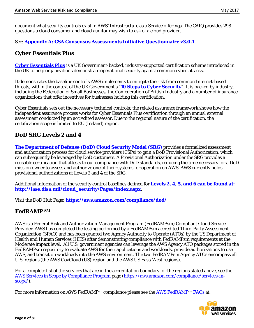document what security controls exist in AWS' Infrastructure as a Service offerings. The CAIQ provides 298 questions a cloud consumer and cloud auditor may wish to ask of a cloud provider.

#### See: **Appendix A: CSA Consensus Assessments Initiative Questionnaire v3.0.1**

#### <span id="page-7-0"></span>**Cyber Essentials Plus**

**[Cyber Essentials Plus](https://www.cyberstreetwise.com/cyberessentials/)** is a UK Government-backed, industry-supported certification scheme introduced in the UK to help organizations demonstrate operational security against common cyber-attacks.

It demonstrates the baseline controls AWS implements to mitigate the risk from common Internet-based threats, within the context of the UK Government's "**[10 Steps to Cyber Security](https://www.gov.uk/government/publications/cyber-risk-management-a-board-level-responsibility)**". It is backed by industry, including the Federation of Small Businesses, the Confederation of British Industry and a number of insurance organizations that offer incentives for businesses holding this certification.

Cyber Essentials sets out the necessary technical controls; the related assurance framework shows how the independent assurance process works for Cyber Essentials Plus certification through an annual external assessment conducted by an accredited assessor. Due to the regional nature of the certification, the certification scope is limited to EU (Ireland) region.

## <span id="page-7-1"></span>**DoD SRG Levels 2 and 4**

**[The Department of Defense \(DoD\) Cloud Security Model \(SRG\)](https://aws.amazon.com/compliance/dod/)** provides a formalized assessment and authorization process for cloud service providers (CSPs) to gain a DoD Provisional Authorization, which can subsequently be leveraged by DoD customers. A Provisional Authorization under the SRG provides a reusable certification that attests to our compliance with DoD standards, reducing the time necessary for a DoD mission owner to assess and authorize one of their systems for operation on AWS. AWS currently holds provisional authorizations at Levels 2 and 4 of the SRG.

Additional information of the security control baselines defined for **[Levels 2, 4, 5, and 6 can be found at:](http://iase.disa.mil/cloud_security/Pages/index.aspx)  [http://iase.disa.mil/cloud\\_security/Pages/index.aspx](http://iase.disa.mil/cloud_security/Pages/index.aspx)**.

Visit the DoD Hub Page**:<https://aws.amazon.com/compliance/dod/>**

#### <span id="page-7-2"></span>**FedRAMP SM**

AWS is a Federal Risk and Authorization Management Program (FedRAMPsm) Compliant Cloud Service Provider. AWS has completed the testing performed by a FedRAMPsm accredited Third-Party Assessment Organization (3PAO) and has been granted two Agency Authority to Operate (ATOs) by the US Department of Health and Human Services (HHS) after demonstrating compliance with FedRAMPsm requirements at the Moderate impact level. All U.S. government agencies can leverage the AWS Agency ATO packages stored in the FedRAMPsm repository to evaluate AWS for their applications and workloads, provide authorizations to use AWS, and transition workloads into the AWS environment. The two FedRAMPsm Agency ATOs encompass all U.S. regions (the AWS GovCloud (US) region and the AWS US East/West regions).

For a complete list of the services that are in the accreditation boundary for the regions stated above, see the [AWS Services in Scope by Compliance Program](https://aws.amazon.com/compliance/services-in-scope/) page [\(https://aws.amazon.com/compliance/services-in](https://aws.amazon.com/compliance/services-in-scope/)[scope/\)](https://aws.amazon.com/compliance/services-in-scope/).

For more information on AWS FedRAMP<sup>sm</sup> compliance please see the AWS FedRAMP<sup>sm</sup> FAQs at:

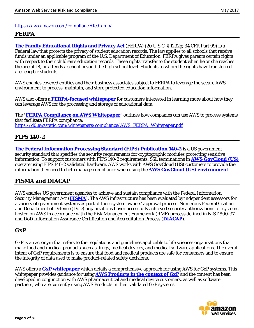#### <https://aws.amazon.com/compliance/fedramp/>

#### <span id="page-8-0"></span>**FERPA**

**[The Family Educational Rights and Privacy Act](http://www2.ed.gov/policy/gen/guid/fpco/ferpa/index.html)** (FERPA) (20 U.S.C. § 1232g; 34 CFR Part 99) is a Federal law that protects the privacy of student education records. The law applies to all schools that receive funds under an applicable program of the U.S. Department of Education. FERPA gives parents certain rights with respect to their children's education records. These rights transfer to the student when he or she reaches the age of 18, or attends a school beyond the high school level. Students to whom the rights have transferred are "eligible students."

AWS enables covered entities and their business associates subject to FERPA to leverage the secure AWS environment to process, maintain, and store protected education information.

AWS also offers a **[FERPA-focused whitepaper](https://d0.awsstatic.com/whitepapers/compliance/AWS_FERPA_Whitepaper.pdf)** for customers interested in learning more about how they can leverage AWS for the processing and storage of educational data.

The "**[FERPA Compliance on AWS Whitepaper](https://d0.awsstatic.com/whitepapers/compliance/AWS_FERPA_Whitepaper.pdf)**" outlines how companies can use AWS to process systems that facilitate FERPA compliance: [https://d0.awsstatic.com/whitepapers/compliance/AWS\\_FERPA\\_Whitepaper.pdf](https://d0.awsstatic.com/whitepapers/compliance/AWS_FERPA_Whitepaper.pdf)

#### <span id="page-8-1"></span>**FIPS 140-2**

**[The Federal Information Processing Standard \(FIPS\) Publication 140-2](http://csrc.nist.gov/publications/fips/fips140-2/fips1402.pdf)** is a US government security standard that specifies the security requirements for cryptographic modules protecting sensitive information. To support customers with FIPS 140-2 requirements, SSL terminations in **[AWS GovCloud \(US\)](http://aws.amazon.com/govcloud-us/)** operate using FIPS 140-2 validated hardware. AWS works with AWS GovCloud (US) customers to provide the information they need to help manage compliance when using the **[AWS GovCloud \(US\) environment](http://aws.amazon.com/govcloud-us/)**.

## <span id="page-8-2"></span>**FISMA and DIACAP**

AWS enables US government agencies to achieve and sustain compliance with the Federal Information Security Management Act (**[FISMA](http://www.dhs.gov/federal-information-security-management-act-fisma)**). The AWS infrastructure has been evaluated by independent assessors for a variety of government systems as part of their system owners' approval process. Numerous Federal Civilian and Department of Defense (DoD) organizations have successfully achieved security authorizations for systems hosted on AWS in accordance with the Risk Management Framework (RMF) process defined in NIST 800-37 and DoD Information Assurance Certification and Accreditation Process (**[DIACAP](http://en.wikipedia.org/wiki/Department_of_Defense_Information_Assurance_Certification_and_Accreditation_Process)**).

#### <span id="page-8-3"></span>**GxP**

GxP is an acronym that refers to the regulations and guidelines applicable to life sciences organizations that make food and medical products such as drugs, medical devices, and medical software applications. The overall intent of GxP requirements is to ensure that food and medical products are safe for consumers and to ensure the integrity of data used to make product-related safety decisions.

AWS offers a **[GxP whitepaper](https://d0.awsstatic.com/whitepapers/compliance/Using_AWS_in_GxP_Systems.pdf)** which details a comprehensive approach for using AWS for GxP systems. This whitepaper provides guidance for using **[AWS Products in the context of GxP](https://d0.awsstatic.com/whitepapers/compliance/Using_AWS_in_GxP_Systems.pdf)** and the content has been developed in conjunction with AWS pharmaceutical and medical device customers, as well as software partners, who are currently using AWS Products in their validated GxP systems.

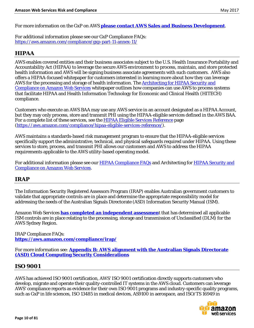For more information on the GxP on AWS **[please contact AWS Sales and Business Development](https://aws.amazon.com/compliance/contact/)**.

For additional information please see our GxP Compliance FAQs: <https://aws.amazon.com/compliance/gxp-part-11-annex-11/>

## <span id="page-9-0"></span>**HIPAA**

AWS enables covered entities and their business associates subject to the U.S. Health Insurance Portability and Accountability Act (HIPAA) to leverage the secure AWS environment to process, maintain, and store protected health information and AWS will be signing business associate agreements with such customers. AWS also offers a HIPAA-focused whitepaper for customers interested in learning more about how they can leverage AWS for the processing and storage of health information. The [Architecting for HIPAA Security and](https://d0.awsstatic.com/whitepapers/compliance/AWS_HIPAA_Compliance_Whitepaper.pdf)  [Compliance on Amazon Web Services](https://d0.awsstatic.com/whitepapers/compliance/AWS_HIPAA_Compliance_Whitepaper.pdf) whitepaper outlines how companies can use AWS to process systems that facilitate HIPAA and Health Information Technology for Economic and Clinical Health (HITECH) compliance.

Customers who execute an AWS BAA may use any AWS service in an account designated as a HIPAA Account, but they may only process, store and transmit PHI using the HIPAA-eligible services defined in the AWS BAA. For a complete list of these services, see the [HIPAA Eligible Services Reference](https://aws.amazon.com/compliance/hipaa-eligible-services-reference/) page [\(https://aws.amazon.com/compliance/hipaa-eligible-services-reference/\)](https://aws.amazon.com/compliance/hipaa-eligible-services-reference/).

AWS maintains a standards-based risk management program to ensure that the HIPAA-eligible services specifically support the administrative, technical, and physical safeguards required under HIPAA. Using these services to store, process, and transmit PHI allows our customers and AWS to address the HIPAA requirements applicable to the AWS utility-based operating model.

For additional information please see our [HIPAA Compliance FAQs](https://aws.amazon.com/compliance/hipaa-compliance/) and Architecting for [HIPAA Security and](https://d0.awsstatic.com/whitepapers/compliance/AWS_HIPAA_Compliance_Whitepaper.pdf)  [Compliance on Amazon Web Services.](https://d0.awsstatic.com/whitepapers/compliance/AWS_HIPAA_Compliance_Whitepaper.pdf)

## <span id="page-9-1"></span>**IRAP**

The Information Security Registered Assessors Program (IRAP) enables Australian government customers to validate that appropriate controls are in place and determine the appropriate responsibility model for addressing the needs of the Australian Signals Directorate (ASD) Information Security Manual (ISM).

Amazon Web Services **[has completed an independent assessmen](https://aws.amazon.com/compliance/aws-irap-information-security-registered-assessors-program-australia/)**t that has determined all applicable ISM controls are in place relating to the processing, storage and transmission of Unclassified (DLM) for the AWS Sydney Region.

IRAP Compliance FAQs: **<https://aws.amazon.com/compliance/irap/>**

For more information see: **Appendix B: AWS alignment with the Australian Signals Directorate (ASD) Cloud Computing Security Considerations**

#### <span id="page-9-2"></span>**ISO 9001**

AWS has achieved ISO 9001 certification, AWS' ISO 9001 certification directly supports customers who develop, migrate and operate their quality-controlled IT systems in the AWS cloud. Customers can leverage AWS' compliance reports as evidence for their own ISO 9001 programs and industry-specific quality programs, such as GxP in life sciences, ISO 13485 in medical devices, AS9100 in aerospace, and ISO/TS 16949 in

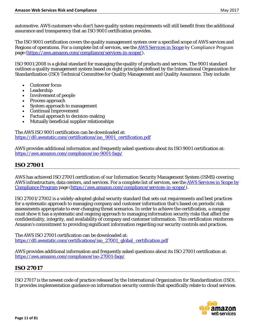automotive. AWS customers who don't have quality system requirements will still benefit from the additional assurance and transparency that an ISO 9001 certification provides.

The ISO 9001 certification covers the quality management system over a specified scope of AWS services and Regions of operations. For a complete list of services, see the **AWS Services in Scope** [by Compliance Program](https://aws.amazon.com/compliance/services-in-scope/) page [\(https://aws.amazon.com/compliance/services-in-scope/\)](https://aws.amazon.com/compliance/services-in-scope/).

ISO 9001:2008 is a global standard for managing the quality of products and services. The 9001 standard outlines a quality management system based on eight principles defined by the International Organization for Standardization (ISO) Technical Committee for Quality Management and Quality Assurance. They include:

- Customer focus
- **Leadership**
- Involvement of people
- Process approach
- System approach to management
- Continual Improvement
- Factual approach to decision-making
- Mutually beneficial supplier relationships

The AWS ISO 9001 certification can be downloaded at: [https://d0.awsstatic.com/certifications/iso\\_9001\\_certification.pdf](https://d0.awsstatic.com/certifications/iso_9001_certification.pdf)

AWS provides additional information and frequently asked questions about its ISO 9001 certification at: <https://aws.amazon.com/compliance/iso-9001-faqs/>

## <span id="page-10-0"></span>**ISO 27001**

AWS has achieved ISO 27001 certification of our Information Security Management System (ISMS) covering AWS infrastructure, data centers, and services. For a complete list of services, see th[e AWS Services in Scope by](https://aws.amazon.com/compliance/services-in-scope/)  [Compliance Program](https://aws.amazon.com/compliance/services-in-scope/) page [\(https://aws.amazon.com/compliance/services-in-scope/\)](https://aws.amazon.com/compliance/services-in-scope/).

ISO 27001/27002 is a widely-adopted global security standard that sets out requirements and best practices for a systematic approach to managing company and customer information that's based on periodic risk assessments appropriate to ever-changing threat scenarios. In order to achieve the certification, a company must show it has a systematic and ongoing approach to managing information security risks that affect the confidentiality, integrity, and availability of company and customer information. This certification reinforces Amazon's commitment to providing significant information regarding our security controls and practices.

The AWS ISO 27001 certification can be downloaded at: [https://d0.awsstatic.com/certifications/iso\\_27001\\_global\\_certification.pdf](https://d0.awsstatic.com/certifications/iso_27001_global_certification.pdf)

AWS provides additional information and frequently asked questions about its ISO 27001 certification at: <https://aws.amazon.com/compliance/iso-27001-faqs/>

## <span id="page-10-1"></span>**ISO 27017**

ISO 27017 is the newest code of practice released by the International Organization for Standardization (ISO). It provides implementation guidance on information security controls that specifically relate to cloud services.

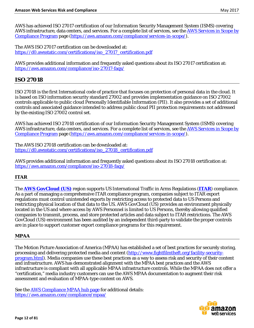AWS has achieved ISO 27017 certification of our Information Security Management System (ISMS) covering AWS infrastructure, data centers, and services. For a complete list of services, see the AWS Services in Scope by [Compliance Program](https://aws.amazon.com/compliance/services-in-scope/) page [\(https://aws.amazon.com/compliance/services-in-scope/\)](https://aws.amazon.com/compliance/services-in-scope/).

The AWS ISO 27017 certification can be downloaded at: [https://d0.awsstatic.com/certifications/iso\\_27017\\_certification.pdf](https://d0.awsstatic.com/certifications/iso_27017_certification.pdf)

AWS provides additional information and frequently asked questions about its ISO 27017 certification at: <https://aws.amazon.com/compliance/iso-27017-faqs/>

#### <span id="page-11-0"></span>**ISO 27018**

ISO 27018 is the first International code of practice that focuses on protection of personal data in the cloud. It is based on ISO information security standard 27002 and provides implementation guidance on ISO 27002 controls applicable to public cloud Personally Identifiable Information (PII). It also provides a set of additional controls and associated guidance intended to address public cloud PII protection requirements not addressed by the existing ISO 27002 control set.

AWS has achieved ISO 27018 certification of our Information Security Management System (ISMS) covering AWS infrastructure, data centers, and services. For a complete list of services, see th[e AWS Services in Scope by](https://aws.amazon.com/compliance/services-in-scope/)  [Compliance Program](https://aws.amazon.com/compliance/services-in-scope/) page [\(https://aws.amazon.com/compliance/services-in-scope/\)](https://aws.amazon.com/compliance/services-in-scope/).

The AWS ISO 27018 certification can be downloaded at: [https://d0.awsstatic.com/certifications/iso\\_27018\\_certification.pdf](https://d0.awsstatic.com/certifications/iso_27018_certification.pdf)

AWS provides additional information and frequently asked questions about its ISO 27018 certification at: <https://aws.amazon.com/compliance/iso-27018-faqs/>

#### <span id="page-11-1"></span>**ITAR**

The **[AWS GovCloud \(US\)](http://aws.amazon.com/govcloud-us/)** region supports US International Traffic in Arms Regulations (**[ITAR](http://en.wikipedia.org/wiki/International_Traffic_in_Arms_Regulations)**) compliance. As a part of managing a comprehensive ITAR compliance program, companies subject to ITAR export regulations must control unintended exports by restricting access to protected data to US Persons and restricting physical location of that data to the US. AWS GovCloud (US) provides an environment physically located in the US and where access by AWS Personnel is limited to US Persons, thereby allowing qualified companies to transmit, process, and store protected articles and data subject to ITAR restrictions. The AWS GovCloud (US) environment has been audited by an independent third-party to validate the proper controls are in place to support customer export compliance programs for this requirement.

#### <span id="page-11-2"></span>**MPAA**

The Motion Picture Association of America (MPAA) has established a set of best practices for securely storing, processing and delivering protected media and content [\(http://www.fightfilmtheft.org/facility-security](http://www.fightfilmtheft.org/facility-security-program.html)[program.html\)](http://www.fightfilmtheft.org/facility-security-program.html). Media companies use these best practices as a way to assess risk and security of their content and infrastructure. AWS has demonstrated alignment with the MPAA best practices and the AWS infrastructure is compliant with all applicable MPAA infrastructure controls. While the MPAA does not offer a "certification," media industry customers can use the AWS MPAA documentation to augment their risk assessment and evaluation of MPAA-type content on AWS.

See th[e AWS Compliance MPAA hub page](https://aws.amazon.com/compliance/mpaa/) for additional details: <https://aws.amazon.com/compliance/mpaa/>

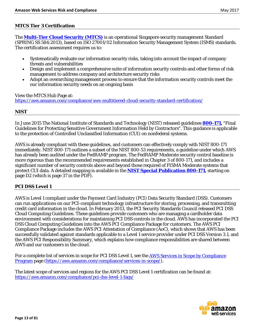#### <span id="page-12-0"></span>**MTCS Tier 3 Certification**

The **[Multi-Tier Cloud Security \(MTCS\)](https://aws.amazon.com/compliance/aws-multitiered-cloud-security-standard-certification/)** is an operational Singapore security management Standard (SPRING SS 584:2013), based on ISO 27001/02 Information Security Management System (ISMS) standards. The certification assessment requires us to:

- Systematically evaluate our information security risks, taking into account the impact of company threats and vulnerabilities
- Design and implement a comprehensive suite of information security controls and other forms of risk management to address company and architecture security risks
- Adopt an overarching management process to ensure that the information security controls meet the our information security needs on an ongoing basis

View the MTCS Hub Page at: <https://aws.amazon.com/compliance/aws-multitiered-cloud-security-standard-certification/>

#### <span id="page-12-1"></span>**NIST**

In June 2015 The National Institute of Standards and Technology (NIST) released guidelines **[800-171,](http://www.nist.gov/itl/csd/20150618_sp800-171.cfm)** "Final Guidelines for Protecting Sensitive Government Information Held by Contractors". This guidance is applicable to the protection of Controlled Unclassified Information (CUI) on nonfederal systems.

AWS is already compliant with these guidelines, and customers can effectively comply with NIST 800-171 immediately. NIST 800-171 outlines a subset of the NIST 800-53 requirements, a guideline under which AWS has already been audited under the FedRAMP program. The FedRAMP Moderate security control baseline is more rigorous than the recommended requirements established in Chapter 3 of 800-171, and includes a significant number of security controls above and beyond those required of FISMA Moderate systems that protect CUI data. A detailed mapping is available in the **[NIST Special Publication 800-171,](http://nvlpubs.nist.gov/nistpubs/SpecialPublications/NIST.SP.800-171.pdf)** starting on page D2 (which is page 37 in the PDF).

#### <span id="page-12-2"></span>**PCI DSS Level 1**

AWS is Level 1 compliant under the Payment Card Industry (PCI) Data Security Standard (DSS). Customers can run applications on our PCI-compliant technology infrastructure for storing, processing, and transmitting credit card information in the cloud. In February 2013, the PCI Security Standards Council release[d PCI DSS](https://www.pcisecuritystandards.org/pdfs/PCI_DSS_v2_Cloud_Guidelines.pdf)  [Cloud Computing Guidelines.](https://www.pcisecuritystandards.org/pdfs/PCI_DSS_v2_Cloud_Guidelines.pdf) These guidelines provide customers who are managing a cardholder data environment with considerations for maintaining PCI DSS controls in the cloud. AWS has incorporated the PCI DSS Cloud Computing Guidelines into the AWS PCI Compliance Package for customers. The AWS PCI Compliance Package includes the AWS PCI Attestation of Compliance (AoC), which shows that AWS has been successfully validated against standards applicable to a Level 1 service provider under PCI DSS Version 3.1, and the AWS PCI Responsibility Summary, which explains how compliance responsibilities are shared between AWS and our customers in the cloud.

For a complete list of services in scope for PCI DSS Level 1, see the AWS Services in Scope by Compliance [Program](https://aws.amazon.com/compliance/services-in-scope/) page [\(https://aws.amazon.com/compliance/services-in-scope/\)](https://aws.amazon.com/compliance/services-in-scope/).

The latest scope of services and regions for the AWS PCI DSS Level 1 certification can be found at: <https://aws.amazon.com/compliance/pci-dss-level-1-faqs/>

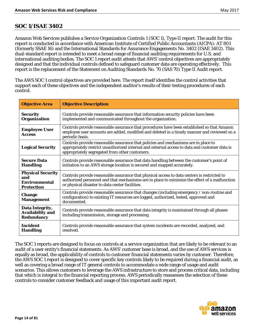#### <span id="page-13-0"></span>**SOC 1/ISAE 3402**

Amazon Web Services publishes a Service Organization Controls 1 (SOC 1), Type II report. The audit for this report is conducted in accordance with American Institute of Certified Public Accountants (AICPA): AT 801 (formerly SSAE 16) and the International Standards for Assurance Engagements No. 3402 (ISAE 3402). This dual-standard report is intended to meet a broad range of financial auditing requirements for U.S. and international auditing bodies. The SOC 1 report audit attests that AWS' control objectives are appropriately designed and that the individual controls defined to safeguard customer data are operating effectively. This report is the replacement of the Statement on Auditing Standards No. 70 (SAS 70) Type II Audit report.

The AWS SOC 1 control objectives are provided here. The report itself identifies the control activities that support each of these objectives and the independent auditor's results of their testing procedures of each control.

| <b>Objective Area</b>                                                        | <b>Objective Description</b>                                                                                                                                                                                                                    |  |
|------------------------------------------------------------------------------|-------------------------------------------------------------------------------------------------------------------------------------------------------------------------------------------------------------------------------------------------|--|
| <b>Security</b><br><b>Organization</b>                                       | Controls provide reasonable assurance that information security policies have been<br>implemented and communicated throughout the organization.                                                                                                 |  |
| <b>Employee User</b><br><b>Access</b>                                        | Controls provide reasonable assurance that procedures have been established so that Amazon<br>employee user accounts are added, modified and deleted in a timely manner and reviewed on a<br>periodic basis.                                    |  |
| <b>Logical Security</b>                                                      | Controls provide reasonable assurance that policies and mechanisms are in place to<br>appropriately restrict unauthorized internal and external access to data and customer data is<br>appropriately segregated from other customers.           |  |
| <b>Secure Data</b><br><b>Handling</b>                                        | Controls provide reasonable assurance that data handling between the customer's point of<br>initiation to an AWS storage location is secured and mapped accurately.                                                                             |  |
| <b>Physical Security</b><br>and<br><b>Environmental</b><br><b>Protection</b> | Controls provide reasonable assurance that physical access to data centers is restricted to<br>authorized personnel and that mechanisms are in place to minimize the effect of a malfunction<br>or physical disaster to data center facilities. |  |
| <b>Change</b><br><b>Management</b>                                           | Controls provide reasonable assurance that changes (including emergency / non-routine and<br>configuration) to existing IT resources are logged, authorized, tested, approved and<br>documented.                                                |  |
| Data Integrity,<br><b>Availability and</b><br>Redundancy                     | Controls provide reasonable assurance that data integrity is maintained through all phases<br>including transmission, storage and processing.                                                                                                   |  |
| <b>Incident</b><br><b>Handling</b>                                           | Controls provide reasonable assurance that system incidents are recorded, analyzed, and<br>resolved.                                                                                                                                            |  |

The SOC 1 reports are designed to focus on controls at a service organization that are likely to be relevant to an audit of a user entity's financial statements. As AWS' customer base is broad, and the use of AWS services is equally as broad, the applicability of controls to customer financial statements varies by customer. Therefore, the AWS SOC 1 report is designed to cover specific key controls likely to be required during a financial audit, as well as covering a broad range of IT general controls to accommodate a wide range of usage and audit scenarios. This allows customers to leverage the AWS infrastructure to store and process critical data, including that which is integral to the financial reporting process. AWS periodically reassesses the selection of these controls to consider customer feedback and usage of this important audit report.

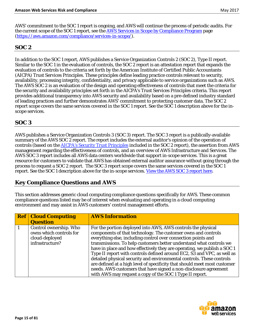AWS' commitment to the SOC 1 report is ongoing, and AWS will continue the process of periodic audits. For the current scope of the SOC 1 report, see th[e AWS Services in Scope by Compliance Program](https://aws.amazon.com/compliance/services-in-scope/) page [\(https://aws.amazon.com/compliance/services-in-scope/\)](https://aws.amazon.com/compliance/services-in-scope/).

## <span id="page-14-0"></span>**SOC 2**

In addition to the SOC 1 report, AWS publishes a Service Organization Controls 2 (SOC 2), Type II report. Similar to the SOC 1 in the evaluation of controls, the SOC 2 report is an attestation report that expands the evaluation of controls to the criteria set forth by the American Institute of Certified Public Accountants (AICPA) Trust Services Principles. These principles define leading practice controls relevant to security, availability, processing integrity, confidentiality, and privacy applicable to service organizations such as AWS. The AWS SOC 2 is an evaluation of the design and operating effectiveness of controls that meet the criteria for the security and availability principles set forth in the AICPA's Trust Services Principles criteria. This report provides additional transparency into AWS security and availability based on a pre-defined industry standard of leading practices and further demonstrates AWS' commitment to protecting customer data. The SOC 2 report scope covers the same services covered in the SOC 1 report. See the SOC 1 description above for the inscope services.

## <span id="page-14-1"></span>**SOC 3**

AWS publishes a [Service Organization Controls 3 \(SOC 3\) report.](http://www.aicpa.org/InterestAreas/FRC/AssuranceAdvisoryServices/Pages/AICPASOC3Report.aspx) The SOC 3 report is a publically-available summary of the AWS SOC 2 report. The report includes the external auditor's opinion of the operation of controls (based on the [AICPA's Security Trust Principles](https://cert.webtrust.org/pdfs/Trust_Services_PC_latest.pdf) included in the SOC 2 report), the assertion from AWS management regarding the effectiveness of controls, and an overview of AWS Infrastructure and Services. The AWS SOC 3 report includes all AWS data centers worldwide that support in-scope services. This is a great resource for customers to validate that AWS has obtained external auditor assurance without going through the process to request a SOC 2 report. The SOC 3 report scope covers the same services covered in the SOC 1 report. See the SOC 1 description above for the in-scope services. [View the AWS SOC 3 report here.](https://d0.awsstatic.com/whitepapers/compliance/soc3_amazon_web_services.pdf)

## <span id="page-14-2"></span>**Key Compliance Questions and AWS**

This section addresses generic cloud computing compliance questions specifically for AWS. These common compliance questions listed may be of interest when evaluating and operating in a cloud computing environment and may assist in AWS customers' control management efforts.

| <b>Ref   Cloud Computing</b> | <b>AWS Information</b>                                                    |
|------------------------------|---------------------------------------------------------------------------|
| <b>Question</b>              |                                                                           |
| Control ownership. Who       | For the portion deployed into AWS, AWS controls the physical              |
| owns which controls for      | components of that technology. The customer owns and controls             |
| cloud-deployed               | everything else, including control over connection points and             |
| infrastructure?              | transmissions. To help customers better understand what controls we       |
|                              | have in place and how effectively they are operating, we publish a SOC 1  |
|                              | Type II report with controls defined around EC2, S3 and VPC, as well as   |
|                              | detailed physical security and environmental controls. These controls     |
|                              | are defined at a high level of specificity that should meet most customer |
|                              | needs. AWS customers that have signed a non-disclosure agreement          |
|                              | with AWS may request a copy of the SOC 1 Type II report.                  |

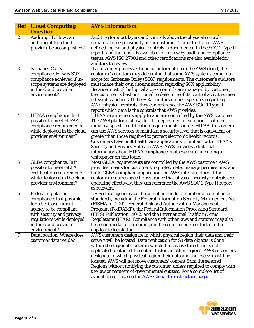| <b>Ref</b>       | <b>Cloud Computing</b><br><b>Question</b>                                                                                                                                                                    | <b>AWS Information</b>                                                                                                                                                                                                                                                                                                                                                                                                                                                                                                                                                                                                                                         |
|------------------|--------------------------------------------------------------------------------------------------------------------------------------------------------------------------------------------------------------|----------------------------------------------------------------------------------------------------------------------------------------------------------------------------------------------------------------------------------------------------------------------------------------------------------------------------------------------------------------------------------------------------------------------------------------------------------------------------------------------------------------------------------------------------------------------------------------------------------------------------------------------------------------|
| $\boldsymbol{2}$ | Auditing IT. How can<br>auditing of the cloud<br>provider be accomplished?                                                                                                                                   | Auditing for most layers and controls above the physical controls<br>remains the responsibility of the customer. The definition of AWS-<br>defined logical and physical controls is documented in the SOC 1 Type II<br>report, and the report is available for review by audit and compliance<br>teams. AWS ISO 27001 and other certifications are also available for<br>auditors to review.                                                                                                                                                                                                                                                                   |
| 3                | Sarbanes-Oxley<br>compliance. How is SOX<br>compliance achieved if in-<br>scope systems are deployed<br>in the cloud provider<br>environment?                                                                | If a customer processes financial information in the AWS cloud, the<br>customer's auditors may determine that some AWS systems come into<br>scope for Sarbanes-Oxley (SOX) requirements. The customer's auditors<br>must make their own determination regarding SOX applicability.<br>Because most of the logical access controls are managed by customer,<br>the customer is best positioned to determine if its control activities meet<br>relevant standards. If the SOX auditors request specifics regarding<br>AWS' physical controls, they can reference the AWS SOC 1 Type II<br>report which details the controls that AWS provides.                   |
| $\boldsymbol{4}$ | HIPAA compliance. Is it<br>possible to meet HIPAA<br>compliance requirements<br>while deployed in the cloud<br>provider environment?                                                                         | HIPAA requirements apply to and are controlled by the AWS customer.<br>The AWS platform allows for the deployment of solutions that meet<br>industry-specific certification requirements such as HIPAA. Customers<br>can use AWS services to maintain a security level that is equivalent or<br>greater than those required to protect electronic health records.<br>Customers have built healthcare applications compliant with HIPAA's<br>Security and Privacy Rules on AWS. AWS provides additional<br>information about HIPAA compliance on its web site, including a<br>whitepaper on this topic.                                                         |
| $5\phantom{.0}$  | <b>GLBA</b> compliance. Is it<br>possible to meet GLBA<br>certification requirements<br>while deployed in the cloud<br>provider environment?                                                                 | Most GLBA requirements are controlled by the AWS customer. AWS<br>provides means for customers to protect data, manage permissions, and<br>build GLBA-compliant applications on AWS infrastructure. If the<br>customer requires specific assurance that physical security controls are<br>operating effectively, they can reference the AWS SOC 1 Type II report<br>as relevant.                                                                                                                                                                                                                                                                               |
| $\boldsymbol{6}$ | <b>Federal regulation</b><br>compliance. Is it possible<br>for a US Government<br>agency to be compliant<br>with security and privacy<br>regulations while deployed<br>in the cloud provider<br>environment? | US Federal agencies can be compliant under a number of compliance<br>standards, including the Federal Information Security Management Act<br>(FISMA) of 2002, Federal Risk and Authorization Management<br>Program (FedRAMP), the Federal Information Processing Standard<br>(FIPS) Publication 140-2, and the International Traffic in Arms<br>Regulations (ITAR). Compliance with other laws and statutes may also<br>be accommodated depending on the requirements set forth in the<br>applicable legislation.                                                                                                                                              |
| 7                | Data location. Where does<br>customer data reside?                                                                                                                                                           | AWS customers designate in which physical region their data and their<br>servers will be located. Data replication for S3 data objects is done<br>within the regional cluster in which the data is stored and is not<br>replicated to other data center clusters in other regions. AWS customers<br>designate in which physical region their data and their servers will be<br>located. AWS will not move customers' content from the selected<br>Regions without notifying the customer, unless required to comply with<br>the law or requests of governmental entities. For a complete list of<br>available regions, see the AWS Global Infrastructure page. |

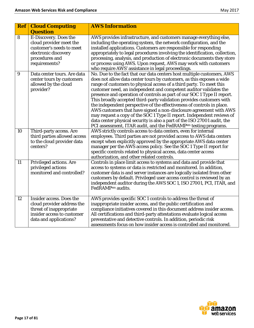|    | <b>AWS Information</b><br><b>Ref   Cloud Computing</b>                                                                                           |                                                                                                                                                                                                                                                                                                                                                                                                                                                                                                                                                                                                                                                                                                                                                                                                                                      |
|----|--------------------------------------------------------------------------------------------------------------------------------------------------|--------------------------------------------------------------------------------------------------------------------------------------------------------------------------------------------------------------------------------------------------------------------------------------------------------------------------------------------------------------------------------------------------------------------------------------------------------------------------------------------------------------------------------------------------------------------------------------------------------------------------------------------------------------------------------------------------------------------------------------------------------------------------------------------------------------------------------------|
|    | <b>Question</b>                                                                                                                                  |                                                                                                                                                                                                                                                                                                                                                                                                                                                                                                                                                                                                                                                                                                                                                                                                                                      |
| 8  | <b>E-Discovery. Does the</b><br>cloud provider meet the<br>customer's needs to meet<br>electronic discovery<br>procedures and<br>requirements?   | AWS provides infrastructure, and customers manage everything else,<br>including the operating system, the network configuration, and the<br>installed applications. Customers are responsible for responding<br>appropriately to legal procedures involving the identification, collection,<br>processing, analysis, and production of electronic documents they store<br>or process using AWS. Upon request, AWS may work with customers<br>who require AWS' assistance in legal proceedings.                                                                                                                                                                                                                                                                                                                                       |
| 9  | Data center tours. Are data<br>center tours by customers<br>allowed by the cloud<br>provider?                                                    | No. Due to the fact that our data centers host multiple customers, AWS<br>does not allow data center tours by customers, as this exposes a wide<br>range of customers to physical access of a third party. To meet this<br>customer need, an independent and competent auditor validates the<br>presence and operation of controls as part of our SOC 1 Type II report.<br>This broadly accepted third-party validation provides customers with<br>the independent perspective of the effectiveness of controls in place.<br>AWS customers that have signed a non-disclosure agreement with AWS<br>may request a copy of the SOC 1 Type II report. Independent reviews of<br>data center physical security is also a part of the ISO 27001 audit, the<br>PCI assessment, ITAR audit, and the FedRAMP <sup>sm</sup> testing programs. |
| 10 | Third-party access. Are<br>third parties allowed access<br>to the cloud provider data<br>centers?                                                | AWS strictly controls access to data centers, even for internal<br>employees. Third parties are not provided access to AWS data centers<br>except when explicitly approved by the appropriate AWS data center<br>manager per the AWS access policy. See the SOC 1 Type II report for<br>specific controls related to physical access, data center access<br>authorization, and other related controls.                                                                                                                                                                                                                                                                                                                                                                                                                               |
| 11 | Privileged actions. Are<br>privileged actions<br>monitored and controlled?                                                                       | Controls in place limit access to systems and data and provide that<br>access to systems or data is restricted and monitored. In addition,<br>customer data is and server instances are logically isolated from other<br>customers by default. Privileged user access control is reviewed by an<br>independent auditor during the AWS SOC 1, ISO 27001, PCI, ITAR, and<br>FedRAMP <sub>sm</sub> audits.                                                                                                                                                                                                                                                                                                                                                                                                                              |
| 12 | <b>Insider access. Does the</b><br>cloud provider address the<br>threat of inappropriate<br>insider access to customer<br>data and applications? | AWS provides specific SOC 1 controls to address the threat of<br>inappropriate insider access, and the public certification and<br>compliance initiatives covered in this document address insider access.<br>All certifications and third-party attestations evaluate logical access<br>preventative and detective controls. In addition, periodic risk<br>assessments focus on how insider access is controlled and monitored.                                                                                                                                                                                                                                                                                                                                                                                                     |

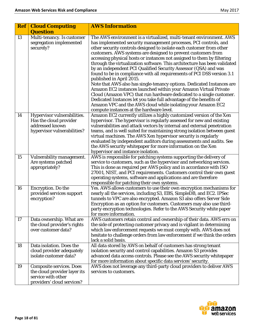| <b>Ref</b> | <b>Cloud Computing</b><br><b>Question</b>                                                                           | <b>AWS Information</b>                                                                                                                                                                                                                                                                                                                                                                                                                                                                                                                                                                                                                                                                                                                                                                                                                                                                                                                                                                                                    |
|------------|---------------------------------------------------------------------------------------------------------------------|---------------------------------------------------------------------------------------------------------------------------------------------------------------------------------------------------------------------------------------------------------------------------------------------------------------------------------------------------------------------------------------------------------------------------------------------------------------------------------------------------------------------------------------------------------------------------------------------------------------------------------------------------------------------------------------------------------------------------------------------------------------------------------------------------------------------------------------------------------------------------------------------------------------------------------------------------------------------------------------------------------------------------|
| 13         | Multi-tenancy. Is customer<br>segregation implemented<br>securely?                                                  | The AWS environment is a virtualized, multi-tenant environment. AWS<br>has implemented security management processes, PCI controls, and<br>other security controls designed to isolate each customer from other<br>customers. AWS systems are designed to prevent customers from<br>accessing physical hosts or instances not assigned to them by filtering<br>through the virtualization software. This architecture has been validated<br>by an independent PCI Qualified Security Assessor (QSA) and was<br>found to be in compliance with all requirements of PCI DSS version 3.1<br>published in April 2015.<br>Note that AWS also has single-tenancy options. Dedicated Instances are<br>Amazon EC2 instances launched within your Amazon Virtual Private<br>Cloud (Amazon VPC) that run hardware dedicated to a single customer.<br>Dedicated Instances let you take full advantage of the benefits of<br>Amazon VPC and the AWS cloud while isolating your Amazon EC2<br>compute instances at the hardware level. |
| 14         | Hypervisor vulnerabilities.<br>Has the cloud provider<br>addressed known<br>hypervisor vulnerabilities?             | Amazon EC2 currently utilizes a highly customized version of the Xen<br>hypervisor. The hypervisor is regularly assessed for new and existing<br>vulnerabilities and attack vectors by internal and external penetration<br>teams, and is well suited for maintaining strong isolation between guest<br>virtual machines. The AWS Xen hypervisor security is regularly<br>evaluated by independent auditors during assessments and audits. See<br>the AWS security whitepaper for more information on the Xen<br>hypervisor and instance isolation.                                                                                                                                                                                                                                                                                                                                                                                                                                                                       |
| 15         | Vulnerability management.<br>Are systems patched<br>appropriately?                                                  | AWS is responsible for patching systems supporting the delivery of<br>service to customers, such as the hypervisor and networking services.<br>This is done as required per AWS policy and in accordance with ISO<br>27001, NIST, and PCI requirements. Customers control their own guest<br>operating systems, software and applications and are therefore<br>responsible for patching their own systems.                                                                                                                                                                                                                                                                                                                                                                                                                                                                                                                                                                                                                |
| 16         | Encryption. Do the<br>provided services support<br>encryption?                                                      | Yes. AWS allows customers to use their own encryption mechanisms for<br>nearly all the services, including S3, EBS, SimpleDB, and EC2. IPSec<br>tunnels to VPC are also encrypted. Amazon S3 also offers Server Side<br>Encryption as an option for customers. Customers may also use third-<br>party encryption technologies. Refer to the AWS Security white paper<br>for more information.                                                                                                                                                                                                                                                                                                                                                                                                                                                                                                                                                                                                                             |
| 17         | Data ownership. What are<br>the cloud provider's rights<br>over customer data?                                      | AWS customers retain control and ownership of their data. AWS errs on<br>the side of protecting customer privacy and is vigilant in determining<br>which law enforcement requests we must comply with. AWS does not<br>hesitate to challenge orders from law enforcement if we think the orders<br>lack a solid basis.                                                                                                                                                                                                                                                                                                                                                                                                                                                                                                                                                                                                                                                                                                    |
| 18         | Data isolation. Does the<br>cloud provider adequately<br>isolate customer data?                                     | All data stored by AWS on behalf of customers has strong tenant<br>isolation security and control capabilities. Amazon S3 provides<br>advanced data access controls. Please see the AWS security white paper<br>for more information about specific data services' security.                                                                                                                                                                                                                                                                                                                                                                                                                                                                                                                                                                                                                                                                                                                                              |
| 19         | <b>Composite services. Does</b><br>the cloud provider layer its<br>service with other<br>providers' cloud services? | AWS does not leverage any third-party cloud providers to deliver AWS<br>services to customers.                                                                                                                                                                                                                                                                                                                                                                                                                                                                                                                                                                                                                                                                                                                                                                                                                                                                                                                            |

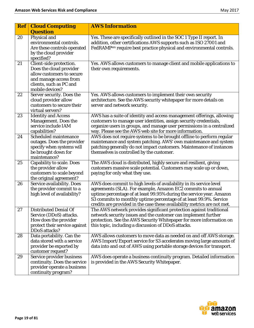| <b>Ref</b> | <b>Cloud Computing</b>                                                                                                                                  | <b>AWS Information</b>                                                                                                                                                                                                                                                                                                                                       |
|------------|---------------------------------------------------------------------------------------------------------------------------------------------------------|--------------------------------------------------------------------------------------------------------------------------------------------------------------------------------------------------------------------------------------------------------------------------------------------------------------------------------------------------------------|
|            | <b>Question</b>                                                                                                                                         |                                                                                                                                                                                                                                                                                                                                                              |
| 20         | Physical and<br>environmental controls.<br>Are these controls operated<br>by the cloud provider<br>specified?                                           | Yes. These are specifically outlined in the SOC 1 Type II report. In<br>addition, other certifications AWS supports such as ISO 27001 and<br>FedRAMP <sup>sm</sup> require best practice physical and environmental controls.                                                                                                                                |
| 21         | Client-side protection.<br>Does the cloud provider<br>allow customers to secure<br>and manage access from<br>clients, such as PC and<br>mobile devices? | Yes. AWS allows customers to manage client and mobile applications to<br>their own requirements.                                                                                                                                                                                                                                                             |
| 22         | Server security. Does the<br>cloud provider allow<br>customers to secure their<br>virtual servers?                                                      | Yes. AWS allows customers to implement their own security<br>architecture. See the AWS security whitepaper for more details on<br>server and network security.                                                                                                                                                                                               |
| 23         | <b>Identity and Access</b><br>Management. Does the<br>service include IAM<br>capabilities?                                                              | AWS has a suite of identity and access management offerings, allowing<br>customers to manage user identities, assign security credentials,<br>organize users in groups, and manage user permissions in a centralized<br>way. Please see the AWS web site for more information.                                                                               |
| 24         | Scheduled maintenance<br>outages. Does the provider<br>specify when systems will<br>be brought down for<br>maintenance?                                 | AWS does not require systems to be brought offline to perform regular<br>maintenance and system patching. AWS' own maintenance and system<br>patching generally do not impact customers. Maintenance of instances<br>themselves is controlled by the customer.                                                                                               |
| 25         | <b>Capability to scale. Does</b><br>the provider allow<br>customers to scale beyond<br>the original agreement?                                          | The AWS cloud is distributed, highly secure and resilient, giving<br>customers massive scale potential. Customers may scale up or down,<br>paying for only what they use.                                                                                                                                                                                    |
| 26         | Service availability. Does<br>the provider commit to a<br>high level of availability?                                                                   | AWS does commit to high levels of availability in its service level<br>agreements (SLA). For example, Amazon EC2 commits to annual<br>uptime percentage of at least 99.95% during the service year. Amazon<br>S3 commits to monthly uptime percentage of at least 99.9%. Service<br>credits are provided in the case these availability metrics are not met. |
| 27         | <b>Distributed Denial Of</b><br>Service (DDoS) attacks.<br>How does the provider<br>protect their service against<br>DDoS attacks?                      | The AWS network provides significant protection against traditional<br>network security issues and the customer can implement further<br>protection. See the AWS Security Whitepaper for more information on<br>this topic, including a discussion of DDoS attacks.                                                                                          |
| 28         | Data portability. Can the<br>data stored with a service<br>provider be exported by<br>customer request?                                                 | AWS allows customers to move data as needed on and off AWS storage.<br>AWS Import/Export service for S3 accelerates moving large amounts of<br>data into and out of AWS using portable storage devices for transport.                                                                                                                                        |
| 29         | Service provider business<br>continuity. Does the service<br>provider operate a business<br>continuity program?                                         | AWS does operate a business continuity program. Detailed information<br>is provided in the AWS Security White paper.                                                                                                                                                                                                                                         |

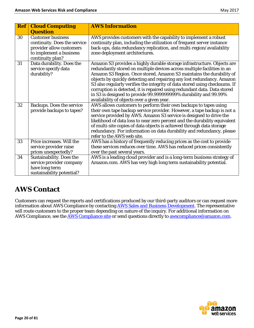| $\left  \mathbf{Ref} \right $ | <b>Cloud Computing</b>           | <b>AWS Information</b>                                                      |
|-------------------------------|----------------------------------|-----------------------------------------------------------------------------|
|                               |                                  |                                                                             |
|                               | <b>Question</b>                  |                                                                             |
| 30                            | <b>Customer business</b>         | AWS provides customers with the capability to implement a robust            |
|                               | continuity. Does the service     | continuity plan, including the utilization of frequent server instance      |
|                               | provider allow customers         | back-ups, data redundancy replication, and multi-region/availability        |
|                               | to implement a business          | zone deployment architectures.                                              |
|                               | continuity plan?                 |                                                                             |
| 31                            | Data durability. Does the        | Amazon S3 provides a highly durable storage infrastructure. Objects are     |
|                               | service specify data             | redundantly stored on multiple devices across multiple facilities in an     |
|                               | durability?                      | Amazon S3 Region. Once stored, Amazon S3 maintains the durability of        |
|                               |                                  | objects by quickly detecting and repairing any lost redundancy. Amazon      |
|                               |                                  | S3 also regularly verifies the integrity of data stored using checksums. If |
|                               |                                  | corruption is detected, it is repaired using redundant data. Data stored    |
|                               |                                  | in S3 is designed to provide 99.999999999% durability and 99.99%            |
|                               |                                  | availability of objects over a given year.                                  |
| 32                            | <b>Backups. Does the service</b> | AWS allows customers to perform their own backups to tapes using            |
|                               | provide backups to tapes?        | their own tape backup service provider. However, a tape backup is not a     |
|                               |                                  | service provided by AWS. Amazon S3 service is designed to drive the         |
|                               |                                  | likelihood of data loss to near zero percent and the durability equivalent  |
|                               |                                  | of multi-site copies of data objects is achieved through data storage       |
|                               |                                  | redundancy. For information on data durability and redundancy, please       |
|                               |                                  | refer to the AWS web site.                                                  |
| 33                            | Price increases. Will the        | AWS has a history of frequently reducing prices as the cost to provide      |
|                               | service provider raise           | these services reduces over time. AWS has reduced prices consistently       |
|                               | prices unexpectedly?             | over the past several years.                                                |
| 34                            | <b>Sustainability. Does the</b>  | AWS is a leading cloud provider and is a long-term business strategy of     |
|                               | service provider company         | Amazon.com. AWS has very high long term sustainability potential.           |
|                               | have long term                   |                                                                             |
|                               | sustainability potential?        |                                                                             |

# <span id="page-19-0"></span>**AWS Contact**

Customers can request the reports and certifications produced by our third-party auditors or can request more information about AWS Compliance by contacting [AWS Sales and Business Development.](https://aws.amazon.com/compliance/contact/) The representative will route customers to the proper team depending on nature of the inquiry. For additional information on AWS Compliance, see the **AWS Compliance site** or send questions directly to **[awscompliance@amazon.com.](mailto:awscompliance@amazon.com)** 

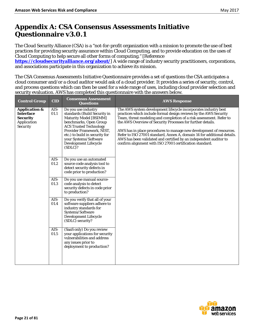# <span id="page-20-0"></span>**Appendix A: CSA Consensus Assessments Initiative Questionnaire v3.0.1**

The Cloud Security Alliance (CSA) is a "not-for-profit organization with a mission to promote the use of best practices for providing security assurance within Cloud Computing, and to provide education on the uses of Cloud Computing to help secure all other forms of computing." [Reference

**<https://cloudsecurityalliance.org/about/>**] A wide range of industry security practitioners, corporations, and associations participate in this organization to achieve its mission.

The CSA Consensus Assessments Initiative Questionnaire provides a set of questions the CSA anticipates a cloud consumer and/or a cloud auditor would ask of a cloud provider. It provides a series of security, control, and process questions which can then be used for a wide range of uses, including cloud provider selection and security evaluation. AWS has completed this questionnaire with the answers below.

| <b>Control Group</b>                                                                       | <b>CID</b>     | <b>Consensus Assessment</b><br><b>Questions</b>                                                                                                                                                                                                                             | <b>AWS Response</b>                                                                                                                                                                                                                                                                                                                                                                                                                                                                                                                                           |
|--------------------------------------------------------------------------------------------|----------------|-----------------------------------------------------------------------------------------------------------------------------------------------------------------------------------------------------------------------------------------------------------------------------|---------------------------------------------------------------------------------------------------------------------------------------------------------------------------------------------------------------------------------------------------------------------------------------------------------------------------------------------------------------------------------------------------------------------------------------------------------------------------------------------------------------------------------------------------------------|
| <b>Application &amp;</b><br><b>Interface</b><br><b>Security</b><br>Application<br>Security | AIS-<br>01.1   | Do you use industry<br>standards (Build Security in<br>Maturity Model [BSIMM]<br>benchmarks, Open Group<br><b>ACS Trusted Technology</b><br>Provider Framework, NIST,<br>etc.) to build in security for<br>your Systems/Software<br><b>Development Lifecycle</b><br>(SDLC)? | The AWS system development lifecycle incorporates industry best<br>practices which include formal design reviews by the AWS Security<br>Team, threat modeling and completion of a risk assessment. Refer to<br>the AWS Overview of Security Processes for further details.<br>AWS has in place procedures to manage new development of resources.<br>Refer to ISO 27001 standard, Annex A, domain 14 for additional details.<br>AWS has been validated and certified by an independent auditor to<br>confirm alignment with ISO 27001 certification standard. |
|                                                                                            | AIS-<br>01.2   | Do you use an automated<br>source code analysis tool to<br>detect security defects in<br>code prior to production?                                                                                                                                                          |                                                                                                                                                                                                                                                                                                                                                                                                                                                                                                                                                               |
|                                                                                            | $AIS-$<br>01.3 | Do you use manual source-<br>code analysis to detect<br>security defects in code prior<br>to production?                                                                                                                                                                    |                                                                                                                                                                                                                                                                                                                                                                                                                                                                                                                                                               |
|                                                                                            | AIS-<br>01.4   | Do you verify that all of your<br>software suppliers adhere to<br>industry standards for<br>Systems/Software<br><b>Development Lifecycle</b><br>(SDLC) security?                                                                                                            |                                                                                                                                                                                                                                                                                                                                                                                                                                                                                                                                                               |
|                                                                                            | AIS-<br>01.5   | (SaaS only) Do you review<br>your applications for security<br>vulnerabilities and address<br>any issues prior to<br>deployment to production?                                                                                                                              |                                                                                                                                                                                                                                                                                                                                                                                                                                                                                                                                                               |

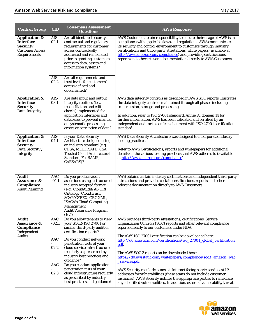| <b>Control Group</b>                                                                                      | <b>CID</b>         | <b>Consensus Assessment</b><br><b>Questions</b>                                                                                                                                                                                                                 | <b>AWS Response</b>                                                                                                                                                                                                                                                                                                                                                                                                                    |
|-----------------------------------------------------------------------------------------------------------|--------------------|-----------------------------------------------------------------------------------------------------------------------------------------------------------------------------------------------------------------------------------------------------------------|----------------------------------------------------------------------------------------------------------------------------------------------------------------------------------------------------------------------------------------------------------------------------------------------------------------------------------------------------------------------------------------------------------------------------------------|
| <b>Application &amp;</b><br><b>Interface</b><br><b>Security</b><br><b>Customer Access</b><br>Requirements | AIS-<br>02.1       | Are all identified security,<br>contractual and regulatory<br>requirements for customer<br>access contractually<br>addressed and remediated<br>prior to granting customers<br>access to data, assets and<br>information systems?                                | AWS Customers retain responsibility to ensure their usage of AWS is in<br>compliance with applicable laws and regulations. AWS communicates<br>its security and control environment to customers through industry<br>certifications and third-party attestations, white papers (available at<br>http://aws.amazon.com/compliance) and providing certifications,<br>reports and other relevant documentation directly to AWS Customers. |
|                                                                                                           | AIS-<br>02.2       | Are all requirements and<br>trust levels for customers'<br>access defined and<br>documented?                                                                                                                                                                    |                                                                                                                                                                                                                                                                                                                                                                                                                                        |
| <b>Application &amp;</b><br><b>Interface</b><br><b>Security</b><br>Data Integrity                         | AIS-<br>03.1       | Are data input and output<br>integrity routines (i.e.,<br>reconciliation and edit<br>checks) implemented for<br>application interfaces and<br>databases to prevent manual<br>or systematic processing<br>errors or corruption of data?                          | AWS data integrity controls as described in AWS SOC reports illustrates<br>the data integrity controls maintained through all phases including<br>transmission, storage and processing.<br>In addition, refer to ISO 27001 standard, Annex A, domain 14 for<br>further information. AWS has been validated and certified by an<br>independent auditor to confirm alignment with ISO 27001 certification<br>standard.                   |
| <b>Application &amp;</b><br><b>Interface</b><br><b>Security</b><br>Data Security /<br><b>Integrity</b>    | AIS-<br>04.1       | Is your Data Security<br>Architecture designed using<br>an industry standard (e.g.,<br>CDSA, MULITSAFE, CSA<br><b>Trusted Cloud Architectural</b><br>Standard, FedRAMP,<br>CAESARS)?                                                                            | AWS Data Security Architecture was designed to incorporate industry<br>leading practices.<br>Refer to AWS Certifications, reports and whitepapers for additional<br>details on the various leading practices that AWS adheres to (available<br>at http://aws.amazon.com/compliance).                                                                                                                                                   |
| <b>Audit</b><br><b>Assurance &amp;</b><br>Compliance<br><b>Audit Planning</b>                             | AAC<br>$-01.1$     | Do you produce audit<br>assertions using a structured,<br>industry accepted format<br>(e.g., CloudAudit/A6 URI<br>Ontology, CloudTrust,<br>SCAP/CYBEX, GRC XML,<br><b>ISACA's Cloud Computing</b><br><b>Management</b><br>Audit/Assurance Program,<br>$etc.$ )? | AWS obtains certain industry certifications and independent third-party<br>attestations and provides certain certifications, reports and other<br>relevant documentation directly to AWS Customers.                                                                                                                                                                                                                                    |
| <b>Audit</b><br><b>Assurance &amp;</b><br>Compliance<br>Independent<br><b>Audits</b>                      | AAC<br>$-02.1$     | Do you allow tenants to view<br>your SOC2/ISO 27001 or<br>similar third-party audit or<br>certification reports?                                                                                                                                                | AWS provides third-party attestations, certifications, Service<br>Organization Controls (SOC) reports and other relevant compliance<br>reports directly to our customers under NDA.<br>The AWS ISO 27001 certification can be downloaded here:                                                                                                                                                                                         |
|                                                                                                           | AAC<br>02.2<br>AAC | Do you conduct network<br>penetration tests of your<br>cloud service infrastructure<br>regularly as prescribed by<br>industry best practices and<br>guidance?<br>Do you conduct application                                                                     | http://d0.awsstatic.com/certifications/iso_27001_global_certification.<br>pdf.<br>The AWS SOC 3 report can be downloaded here:<br>https://d0.awsstatic.com/whitepapers/compliance/soc3_amazon_web<br>services.pdf.                                                                                                                                                                                                                     |
|                                                                                                           | 02.3               | penetration tests of your<br>cloud infrastructure regularly<br>as prescribed by industry<br>best practices and guidance?                                                                                                                                        | AWS Security regularly scans all Internet facing service endpoint IP<br>addresses for vulnerabilities (these scans do not include customer<br>instances). AWS Security notifies the appropriate parties to remediate<br>any identified vulnerabilities. In addition, external vulnerability threat                                                                                                                                     |

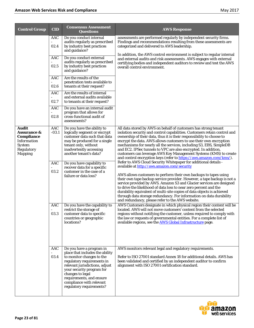| <b>Control Group</b>                                                                                                 | <b>CID</b>                    | <b>Consensus Assessment</b><br><b>Questions</b>                                                                                                                                                                                                                                                                           | <b>AWS Response</b>                                                                                                                                                                                                                                                                                                                                                                                                                                                                                                                                                                                                                                                                                                                                                                                                                                                                                                                                                                                                                                                                                                                             |
|----------------------------------------------------------------------------------------------------------------------|-------------------------------|---------------------------------------------------------------------------------------------------------------------------------------------------------------------------------------------------------------------------------------------------------------------------------------------------------------------------|-------------------------------------------------------------------------------------------------------------------------------------------------------------------------------------------------------------------------------------------------------------------------------------------------------------------------------------------------------------------------------------------------------------------------------------------------------------------------------------------------------------------------------------------------------------------------------------------------------------------------------------------------------------------------------------------------------------------------------------------------------------------------------------------------------------------------------------------------------------------------------------------------------------------------------------------------------------------------------------------------------------------------------------------------------------------------------------------------------------------------------------------------|
|                                                                                                                      | AAC<br>02.4                   | Do you conduct internal<br>audits regularly as prescribed<br>by industry best practices<br>and guidance?                                                                                                                                                                                                                  | assessments are performed regularly by independent security firms.<br>Findings and recommendations resulting from these assessments are<br>categorized and delivered to AWS leadership.                                                                                                                                                                                                                                                                                                                                                                                                                                                                                                                                                                                                                                                                                                                                                                                                                                                                                                                                                         |
|                                                                                                                      | AAC<br>02.5                   | Do you conduct external<br>audits regularly as prescribed<br>by industry best practices<br>and guidance?                                                                                                                                                                                                                  | In addition, the AWS control environment is subject to regular internal<br>and external audits and risk assessments. AWS engages with external<br>certifying bodies and independent auditors to review and test the AWS<br>overall control environment.                                                                                                                                                                                                                                                                                                                                                                                                                                                                                                                                                                                                                                                                                                                                                                                                                                                                                         |
|                                                                                                                      | AAC<br>02.6                   | Are the results of the<br>penetration tests available to<br>tenants at their request?                                                                                                                                                                                                                                     |                                                                                                                                                                                                                                                                                                                                                                                                                                                                                                                                                                                                                                                                                                                                                                                                                                                                                                                                                                                                                                                                                                                                                 |
|                                                                                                                      | AAC<br>02.7                   | Are the results of internal<br>and external audits available<br>to tenants at their request?                                                                                                                                                                                                                              |                                                                                                                                                                                                                                                                                                                                                                                                                                                                                                                                                                                                                                                                                                                                                                                                                                                                                                                                                                                                                                                                                                                                                 |
|                                                                                                                      | AAC<br>02.8                   | Do you have an internal audit<br>program that allows for<br>cross-functional audit of<br>assessments?                                                                                                                                                                                                                     |                                                                                                                                                                                                                                                                                                                                                                                                                                                                                                                                                                                                                                                                                                                                                                                                                                                                                                                                                                                                                                                                                                                                                 |
| <b>Audit</b><br><b>Assurance &amp;</b><br>Compliance<br><i>Information</i><br>System<br>Regulatory<br><b>Mapping</b> | AAC<br>$-03.1$<br>AAC<br>03.2 | Do you have the ability to<br>logically segment or encrypt<br>customer data such that data<br>may be produced for a single<br>tenant only, without<br>inadvertently accessing<br>another tenant's data?<br>Do you have capability to<br>recover data for a specific<br>customer in the case of a<br>failure or data loss? | All data stored by AWS on behalf of customers has strong tenant<br>isolation security and control capabilities. Customers retain control and<br>ownership of their data, thus it is their responsibility to choose to<br>encrypt the data. AWS allows customers to use their own encryption<br>mechanisms for nearly all the services, including S3, EBS, SimpleDB<br>and EC2. IPSec tunnels to VPC are also encrypted. In addition,<br>customers can leverage AWS Key Management Systems (KMS) to create<br>and control encryption keys (refer to https://aws.amazon.com/kms/).<br>Refer to AWS Cloud Security Whitepaper for additional details -<br>available at http://aws.amazon.com/security<br>AWS allows customers to perform their own backups to tapes using<br>their own tape backup service provider. However, a tape backup is not a<br>service provided by AWS. Amazon S3 and Glacier services are designed<br>to drive the likelihood of data loss to near zero percent and the<br>durability equivalent of multi-site copies of data objects is achieved<br>through data storage redundancy. For information on data durability |
|                                                                                                                      | AAC<br>03.3                   | Do you have the capability to<br>restrict the storage of<br>customer data to specific<br>countries or geographic<br>locations?                                                                                                                                                                                            | and redundancy, please refer to the AWS website.<br>AWS Customers designate in which physical region their content will be<br>located. AWS will not move customers' content from the selected<br>regions without notifying the customer, unless required to comply with<br>the law or requests of governmental entities. For a complete list of<br>available regions, see the AWS Global Infrastructure page.                                                                                                                                                                                                                                                                                                                                                                                                                                                                                                                                                                                                                                                                                                                                   |
|                                                                                                                      | AAC<br>03.4                   | Do you have a program in<br>place that includes the ability<br>to monitor changes to the<br>regulatory requirements in<br>relevant jurisdictions, adjust<br>your security program for<br>changes to legal<br>requirements, and ensure<br>compliance with relevant<br>regulatory requirements?                             | AWS monitors relevant legal and regulatory requirements.<br>Refer to ISO 27001 standard Annex 18 for additional details. AWS has<br>been validated and certified by an independent auditor to confirm<br>alignment with ISO 27001 certification standard.                                                                                                                                                                                                                                                                                                                                                                                                                                                                                                                                                                                                                                                                                                                                                                                                                                                                                       |

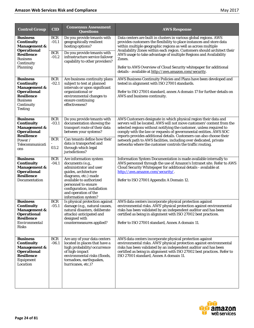| <b>Control Group</b>                                                                                                                                          | <b>CID</b>                                     | <b>Consensus Assessment</b><br><b>Questions</b>                                                                                                                                                                                                      | <b>AWS Response</b>                                                                                                                                                                                                                                                                                                                                                                                                                                                                                |
|---------------------------------------------------------------------------------------------------------------------------------------------------------------|------------------------------------------------|------------------------------------------------------------------------------------------------------------------------------------------------------------------------------------------------------------------------------------------------------|----------------------------------------------------------------------------------------------------------------------------------------------------------------------------------------------------------------------------------------------------------------------------------------------------------------------------------------------------------------------------------------------------------------------------------------------------------------------------------------------------|
| <b>Business</b><br>Continuity<br><b>Management &amp;</b><br><b>Operational</b><br><b>Resilience</b><br><b>Business</b><br>Continuity<br>Planning              | <b>BCR</b><br>$-01.1$<br><b>BCR</b><br>$-01.2$ | Do you provide tenants with<br>geographically resilient<br>hosting options?<br>Do you provide tenants with<br>infrastructure service failover<br>capability to other providers?                                                                      | Data centers are built in clusters in various global regions. AWS<br>provides customers the flexibility to place instances and store data<br>within multiple geographic regions as well as across multiple<br>Availability Zones within each region. Customers should architect their<br>AWS usage to take advantage of multiple Regions and Availability<br>Zones.<br>Refer to AWS Overview of Cloud Security whitepaper for additional<br>details - available at http://aws.amazon.com/security. |
| <b>Business</b><br><b>Continuity</b><br><b>Management &amp;</b><br><b>Operational</b><br><b>Resilience</b><br><b>Business</b><br>Continuity<br><b>Testing</b> | <b>BCR</b><br>$-02.1$                          | Are business continuity plans<br>subject to test at planned<br>intervals or upon significant<br>organizational or<br>environmental changes to<br>ensure continuing<br>effectiveness?                                                                 | AWS Business Continuity Policies and Plans have been developed and<br>tested in alignment with ISO 27001 standards.<br>Refer to ISO 27001 standard, annex A domain 17 for further details on<br>AWS and business continuity.                                                                                                                                                                                                                                                                       |
| <b>Business</b><br><b>Continuity</b><br><b>Management &amp;</b><br><b>Operational</b><br><b>Resilience</b><br>Power/<br>Telecommunicati<br>ons                | <b>BCR</b><br>$-03.1$<br><b>BCR</b><br>03.2    | Do you provide tenants with<br>documentation showing the<br>transport route of their data<br>between your systems?<br>Can tenants define how their<br>data is transported and<br>through which legal<br>jurisdictions?                               | AWS Customers designate in which physical region their data and<br>servers will be located. AWS will not move customers' content from the<br>selected regions without notifying the customer, unless required to<br>comply with the law or requests of governmental entities. AWS SOC<br>reports provides additional details. Customers can also choose their<br>network path to AWS facilities, including over dedicated, private<br>networks where the customer controls the traffic routing.    |
| <b>Business</b><br><b>Continuity</b><br><b>Management &amp;</b><br><b>Operational</b><br><b>Resilience</b><br>Documentation                                   | <b>BCR</b><br>$-04.1$                          | Are information system<br>documents (e.g.,<br>administrator and user<br>guides, architecture<br>diagrams, etc.) made<br>available to authorized<br>personnel to ensure<br>configuration, installation<br>and operation of the<br>information system? | Information System Documentation is made available internally to<br>AWS personnel through the use of Amazon's Intranet site. Refer to AWS<br>Cloud Security Whitepaper for additional details - available at<br>http://aws.amazon.com/security/.<br>Refer to ISO 27001 Appendix A Domain 12.                                                                                                                                                                                                       |
| <b>Business</b><br>Continuity<br><b>Management &amp;</b><br><b>Operational</b><br><b>Resilience</b><br>Environmental<br><b>Risks</b>                          | <b>BCR</b><br>$-05.1$                          | Is physical protection against<br>damage (e.g., natural causes,<br>natural disasters, deliberate<br>attacks) anticipated and<br>designed with<br>countermeasures applied?                                                                            | AWS data centers incorporate physical protection against<br>environmental risks. AWS' physical protection against environmental<br>risks has been validated by an independent auditor and has been<br>certified as being in alignment with ISO 27002 best practices.<br>Refer to ISO 27001 standard, Annex A domain 11.                                                                                                                                                                            |
| <b>Business</b><br>Continuity<br><b>Management &amp;</b><br><b>Operational</b><br><b>Resilience</b><br>Equipment<br>Location                                  | <b>BCR</b><br>$-06.1$                          | Are any of your data centers<br>located in places that have a<br>high probability/occurrence<br>of high-impact<br>environmental risks (floods,<br>tornadoes, earthquakes,<br>hurricanes, etc.)?                                                      | AWS data centers incorporate physical protection against<br>environmental risks. AWS' physical protection against environmental<br>risks has been validated by an independent auditor and has been<br>certified as being in alignment with ISO 27002 best practices. Refer to<br>ISO 27001 standard, Annex A domain 11.                                                                                                                                                                            |

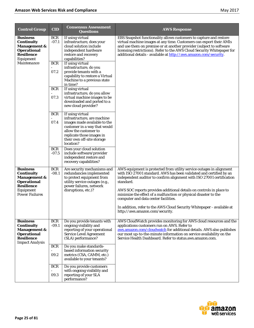| <b>Control Group</b>                                                                                                                   | $\overline{\text{CID}}$             | <b>Consensus Assessment</b><br><b>Questions</b>                                                                                                                                                                  | <b>AWS Response</b>                                                                                                                                                                                                                                                                                                                                              |
|----------------------------------------------------------------------------------------------------------------------------------------|-------------------------------------|------------------------------------------------------------------------------------------------------------------------------------------------------------------------------------------------------------------|------------------------------------------------------------------------------------------------------------------------------------------------------------------------------------------------------------------------------------------------------------------------------------------------------------------------------------------------------------------|
| <b>Business</b><br><b>Continuity</b><br><b>Management &amp;</b><br><b>Operational</b><br><b>Resilience</b><br>Equipment<br>Maintenance | <b>BCR</b><br>$-07.1$<br><b>BCR</b> | If using virtual<br>infrastructure, does your<br>cloud solution include<br>independent hardware<br>restore and recovery<br>capabilities?<br>If using virtual                                                     | EBS Snapshot functionality allows customers to capture and restore<br>virtual machine images at any time. Customers can export their AMIs<br>and use them on premise or at another provider (subject to software<br>licensing restrictions). Refer to the AWS Cloud Security Whitepaper for<br>additional details - available at http://aws.amazon.com/security. |
|                                                                                                                                        | 07.2                                | infrastructure, do you<br>provide tenants with a<br>capability to restore a Virtual<br>Machine to a previous state<br>in time?                                                                                   |                                                                                                                                                                                                                                                                                                                                                                  |
|                                                                                                                                        | <b>BCR</b><br>07.3                  | If using virtual<br>infrastructure, do you allow<br>virtual machine images to be<br>downloaded and ported to a<br>new cloud provider?                                                                            |                                                                                                                                                                                                                                                                                                                                                                  |
|                                                                                                                                        | <b>BCR</b><br>07.4                  | If using virtual<br>infrastructure, are machine<br>images made available to the<br>customer in a way that would<br>allow the customer to<br>replicate those images in<br>their own off-site storage<br>location? |                                                                                                                                                                                                                                                                                                                                                                  |
|                                                                                                                                        | <b>BCR</b><br>$-07.5$               | Does your cloud solution<br>include software/provider<br>independent restore and<br>recovery capabilities?                                                                                                       |                                                                                                                                                                                                                                                                                                                                                                  |
| <b>Business</b><br><b>Continuity</b><br><b>Management &amp;</b><br><b>Operational</b><br><b>Resilience</b><br>Equipment                | <b>BCR</b><br>$-08.1$               | Are security mechanisms and<br>redundancies implemented<br>to protect equipment from<br>utility service outages (e.g.,<br>power failures, network<br>disruptions, etc.)?                                         | AWS equipment is protected from utility service outages in alignment<br>with ISO 27001 standard. AWS has been validated and certified by an<br>independent auditor to confirm alignment with ISO 27001 certification<br>standard.<br>AWS SOC reports provides additional details on controls in place to                                                         |
| <b>Power Failures</b>                                                                                                                  |                                     |                                                                                                                                                                                                                  | minimize the effect of a malfunction or physical disaster to the<br>computer and data center facilities.<br>In addition, refer to the AWS Cloud Security Whitepaper - available at<br>http://aws.amazon.com/security.                                                                                                                                            |
| <b>Business</b><br><b>Continuity</b><br><b>Management &amp;</b><br><b>Operational</b><br><b>Resilience</b><br><b>Impact Analysis</b>   | <b>BCR</b><br>$-09.1$               | Do you provide tenants with<br>ongoing visibility and<br>reporting of your operational<br><b>Service Level Agreement</b><br>(SLA) performance?                                                                   | AWS CloudWatch provides monitoring for AWS cloud resources and the<br>applications customers run on AWS. Refer to<br>aws.amazon.com/cloudwatch for additional details. AWS also publishes<br>our most up-to-the-minute information on service availability on the<br>Service Health Dashboard. Refer to status.aws.amazon.com.                                   |
|                                                                                                                                        | <b>BCR</b><br>09.2                  | Do you make standards-<br>based information security<br>metrics (CSA, CAMM, etc.)<br>available to your tenants?                                                                                                  |                                                                                                                                                                                                                                                                                                                                                                  |
|                                                                                                                                        | <b>BCR</b><br>09.3                  | Do you provide customers<br>with ongoing visibility and<br>reporting of your SLA<br>performance?                                                                                                                 |                                                                                                                                                                                                                                                                                                                                                                  |

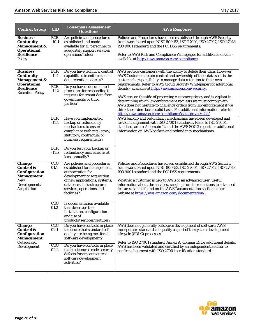| <b>Control Group</b>                                                                                                                  | <b>CID</b>                                                                            | <b>Consensus Assessment</b><br><b>Questions</b>                                                                                                                                                                                                                                                                                                                                           | <b>AWS Response</b>                                                                                                                                                                                                                                                                                                                                                                                                                                                                                                                                                                                                                                                                                                                                                                                                                                                                                                                                                            |
|---------------------------------------------------------------------------------------------------------------------------------------|---------------------------------------------------------------------------------------|-------------------------------------------------------------------------------------------------------------------------------------------------------------------------------------------------------------------------------------------------------------------------------------------------------------------------------------------------------------------------------------------|--------------------------------------------------------------------------------------------------------------------------------------------------------------------------------------------------------------------------------------------------------------------------------------------------------------------------------------------------------------------------------------------------------------------------------------------------------------------------------------------------------------------------------------------------------------------------------------------------------------------------------------------------------------------------------------------------------------------------------------------------------------------------------------------------------------------------------------------------------------------------------------------------------------------------------------------------------------------------------|
| <b>Business</b><br><b>Continuity</b><br><b>Management &amp;</b><br><b>Operational</b><br><b>Resilience</b><br>Policy                  | <b>BCR</b><br>$-10.1$                                                                 | Are policies and procedures<br>established and made<br>available for all personnel to<br>adequately support services<br>operations' roles?                                                                                                                                                                                                                                                | Policies and Procedures have been established through AWS Security<br>framework based upon NIST 800-53, ISO 27001, ISO 27017, ISO 27018,<br>ISO 9001 standard and the PCI DSS requirements.<br>Refer to AWS Risk and Compliance Whitepaper for additional details -<br>available at http://aws.amazon.com/compliance.                                                                                                                                                                                                                                                                                                                                                                                                                                                                                                                                                                                                                                                          |
| <b>Business</b><br><b>Continuity</b><br><b>Management &amp;</b><br><b>Operational</b><br><b>Resilience</b><br><b>Retention Policy</b> | <b>BCR</b><br>$-11.1$<br><b>BCR</b><br>$-11.2$<br><b>BCR</b><br>$-11.4$<br><b>BCR</b> | Do you have technical control<br>capabilities to enforce tenant<br>data retention policies?<br>Do you have a documented<br>procedure for responding to<br>requests for tenant data from<br>governments or third<br>parties?<br>Have you implemented<br>backup or redundancy<br>mechanisms to ensure<br>compliance with regulatory,<br>statutory, contractual or<br>business requirements? | AWS provide customers with the ability to delete their data. However,<br>AWS Customers retain control and ownership of their data so it is the<br>customer's responsibility to manage data retention to their own<br>requirements. Refer to AWS Cloud Security Whitepaper for additional<br>details - available at http://aws.amazon.com/security.<br>AWS errs on the side of protecting customer privacy and is vigilant in<br>determining which law enforcement requests we must comply with.<br>AWS does not hesitate to challenge orders from law enforcement if we<br>think the orders lack a solid basis. For additional information refer to<br>https://aws.amazon.com/compliance/data-privacy-faq/.<br>AWS backup and redundancy mechanisms have been developed and<br>tested in alignment with ISO 27001 standards. Refer to ISO 27001<br>standard, annex A domain 12 and the AWS SOC 2 report for additional<br>information on AWS backup and redundancy mechanisms. |
|                                                                                                                                       | $-11.5$                                                                               | Do you test your backup or<br>redundancy mechanisms at<br>least annually?                                                                                                                                                                                                                                                                                                                 |                                                                                                                                                                                                                                                                                                                                                                                                                                                                                                                                                                                                                                                                                                                                                                                                                                                                                                                                                                                |
| <b>Change</b><br><b>Control &amp;</b><br>Configuration<br><b>Management</b><br>New<br>Development /<br><b>Acquisition</b>             | CCC-<br>01.1                                                                          | Are policies and procedures<br>established for management<br>authorization for<br>development or acquisition<br>of new applications, systems,<br>databases, infrastructure,<br>services, operations and<br>facilities?                                                                                                                                                                    | Policies and Procedures have been established through AWS Security<br>framework based upon NIST 800-53, ISO 27001, ISO 27017, ISO 27018,<br>ISO 9001 standard and the PCI DSS requirements.<br>Whether a customer is new to AWS or an advanced user, useful<br>information about the services, ranging from introductions to advanced<br>features, can be found on the AWS Documentation section of our<br>website at https://aws.amazon.com/documentation/.                                                                                                                                                                                                                                                                                                                                                                                                                                                                                                                   |
|                                                                                                                                       | CCC-<br>01.2                                                                          | Is documentation available<br>that describes the<br>installation, configuration<br>and use of<br>products/services/features?                                                                                                                                                                                                                                                              |                                                                                                                                                                                                                                                                                                                                                                                                                                                                                                                                                                                                                                                                                                                                                                                                                                                                                                                                                                                |
| <b>Change</b><br><b>Control &amp;</b><br>Configuration<br><b>Management</b><br><b>Outsourced</b><br>Development                       | $CCC -$<br>02.1                                                                       | Do you have controls in place<br>to ensure that standards of<br>quality are being met for all<br>software development?                                                                                                                                                                                                                                                                    | AWS does not generally outsource development of software. AWS<br>incorporates standards of quality as part of the system development<br>lifecycle (SDLC) processes.<br>Refer to ISO 27001 standard, Annex A, domain 14 for additional details.                                                                                                                                                                                                                                                                                                                                                                                                                                                                                                                                                                                                                                                                                                                                 |
|                                                                                                                                       | CCC-<br>02.2                                                                          | Do you have controls in place<br>to detect source code security<br>defects for any outsourced<br>software development<br>activities?                                                                                                                                                                                                                                                      | AWS has been validated and certified by an independent auditor to<br>confirm alignment with ISO 27001 certification standard.                                                                                                                                                                                                                                                                                                                                                                                                                                                                                                                                                                                                                                                                                                                                                                                                                                                  |

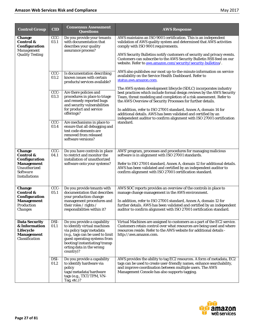| <b>Control Group</b>                                                                                                            | <b>CID</b>                                                   | <b>Consensus Assessment</b><br><b>Questions</b>                                                                                                                                                                                                                                                                                                                                                                                                             | <b>AWS Response</b>                                                                                                                                                                                                                                                                                                                                                                                                                                                                                                                                                                                                                                                                                                                                                                                                                                                                                                                                                                                                                                                           |
|---------------------------------------------------------------------------------------------------------------------------------|--------------------------------------------------------------|-------------------------------------------------------------------------------------------------------------------------------------------------------------------------------------------------------------------------------------------------------------------------------------------------------------------------------------------------------------------------------------------------------------------------------------------------------------|-------------------------------------------------------------------------------------------------------------------------------------------------------------------------------------------------------------------------------------------------------------------------------------------------------------------------------------------------------------------------------------------------------------------------------------------------------------------------------------------------------------------------------------------------------------------------------------------------------------------------------------------------------------------------------------------------------------------------------------------------------------------------------------------------------------------------------------------------------------------------------------------------------------------------------------------------------------------------------------------------------------------------------------------------------------------------------|
| <b>Change</b><br><b>Control &amp;</b><br>Configuration<br>Management<br><b>Quality Testing</b>                                  | CCC-<br>03.1<br>CCC-<br>03.2<br>CCC-<br>03.3<br>CCC-<br>03.4 | Do you provide your tenants<br>with documentation that<br>describes your quality<br>assurance process?<br>Is documentation describing<br>known issues with certain<br>products/services available?<br>Are there policies and<br>procedures in place to triage<br>and remedy reported bugs<br>and security vulnerabilities<br>for product and service<br>offerings?<br>Are mechanisms in place to<br>ensure that all debugging and<br>test code elements are | AWS maintains an ISO 9001 certification. This is an independent<br>validation of AWS quality system and determined that AWS activities<br>comply with ISO 9001 requirements.<br>AWS Security Bulletins notify customers of security and privacy events.<br>Customers can subscribe to the AWS Security Bulletin RSS feed on our<br>website. Refer to aws.amazon.com/security/security-bulletins/.<br>AWS also publishes our most up-to-the-minute information on service<br>availability on the Service Health Dashboard. Refer to<br>status.aws.amazon.com.<br>The AWS system development lifecycle (SDLC) incorporates industry<br>best practices which include formal design reviews by the AWS Security<br>Team, threat modeling and completion of a risk assessment. Refer to<br>the AWS Overview of Security Processes for further details.<br>In addition, refer to ISO 27001 standard, Annex A, domain 14 for<br>additional details. AWS has been validated and certified by an<br>independent auditor to confirm alignment with ISO 27001 certification<br>standard. |
|                                                                                                                                 |                                                              | removed from released<br>software versions?                                                                                                                                                                                                                                                                                                                                                                                                                 |                                                                                                                                                                                                                                                                                                                                                                                                                                                                                                                                                                                                                                                                                                                                                                                                                                                                                                                                                                                                                                                                               |
| <b>Change</b><br><b>Control &amp;</b><br>Configuration<br><b>Management</b><br>Unauthorized<br>Software<br><b>Installations</b> | CCC-<br>04.1                                                 | Do you have controls in place<br>to restrict and monitor the<br>installation of unauthorized<br>software onto your systems?                                                                                                                                                                                                                                                                                                                                 | AWS' program, processes and procedures for managing malicious<br>software is in alignment with ISO 27001 standards.<br>Refer to ISO 27001 standard, Annex A, domain 12 for additional details.<br>AWS has been validated and certified by an independent auditor to<br>confirm alignment with ISO 27001 certification standard.                                                                                                                                                                                                                                                                                                                                                                                                                                                                                                                                                                                                                                                                                                                                               |
| <b>Change</b><br><b>Control &amp;</b><br>Configuration<br><b>Management</b><br>Production<br><i>Changes</i>                     | CCC-<br>05.1                                                 | Do you provide tenants with<br>documentation that describes<br>your production change<br>management procedures and<br>their roles / rights /<br>responsibilities within it?                                                                                                                                                                                                                                                                                 | AWS SOC reports provides an overview of the controls in place to<br>manage change management in the AWS environment.<br>In addition, refer to ISO 27001 standard, Annex A, domain 12 for<br>further details. AWS has been validated and certified by an independent<br>auditor to confirm alignment with ISO 27001 certification standard.                                                                                                                                                                                                                                                                                                                                                                                                                                                                                                                                                                                                                                                                                                                                    |
| <b>Data Security</b><br>& Information<br>Lifecycle<br><b>Management</b><br>Classification                                       | DSI-<br>01.1                                                 | Do you provide a capability<br>to identify virtual machines<br>via policy tags/metadata<br>(e.g., tags can be used to limit<br>guest operating systems from<br>booting/instantiating/transp<br>orting data in the wrong<br>country)?                                                                                                                                                                                                                        | Virtual Machines are assigned to customers as a part of the EC2 service.<br>Customers retain control over what resources are being used and where<br>resources reside. Refer to the AWS website for additional details -<br>http://aws.amazon.com.                                                                                                                                                                                                                                                                                                                                                                                                                                                                                                                                                                                                                                                                                                                                                                                                                            |
|                                                                                                                                 | DSI-<br>01.2                                                 | Do you provide a capability<br>to identify hardware via<br>policy<br>tags/metadata/hardware<br>tags (e.g., TXT/TPM, VN-<br>Tag, etc.)?                                                                                                                                                                                                                                                                                                                      | AWS provides the ability to tag EC2 resources. A form of metadata, EC2<br>tags can be used to create user-friendly names, enhance searchability,<br>and improve coordination between multiple users. The AWS<br>Management Console has also supports tagging.                                                                                                                                                                                                                                                                                                                                                                                                                                                                                                                                                                                                                                                                                                                                                                                                                 |

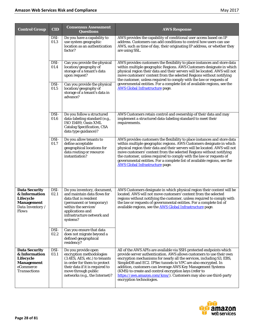| <b>Control Group</b>                                                                                 | <b>CID</b>   | <b>Consensus Assessment</b><br><b>Questions</b>                                                                                                                                                              | <b>AWS Response</b>                                                                                                                                                                                                                                                                                                                                                                                                                                                                                           |
|------------------------------------------------------------------------------------------------------|--------------|--------------------------------------------------------------------------------------------------------------------------------------------------------------------------------------------------------------|---------------------------------------------------------------------------------------------------------------------------------------------------------------------------------------------------------------------------------------------------------------------------------------------------------------------------------------------------------------------------------------------------------------------------------------------------------------------------------------------------------------|
|                                                                                                      | DSI-<br>01.3 | Do you have a capability to<br>use system geographic<br>location as an authentication<br>factor?                                                                                                             | AWS provides the capability of conditional user access based on IP<br>address. Customers can add conditions to control how users can use<br>AWS, such as time of day, their originating IP address, or whether they<br>are using SSL.                                                                                                                                                                                                                                                                         |
|                                                                                                      | DSI-<br>01.4 | Can you provide the physical<br>location/geography of<br>storage of a tenant's data<br>upon request?                                                                                                         | AWS provides customers the flexibility to place instances and store data<br>within multiple geographic Regions. AWS Customers designate in which<br>physical region their data and their servers will be located. AWS will not<br>move customers' content from the selected Regions without notifying<br>the customer, unless required to comply with the law or requests of                                                                                                                                  |
|                                                                                                      | DSI-<br>01.5 | Can you provide the physical<br>location/geography of<br>storage of a tenant's data in<br>advance?                                                                                                           | governmental entities. For a complete list of available regions, see the<br><b>AWS Global Infrastructure page.</b>                                                                                                                                                                                                                                                                                                                                                                                            |
|                                                                                                      | DSI-<br>01.6 | Do you follow a structured<br>data-labeling standard (e.g.,<br>ISO 15489, Oasis XML<br><b>Catalog Specification, CSA</b><br>data type guidance)?                                                             | AWS Customers retain control and ownership of their data and may<br>implement a structured data-labeling standard to meet their<br>requirements.                                                                                                                                                                                                                                                                                                                                                              |
|                                                                                                      | DSI-<br>01.7 | Do you allow tenants to<br>define acceptable<br>geographical locations for<br>data routing or resource<br>instantiation?                                                                                     | AWS provides customers the flexibility to place instances and store data<br>within multiple geographic regions. AWS Customers designate in which<br>physical region their data and their servers will be located. AWS will not<br>move customers' content from the selected Regions without notifying<br>the customer, unless required to comply with the law or requests of<br>governmental entities. For a complete list of available regions, see the<br><b>AWS Global Infrastructure page.</b>            |
| <b>Data Security</b><br>& Information<br>Lifecycle<br><b>Management</b><br>Data Inventory /<br>Flows | DSI-<br>02.1 | Do you inventory, document,<br>and maintain data flows for<br>data that is resident<br>(permanent or temporary)<br>within the services'<br>applications and<br>infrastructure network and<br>systems?        | AWS Customers designate in which physical region their content will be<br>located. AWS will not move customers' content from the selected<br>regions without notifying the customer, unless required to comply with<br>the law or requests of governmental entities. For a complete list of<br>available regions, see the AWS Global Infrastructure page.                                                                                                                                                     |
|                                                                                                      | DSI-<br>02.2 | Can you ensure that data<br>does not migrate beyond a<br>defined geographical<br>residency?                                                                                                                  |                                                                                                                                                                                                                                                                                                                                                                                                                                                                                                               |
| <b>Data Security</b><br>& Information<br>Lifecycle<br><b>Management</b><br>eCommerce<br>Transactions | DSI-<br>03.1 | Do you provide open<br>encryption methodologies<br>(3.4ES, AES, etc.) to tenants<br>in order for them to protect<br>their data if it is required to<br>move through public<br>networks (e.g., the Internet)? | All of the AWS APIs are available via SSH-protected endpoints which<br>provide server authentication. AWS allows customers to use their own<br>encryption mechanisms for nearly all the services, including S3, EBS,<br>SimpleDB and EC2. IPSec tunnels to VPC are also encrypted. In<br>addition, customers can leverage AWS Key Management Systems<br>(KMS) to create and control encryption keys (refer to<br>https://aws.amazon.com/kms/). Customers may also use third-party<br>encryption technologies. |

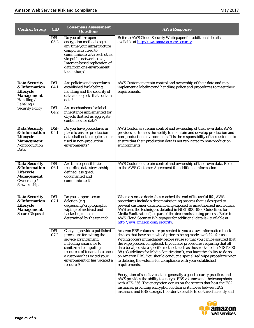| <b>Control Group</b>                                                                                                                        | <b>CID</b>                   | <b>Consensus Assessment</b><br><b>Questions</b>                                                                                                                                                                                                        | <b>AWS Response</b>                                                                                                                                                                                                                                                                                                                                                                                                                                                                                                                                                                                       |
|---------------------------------------------------------------------------------------------------------------------------------------------|------------------------------|--------------------------------------------------------------------------------------------------------------------------------------------------------------------------------------------------------------------------------------------------------|-----------------------------------------------------------------------------------------------------------------------------------------------------------------------------------------------------------------------------------------------------------------------------------------------------------------------------------------------------------------------------------------------------------------------------------------------------------------------------------------------------------------------------------------------------------------------------------------------------------|
|                                                                                                                                             | DSI-<br>03.2                 | Do you utilize open<br>encryption methodologies<br>any time your infrastructure<br>components need to<br>communicate with each other<br>via public networks (e.g.,<br>Internet-based replication of<br>data from one environment<br>to another)?       | Refer to AWS Cloud Security Whitepaper for additional details -<br>available at http://aws.amazon.com/security.                                                                                                                                                                                                                                                                                                                                                                                                                                                                                           |
| <b>Data Security</b><br>& Information<br>Lifecycle<br><b>Management</b><br>Handling $\angle$<br>Labeling $\angle$<br><b>Security Policy</b> | DSI-<br>04.1<br>DSI-<br>04.2 | Are policies and procedures<br>established for labeling,<br>handling and the security of<br>data and objects that contain<br>data?<br>Are mechanisms for label<br>inheritance implemented for<br>objects that act as aggregate<br>containers for data? | AWS Customers retain control and ownership of their data and may<br>implement a labeling and handling policy and procedures to meet their<br>requirements.                                                                                                                                                                                                                                                                                                                                                                                                                                                |
| <b>Data Security</b><br>& Information<br>Lifecycle<br><b>Management</b><br>Nonproduction<br>Data                                            | DSI-<br>05.1                 | Do you have procedures in<br>place to ensure production<br>data shall not be replicated or<br>used in non-production<br>environments?                                                                                                                  | AWS Customers retain control and ownership of their own data. AWS<br>provides customers the ability to maintain and develop production and<br>non-production environments. It is the responsibility of the customer to<br>ensure that their production data is not replicated to non-production<br>environments.                                                                                                                                                                                                                                                                                          |
| <b>Data Security</b><br>& Information<br>Lifecycle<br><b>Management</b><br><i>Ownership</i> $\angle$<br>Stewardship                         | DSI-<br>06.1                 | Are the responsibilities<br>regarding data stewardship<br>defined, assigned,<br>documented and<br>communicated?                                                                                                                                        | AWS Customers retain control and ownership of their own data. Refer<br>to the AWS Customer Agreement for additional information.                                                                                                                                                                                                                                                                                                                                                                                                                                                                          |
| <b>Data Security</b><br>& Information<br>Lifecycle<br>Management<br><b>Secure Disposal</b>                                                  | DSI-<br>07.1                 | Do you support secure<br>deletion (e.g.,<br>degaussing/cryptographic<br>wiping) of archived and<br>backed-up data as<br>determined by the tenant?                                                                                                      | When a storage device has reached the end of its useful life, AWS<br>procedures include a decommissioning process that is designed to<br>prevent customer data from being exposed to unauthorized individuals.<br>AWS uses the techniques detailed in NIST 800-88 ("Guidelines for<br>Media Sanitization") as part of the decommissioning process. Refer to<br>AWS Cloud Security Whitepaper for additional details - available at<br>http://aws.amazon.com/security.                                                                                                                                     |
|                                                                                                                                             | DSI-<br>07.2                 | Can you provide a published<br>procedure for exiting the<br>service arrangement,<br>including assurance to<br>sanitize all computing<br>resources of tenant data once<br>a customer has exited your<br>environment or has vacated a<br>resource?       | Amazon EBS volumes are presented to you as raw unformatted block<br>devices that have been wiped prior to being made available for use.<br>Wiping occurs immediately before reuse so that you can be assured that<br>the wipe process completed. If you have procedures requiring that all<br>data be wiped via a specific method, such as those detailed in NIST 800-<br>88 ("Guidelines for Media Sanitization"), you have the ability to do so<br>on Amazon EBS. You should conduct a specialized wipe procedure prior<br>to deleting the volume for compliance with your established<br>requirements. |
|                                                                                                                                             |                              |                                                                                                                                                                                                                                                        | Encryption of sensitive data is generally a good security practice, and<br>AWS provides the ability to encrypt EBS volumes and their snapshots<br>with AES-256. The encryption occurs on the servers that host the EC2<br>instances, providing encryption of data as it moves between EC2<br>instances and EBS storage. In order to be able to do this efficiently and                                                                                                                                                                                                                                    |

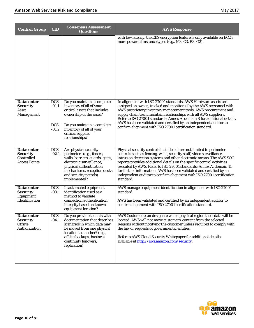| <b>Control Group</b>                                                           | <b>CID</b>                                     | <b>Consensus Assessment</b><br><b>Questions</b>                                                                                                                                                                               | <b>AWS Response</b>                                                                                                                                                                                                                                                                                                                                                                                                                                                                                                            |
|--------------------------------------------------------------------------------|------------------------------------------------|-------------------------------------------------------------------------------------------------------------------------------------------------------------------------------------------------------------------------------|--------------------------------------------------------------------------------------------------------------------------------------------------------------------------------------------------------------------------------------------------------------------------------------------------------------------------------------------------------------------------------------------------------------------------------------------------------------------------------------------------------------------------------|
|                                                                                |                                                |                                                                                                                                                                                                                               | with low latency, the EBS encryption feature is only available on EC2's<br>more powerful instance types (e.g., M3, C3, R3, G2).                                                                                                                                                                                                                                                                                                                                                                                                |
| <b>Datacenter</b><br><b>Security</b><br>Asset<br>Management                    | <b>DCS</b><br>$-01.1$<br><b>DCS</b><br>$-01.2$ | Do you maintain a complete<br>inventory of all of your<br>critical assets that includes<br>ownership of the asset?<br>Do you maintain a complete<br>inventory of all of your<br>critical supplier<br>relationships?           | In alignment with ISO 27001 standards, AWS Hardware assets are<br>assigned an owner, tracked and monitored by the AWS personnel with<br>AWS proprietary inventory management tools. AWS procurement and<br>supply chain team maintain relationships with all AWS suppliers.<br>Refer to ISO 27001 standards; Annex A, domain 8 for additional details.<br>AWS has been validated and certified by an independent auditor to<br>confirm alignment with ISO 27001 certification standard.                                        |
| <b>Datacenter</b><br><b>Security</b><br>Controlled<br><b>Access Points</b>     | <b>DCS</b><br>$-02.1$                          | Are physical security<br>perimeters (e.g., fences,<br>walls, barriers, guards, gates,<br>electronic surveillance,<br>physical authentication<br>mechanisms, reception desks<br>and security patrols)<br>implemented?          | Physical security controls include but are not limited to perimeter<br>controls such as fencing, walls, security staff, video surveillance,<br>intrusion detection systems and other electronic means. The AWS SOC<br>reports provides additional details on the specific control activities<br>executed by AWS. Refer to ISO 27001 standards; Annex A, domain 11<br>for further information. AWS has been validated and certified by an<br>independent auditor to confirm alignment with ISO 27001 certification<br>standard. |
| <b>Datacenter</b><br><b>Security</b><br>Equipment<br><b>Identification</b>     | <b>DCS</b><br>$-03.1$                          | Is automated equipment<br>identification used as a<br>method to validate<br>connection authentication<br>integrity based on known<br>equipment location?                                                                      | AWS manages equipment identification in alignment with ISO 27001<br>standard.<br>AWS has been validated and certified by an independent auditor to<br>confirm alignment with ISO 27001 certification standard.                                                                                                                                                                                                                                                                                                                 |
| <b>Datacenter</b><br><b>Security</b><br><i><b>Offsite</b></i><br>Authorization | <b>DCS</b><br>$-04.1$                          | Do you provide tenants with<br>documentation that describes<br>scenarios in which data may<br>be moved from one physical<br>location to another? (e.g.,<br>offsite backups, business<br>continuity failovers,<br>replication) | AWS Customers can designate which physical region their data will be<br>located. AWS will not move customers' content from the selected<br>Regions without notifying the customer unless required to comply with<br>the law or requests of governmental entities.<br>Refer to AWS Cloud Security Whitepaper for additional details -<br>available at http://aws.amazon.com/security.                                                                                                                                           |

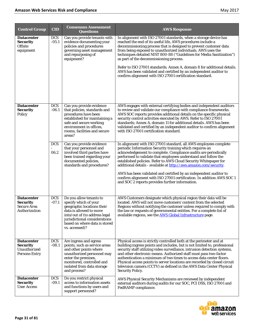| <b>Control Group</b>                                                         | <b>CID</b>            | <b>Consensus Assessment</b><br><b>Questions</b>                                                                                                                                                                                | <b>AWS Response</b>                                                                                                                                                                                                                                                                                                                                                                                                                                                                                                                                                                                         |
|------------------------------------------------------------------------------|-----------------------|--------------------------------------------------------------------------------------------------------------------------------------------------------------------------------------------------------------------------------|-------------------------------------------------------------------------------------------------------------------------------------------------------------------------------------------------------------------------------------------------------------------------------------------------------------------------------------------------------------------------------------------------------------------------------------------------------------------------------------------------------------------------------------------------------------------------------------------------------------|
| <b>Datacenter</b><br><b>Security</b><br><b>Offsite</b><br>equipment          | <b>DCS</b><br>$-05.1$ | Can you provide tenants with<br>evidence documenting your<br>policies and procedures<br>governing asset management<br>and repurposing of<br>equipment?                                                                         | In alignment with ISO 27001 standards, when a storage device has<br>reached the end of its useful life, AWS procedures include a<br>decommissioning process that is designed to prevent customer data<br>from being exposed to unauthorized individuals. AWS uses the<br>techniques detailed NIST 800-88 ("Guidelines for Media Sanitization")<br>as part of the decommissioning process.<br>Refer to ISO 27001 standards; Annex A, domain 8 for additional details.<br>AWS has been validated and certified by an independent auditor to<br>confirm alignment with ISO 27001 certification standard.       |
| <b>Datacenter</b><br><b>Security</b><br>Policy                               | <b>DCS</b><br>$-06.1$ | Can you provide evidence<br>that policies, standards and<br>procedures have been<br>established for maintaining a<br>safe and secure working<br>environment in offices.<br>rooms, facilities and secure<br>areas?              | AWS engages with external certifying bodies and independent auditors<br>to review and validate our compliance with compliance frameworks.<br>AWS SOC reports provides additional details on the specific physical<br>security control activities executed by AWS. Refer to ISO 27001<br>standards; Annex A, domain 11 for additional details. AWS has been<br>validated and certified by an independent auditor to confirm alignment<br>with ISO 27001 certification standard.                                                                                                                              |
|                                                                              | <b>DCS</b><br>06.2    | Can you provide evidence<br>that your personnel and<br>involved third parties have<br>been trained regarding your<br>documented policies,<br>standards and procedures?                                                         | In alignment with ISO 27001 standard, all AWS employees complete<br>periodic Information Security training which requires an<br>acknowledgement to complete. Compliance audits are periodically<br>performed to validate that employees understand and follow the<br>established policies. Refer to AWS Cloud Security Whitepaper for<br>additional details - available at http://aws.amazon.com/security.<br>AWS has been validated and certified by an independent auditor to<br>confirm alignment with ISO 27001 certification. In addition AWS SOC 1<br>and SOC 2 reports provides further information. |
| <b>Datacenter</b><br><b>Security</b><br>Secure Area<br>Authorization         | <b>DCS</b><br>$-07.1$ | Do you allow tenants to<br>specify which of your<br>geographic locations their<br>data is allowed to move<br>into/out of (to address legal<br>jurisdictional considerations<br>based on where data is stored<br>vs. accessed)? | AWS Customers designate which physical region their data will be<br>located. AWS will not move customers' content from the selected<br>Regions without notifying the customer unless required to comply with<br>the law or requests of governmental entities. For a complete list of<br>available regions, see the AWS Global Infrastructure page.                                                                                                                                                                                                                                                          |
| <b>Datacenter</b><br><b>Security</b><br>Unauthorized<br><b>Persons Entry</b> | <b>DCS</b><br>$-08.1$ | Are ingress and egress<br>points, such as service areas<br>and other points where<br>unauthorized personnel may<br>enter the premises,<br>monitored, controlled and<br>isolated from data storage<br>and process?              | Physical access is strictly controlled both at the perimeter and at<br>building ingress points and includes, but is not limited to, professional<br>security staff utilizing video surveillance, intrusion detection systems,<br>and other electronic means. Authorized staff must pass two-factor<br>authentication a minimum of two times to access data center floors.<br>Physical access points to server locations are recorded by closed circuit<br>television camera (CCTV) as defined in the AWS Data Center Physical<br><b>Security Policy.</b>                                                    |
| <b>Datacenter</b><br><b>Security</b><br>User Access                          | <b>DCS</b><br>$-09.1$ | Do you restrict physical<br>access to information assets<br>and functions by users and<br>support personnel?                                                                                                                   | AWS Physical Security Mechanisms are reviewed by independent<br>external auditors during audits for our SOC, PCI DSS, ISO 27001 and<br>FedRAMP compliance.                                                                                                                                                                                                                                                                                                                                                                                                                                                  |

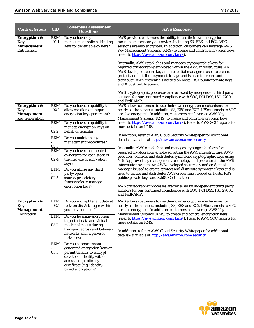| <b>Control Group</b>                                                                                                                                                                                                    | <b>CID</b>                                                                                                                                                                                                                                                             | <b>Consensus Assessment</b><br><b>Questions</b>                                                                                                                                                   | <b>AWS Response</b>                                                                                                                                                                                                                                                                                                                                                                                            |
|-------------------------------------------------------------------------------------------------------------------------------------------------------------------------------------------------------------------------|------------------------------------------------------------------------------------------------------------------------------------------------------------------------------------------------------------------------------------------------------------------------|---------------------------------------------------------------------------------------------------------------------------------------------------------------------------------------------------|----------------------------------------------------------------------------------------------------------------------------------------------------------------------------------------------------------------------------------------------------------------------------------------------------------------------------------------------------------------------------------------------------------------|
| <b>Encryption &amp;</b><br>Key<br><b>Management</b><br>Entitlement                                                                                                                                                      | <b>EKM</b><br>$-01.1$                                                                                                                                                                                                                                                  | Do you have key<br>management policies binding<br>keys to identifiable owners?                                                                                                                    | AWS provides customers the ability to use their own encryption<br>mechanism for nearly all services including S3, EBS and EC2. VPC<br>sessions are also encrypted. In addition, customers can leverage AWS<br>Key Management Systems (KMS) to create and control encryption keys<br>(refer to https://aws.amazon.com/kms/).                                                                                    |
|                                                                                                                                                                                                                         |                                                                                                                                                                                                                                                                        |                                                                                                                                                                                                   | Internally, AWS establishes and manages cryptographic keys for<br>required cryptography employed within the AWS infrastructure. An<br>AWS developed secure key and credential manager is used to create,<br>protect and distribute symmetric keys and is used to secure and<br>distribute: AWS credentials needed on hosts, RSA public/private keys<br>and X.509 Certifications.                               |
|                                                                                                                                                                                                                         |                                                                                                                                                                                                                                                                        |                                                                                                                                                                                                   | AWS cryptographic processes are reviewed by independent third party<br>auditors for our continued compliance with SOC, PCI DSS, ISO 27001<br>and FedRAMP.                                                                                                                                                                                                                                                      |
| <b>Encryption &amp;</b><br>Key<br><b>Management</b><br><b>Key Generation</b>                                                                                                                                            | EKM<br>$-02.1$                                                                                                                                                                                                                                                         | Do you have a capability to<br>allow creation of unique<br>encryption keys per tenant?                                                                                                            | AWS allows customers to use their own encryption mechanisms for<br>nearly all the services, including S3, EBS and EC2. IPSec tunnels to VPC<br>are also encrypted. In addition, customers can leverage AWS Key<br>Management Systems (KMS) to create and control encryption keys                                                                                                                               |
|                                                                                                                                                                                                                         | EKM<br>02.2                                                                                                                                                                                                                                                            | Do you have a capability to<br>manage encryption keys on<br>behalf of tenants?                                                                                                                    | (refer to https://aws.amazon.com/kms/). Refer to AWS SOC reports for<br>more details on KMS.                                                                                                                                                                                                                                                                                                                   |
|                                                                                                                                                                                                                         | <b>EKM</b><br>02.3<br><b>EKM</b>                                                                                                                                                                                                                                       | Do you maintain key<br>management procedures?<br>Do you have documented<br>ownership for each stage of                                                                                            | In addition, refer to AWS Cloud Security Whitepaper for additional<br>details - available at http://aws.amazon.com/security.<br>Internally, AWS establishes and manages cryptographic keys for<br>required cryptography employed within the AWS infrastructure. AWS                                                                                                                                            |
|                                                                                                                                                                                                                         | 02.4<br><b>EKM</b><br>02.5                                                                                                                                                                                                                                             | the lifecycle of encryption<br>keys?<br>Do you utilize any third<br>party/open<br>source/proprietary                                                                                              | produces, controls and distributes symmetric cryptographic keys using<br>NIST approved key management technology and processes in the AWS<br>information system. An AWS developed secure key and credential<br>manager is used to create, protect and distribute symmetric keys and is<br>used to secure and distribute: AWS credentials needed on hosts, RSA<br>public/private keys and X.509 Certifications. |
|                                                                                                                                                                                                                         |                                                                                                                                                                                                                                                                        | frameworks to manage<br>encryption keys?                                                                                                                                                          | AWS cryptographic processes are reviewed by independent third party<br>auditors for our continued compliance with SOC, PCI DSS, ISO 27001<br>and FedRAMP.                                                                                                                                                                                                                                                      |
| <b>Encryption &amp;</b><br><b>Key</b><br><b>Management</b>                                                                                                                                                              | <b>EKM</b><br>$-03.1$                                                                                                                                                                                                                                                  | Do you encrypt tenant data at<br>rest (on disk/storage) within<br>your environment?                                                                                                               | AWS allows customers to use their own encryption mechanisms for<br>nearly all the services, including S3, EBS and EC2. IPSec tunnels to VPC<br>are also encrypted. In addition, customers can leverage AWS Key                                                                                                                                                                                                 |
| <b>Encryption</b><br>EKM<br>Do you leverage encryption<br>to protect data and virtual<br>more details on KMS.<br>03.2<br>machine images during<br>transport across and between<br>networks and hypervisor<br>instances? | Management Systems (KMS) to create and control encryption keys<br>(refer to https://aws.amazon.com/kms/). Refer to AWS SOC reports for<br>In addition, refer to AWS Cloud Security Whitepaper for additional<br>details - available at http://aws.amazon.com/security. |                                                                                                                                                                                                   |                                                                                                                                                                                                                                                                                                                                                                                                                |
|                                                                                                                                                                                                                         | EKM<br>03.3                                                                                                                                                                                                                                                            | Do you support tenant-<br>generated encryption keys or<br>permit tenants to encrypt<br>data to an identity without<br>access to a public key<br>certificate (e.g. identity-<br>based encryption)? |                                                                                                                                                                                                                                                                                                                                                                                                                |

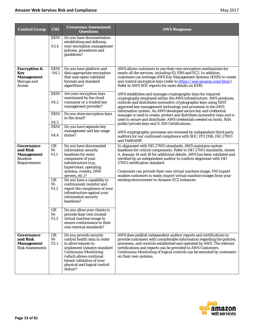| <b>Control Group</b>                                                           | <b>CID</b>         | <b>Consensus Assessment</b><br><b>Questions</b>                                                                                                                                                                                                   | <b>AWS Response</b>                                                                                                                                                                                                                                                                                                                                                                       |
|--------------------------------------------------------------------------------|--------------------|---------------------------------------------------------------------------------------------------------------------------------------------------------------------------------------------------------------------------------------------------|-------------------------------------------------------------------------------------------------------------------------------------------------------------------------------------------------------------------------------------------------------------------------------------------------------------------------------------------------------------------------------------------|
|                                                                                | EKM<br>03.4        | Do you have documentation<br>establishing and defining<br>your encryption management<br>policies, procedures and<br>guidelines?                                                                                                                   |                                                                                                                                                                                                                                                                                                                                                                                           |
| <b>Encryption &amp;</b><br>Key<br><b>Management</b><br>Storage and<br>Access   | EKM<br>$-04.1$     | Do you have platform and<br>data appropriate encryption<br>that uses open/validated<br>formats and standard<br>algorithms?                                                                                                                        | AWS allows customers to use their own encryption mechanisms for<br>nearly all the services, including S3, EBS and EC2. In addition,<br>customers can leverage AWS Key Management Systems (KMS) to create<br>and control encryption keys (refer to https://aws.amazon.com/kms/).<br>Refer to AWS SOC reports for more details on KMS.                                                      |
|                                                                                | <b>EKM</b><br>04.2 | Are your encryption keys<br>maintained by the cloud<br>consumer or a trusted key<br>management provider?                                                                                                                                          | AWS establishes and manages cryptographic keys for required<br>cryptography employed within the AWS infrastructure. AWS produces,<br>controls and distributes symmetric cryptographic keys using NIST<br>approved key management technology and processes in the AWS<br>information system. An AWS developed secure key and credential                                                    |
|                                                                                | EKM<br>04.3<br>EKM | Do you store encryption keys<br>in the cloud?<br>Do you have separate key                                                                                                                                                                         | manager is used to create, protect and distribute symmetric keys and is<br>used to secure and distribute: AWS credentials needed on hosts, RSA<br>public/private keys and X.509 Certifications.                                                                                                                                                                                           |
|                                                                                | 04.4               | management and key usage<br>duties?                                                                                                                                                                                                               | AWS cryptographic processes are reviewed by independent third party<br>auditors for our continued compliance with SOC, PCI DSS, ISO 27001<br>and FedRAMP.                                                                                                                                                                                                                                 |
| Governance<br>and Risk<br><b>Management</b><br><b>Baseline</b><br>Requirements | GR<br>$M-$<br>01.1 | Do you have documented<br>information security<br>baselines for every<br>component of your<br>infrastructure (e.g.,<br>hypervisors, operating<br>systems, routers, DNS                                                                            | In alignment with ISO 27001 standards, AWS maintains system<br>baselines for critical components. Refer to ISO 27001 standards, Annex<br>A, domain 14 and 18 for additional details. AWS has been validated and<br>certified by an independent auditor to confirm alignment with ISO<br>27001 certification standard.<br>Customers can provide their own virtual machine image. VM Import |
|                                                                                | GR<br>M-<br>01.2   | servers, etc.)?<br>Do you have a capability to<br>continuously monitor and<br>report the compliance of your<br>infrastructure against your<br>information security<br>baselines?                                                                  | enables customers to easily import virtual machine images from your<br>existing environment to Amazon EC2 instances.                                                                                                                                                                                                                                                                      |
|                                                                                | GR<br>M-<br>01.3   | Do you allow your clients to<br>provide their own trusted<br>virtual machine image to<br>ensure conformance to their<br>own internal standards?                                                                                                   |                                                                                                                                                                                                                                                                                                                                                                                           |
| Governance<br>and Risk<br><b>Management</b><br><b>Risk Assessments</b>         | GR<br>M-<br>02.1   | Do you provide security<br>control health data in order<br>to allow tenants to<br>implement industry standard<br><b>Continuous Monitoring</b><br>(which allows continual<br>tenant validation of your<br>physical and logical control<br>status)? | AWS does publish independent auditor reports and certifications to<br>provide customers with considerable information regarding the policies,<br>processes, and controls established and operated by AWS. The relevant<br>certifications and reports can be provided to AWS Customers.<br>Continuous Monitoring of logical controls can be executed by customers<br>on their own systems. |

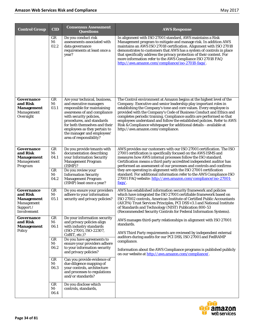| <b>Control Group</b>                                                                  | <b>CID</b>                                                                               | <b>Consensus Assessment</b><br><b>Questions</b>                                                                                                                                                                                                                                                                                                                                                                                                        | <b>AWS Response</b>                                                                                                                                                                                                                                                                                                                                                                                                                                                                                                                                                           |
|---------------------------------------------------------------------------------------|------------------------------------------------------------------------------------------|--------------------------------------------------------------------------------------------------------------------------------------------------------------------------------------------------------------------------------------------------------------------------------------------------------------------------------------------------------------------------------------------------------------------------------------------------------|-------------------------------------------------------------------------------------------------------------------------------------------------------------------------------------------------------------------------------------------------------------------------------------------------------------------------------------------------------------------------------------------------------------------------------------------------------------------------------------------------------------------------------------------------------------------------------|
|                                                                                       | GR<br>$M -$<br>02.2                                                                      | Do you conduct risk<br>assessments associated with<br>data governance<br>requirements at least once a<br>year?                                                                                                                                                                                                                                                                                                                                         | In alignment with ISO 27001 standard, AWS maintains a Risk<br>Management program to mitigate and manage risk. In addition AWS<br>maintains an AWS ISO 27018 certification. Alignment with ISO 27018<br>demonstrates to customers that AWS has a system of controls in place<br>that specifically address the privacy protection of their content. For<br>more information refer to the AWS Compliance ISO 27018 FAQ<br>http://aws.amazon.com/compliance/iso-27018-faqs/.                                                                                                      |
| Governance<br>and Risk<br><b>Management</b><br>Management<br>Oversight                | GR<br>$M -$<br>03.1                                                                      | Are your technical, business,<br>and executive managers<br>responsible for maintaining<br>awareness of and compliance<br>with security policies,<br>procedures, and standards<br>for both themselves and their<br>employees as they pertain to<br>the manager and employees'<br>area of responsibility?                                                                                                                                                | The Control environment at Amazon begins at the highest level of the<br>Company. Executive and senior leadership play important roles in<br>establishing the Company's tone and core values. Every employee is<br>provided with the Company's Code of Business Conduct and Ethics and<br>completes periodic training. Compliance audits are performed so that<br>employees understand and follow the established policies. Refer to AWS<br>Risk & Compliance whitepaper for additional details - available at<br>http://aws.amazon.com/compliance.                            |
| Governance<br>and Risk<br><b>Management</b><br>Management<br>Program                  | GR<br>$M -$<br>04.1<br>GR<br>M-<br>04.2                                                  | Do you provide tenants with<br>documentation describing<br>your Information Security<br><b>Management Program</b><br>(ISMP)?<br>Do you review your<br><b>Information Security</b><br><b>Management Program</b><br>(ISMP) least once a year?                                                                                                                                                                                                            | AWS provides our customers with our ISO 27001 certification. The ISO<br>27001 certification is specifically focused on the AWS ISMS and<br>measures how AWS internal processes follow the ISO standard.<br>Certification means a third party accredited independent auditor has<br>performed an assessment of our processes and controls and confirms<br>they are operating in alignment with the ISO 27001 certification<br>standard. For additional information refer to the AWS Compliance ISO<br>27001 FAQ website: http://aws.amazon.com/compliance/iso-27001-<br>faqs/. |
| Governance<br>and Risk<br><b>Management</b><br>Management<br>Support /<br>Involvement | GR<br>$M -$<br>05.1                                                                      | Do you ensure your providers<br>adhere to your information<br>security and privacy policies?                                                                                                                                                                                                                                                                                                                                                           | AWS has established information security framework and policies<br>which have integrated the ISO 27001 certifiable framework based on<br>ISO 27002 controls, American Institute of Certified Public Accountants<br>(AICPA) Trust Services Principles, PCI DSS v3.1 and National Institute<br>of Standards and Technology (NIST) Publication 800-53<br>(Recommended Security Controls for Federal Information Systems).                                                                                                                                                        |
| Governance<br>and Risk<br><b>Management</b><br>Policy                                 | GR<br>$M -$<br>06.1<br>GR<br>$M -$<br>06.2<br>GR<br>$M -$<br>06.3<br>GR<br>$M -$<br>06.4 | Do your information security<br>and privacy policies align<br>with industry standards<br>(ISO-27001, ISO-22307,<br>CoBIT, etc.)?<br>Do you have agreements to<br>ensure your providers adhere<br>to your information security<br>and privacy policies?<br>Can you provide evidence of<br>due diligence mapping of<br>your controls, architecture<br>and processes to regulations<br>and/or standards?<br>Do you disclose which<br>controls, standards, | AWS manages third-party relationships in alignment with ISO 27001<br>standards.<br>AWS Third Party requirements are reviewed by independent external<br>auditors during audits for our PCI DSS, ISO 27001 and FedRAMP<br>compliance.<br>Information about the AWS Compliance programs is published publicly<br>on our website at http://aws.amazon.com/compliance/.                                                                                                                                                                                                           |

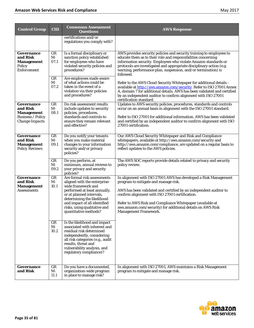| <b>Control Group</b>                                                                             | <b>CID</b>         | <b>Consensus Assessment</b><br><b>Questions</b>                                                                                                                                                                                                                      | <b>AWS Response</b>                                                                                                                                                                                                                                                                                                                                                                  |
|--------------------------------------------------------------------------------------------------|--------------------|----------------------------------------------------------------------------------------------------------------------------------------------------------------------------------------------------------------------------------------------------------------------|--------------------------------------------------------------------------------------------------------------------------------------------------------------------------------------------------------------------------------------------------------------------------------------------------------------------------------------------------------------------------------------|
|                                                                                                  |                    | certifications and/or<br>regulations you comply with?                                                                                                                                                                                                                |                                                                                                                                                                                                                                                                                                                                                                                      |
| Governance<br>and Risk<br><b>Management</b><br>Policy<br><b>Enforcement</b>                      | GR<br>$M-$<br>07.1 | Is a formal disciplinary or<br>sanction policy established<br>for employees who have<br>violated security policies and<br>procedures?                                                                                                                                | AWS provides security policies and security training to employees to<br>educate them as to their role and responsibilities concerning<br>information security. Employees who violate Amazon standards or<br>protocols are investigated and appropriate disciplinary action (e.g.<br>warning, performance plan, suspension, and/or termination) is<br>followed.                       |
|                                                                                                  | GR<br>M-<br>07.2   | Are employees made aware<br>of what actions could be<br>taken in the event of a<br>violation via their policies<br>and procedures?                                                                                                                                   | Refer to the AWS Cloud Security Whitepaper for additional details -<br>available at http://aws.amazon.com/security. Refer to ISO 27001 Annex<br>A, domain 7 for additional details. AWS has been validated and certified<br>by an independent auditor to confirm alignment with ISO 27001<br>certification standard.                                                                 |
| Governance<br>and Risk<br><b>Management</b><br><b>Business / Policy</b><br><b>Change Impacts</b> | GR<br>M-<br>08.1   | Do risk assessment results<br>include updates to security<br>policies, procedures,<br>standards and controls to<br>ensure they remain relevant<br>and effective?                                                                                                     | Updates to AWS security policies, procedures, standards and controls<br>occur on an annual basis in alignment with the ISO 27001 standard.<br>Refer to ISO 27001 for additional information. AWS has been validated<br>and certified by an independent auditor to confirm alignment with ISO<br>27001 certification.                                                                 |
| Governance<br>and Risk<br><b>Management</b><br><b>Policy Reviews</b>                             | GR<br>M-<br>09.1   | Do you notify your tenants<br>when you make material<br>changes to your information<br>security and/or privacy<br>policies?                                                                                                                                          | Our AWS Cloud Security Whitepaper and Risk and Compliance<br>whitepapers, available at http://aws.amazon.com/security and<br>http://aws.amazon.com/compliance, are updated on a regular basis to<br>reflect updates to the AWS policies.                                                                                                                                             |
|                                                                                                  | GR<br>M-<br>09.2   | Do you perform, at<br>minimum, annual reviews to<br>your privacy and security<br>policies?                                                                                                                                                                           | The AWS SOC reports provide details related to privacy and security<br>policy review.                                                                                                                                                                                                                                                                                                |
| Governance<br>and Risk<br><b>Management</b><br><b>Assessments</b>                                | GR<br>$M-$<br>10.1 | Are formal risk assessments<br>aligned with the enterprise-<br>wide framework and<br>performed at least annually,<br>or at planned intervals,<br>determining the likelihood<br>and impact of all identified<br>risks, using qualitative and<br>quantitative methods? | In alignment with ISO 27001 AWS has developed a Risk Management<br>program to mitigate and manage risk.<br>AWS has been validated and certified by an independent auditor to<br>confirm alignment with ISO 27001 certification.<br>Refer to AWS Risk and Compliance Whitepaper (available at<br>aws.amazon.com/security) for additional details on AWS Risk<br>Management Framework. |
|                                                                                                  | GR<br>M-<br>10.2   | Is the likelihood and impact<br>associated with inherent and<br>residual risk determined<br>independently, considering<br>all risk categories (e.g., audit<br>results, threat and<br>vulnerability analysis, and<br>regulatory compliance)?                          |                                                                                                                                                                                                                                                                                                                                                                                      |
| Governance<br>and Risk                                                                           | GR<br>M-<br>11.1   | Do you have a documented,<br>organization-wide program<br>in place to manage risk?                                                                                                                                                                                   | In alignment with ISO 27001, AWS maintains a Risk Management<br>program to mitigate and manage risk.                                                                                                                                                                                                                                                                                 |

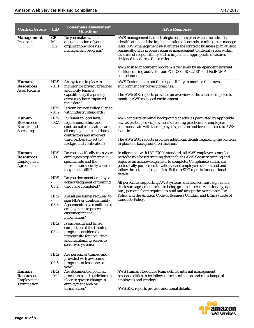| <b>Control Group</b>                                                        | <b>CID</b>               | <b>Consensus Assessment</b><br><b>Questions</b>                                                                                                                                                      | <b>AWS Response</b>                                                                                                                                                                                                                                                                                                                                                                                                                                                                                                                          |
|-----------------------------------------------------------------------------|--------------------------|------------------------------------------------------------------------------------------------------------------------------------------------------------------------------------------------------|----------------------------------------------------------------------------------------------------------------------------------------------------------------------------------------------------------------------------------------------------------------------------------------------------------------------------------------------------------------------------------------------------------------------------------------------------------------------------------------------------------------------------------------------|
| <b>Management</b><br>Program                                                | $_{GR}$<br>$M -$<br>11.2 | Do you make available<br>documentation of your<br>organization-wide risk<br>management program?                                                                                                      | AWS management has a strategic business plan which includes risk<br>identification and the implementation of controls to mitigate or manage<br>risks. AWS management re-evaluates the strategic business plan at least<br>biannually. This process requires management to identify risks within<br>its areas of responsibility and to implement appropriate measures<br>designed to address those risks.<br>AWS Risk Management program is reviewed by independent external<br>auditors during audits for our PCI DSS, ISO 27001 and FedRAMP |
| Human<br><b>Resources</b><br><b>Asset Returns</b>                           | <b>HRS</b><br>$-01.1$    | Are systems in place to<br>monitor for privacy breaches<br>and notify tenants                                                                                                                        | compliance.<br>AWS Customers retain the responsibility to monitor their own<br>environment for privacy breaches.                                                                                                                                                                                                                                                                                                                                                                                                                             |
|                                                                             |                          | expeditiously if a privacy<br>event may have impacted<br>their data?                                                                                                                                 | The AWS SOC reports provides an overview of the controls in place to<br>monitor AWS managed environment.                                                                                                                                                                                                                                                                                                                                                                                                                                     |
|                                                                             | <b>HRS</b><br>$-01.2$    | Is your Privacy Policy aligned<br>with industry standards?                                                                                                                                           |                                                                                                                                                                                                                                                                                                                                                                                                                                                                                                                                              |
| <b>Human</b><br><b>Resources</b><br><b>Background</b><br><b>Screening</b>   | <b>HRS</b><br>$-02.1$    | Pursuant to local laws,<br>regulations, ethics and<br>contractual constraints, are<br>all employment candidates,<br>contractors and involved<br>third parties subject to<br>background verification? | AWS conducts criminal background checks, as permitted by applicable<br>law, as part of pre-employment screening practices for employees<br>commensurate with the employee's position and level of access to AWS<br>facilities.<br>The AWS SOC reports provides additional details regarding the controls<br>in place for background verification.                                                                                                                                                                                            |
| <b>Human</b><br><b>Resources</b><br>Employment<br><b>Agreements</b>         | <b>HRS</b><br>$-03.1$    | Do you specifically train your<br>employees regarding their                                                                                                                                          | In alignment with ISO 27001 standard, all AWS employees complete<br>periodic role based training that includes AWS Security training and                                                                                                                                                                                                                                                                                                                                                                                                     |
|                                                                             |                          | specific role and the<br>information security controls<br>they must fulfill?                                                                                                                         | requires an acknowledgement to complete. Compliance audits are<br>periodically performed to validate that employees understand and<br>follow the established policies. Refer to SOC reports for additional<br>details.                                                                                                                                                                                                                                                                                                                       |
|                                                                             | <b>HRS</b><br>03.2       | Do you document employee<br>acknowledgment of training<br>they have completed?                                                                                                                       | All personnel supporting AWS systems and devices must sign a non-<br>disclosure agreement prior to being granted access. Additionally, upon<br>hire, personnel are required to read and accept the Acceptable Use                                                                                                                                                                                                                                                                                                                            |
|                                                                             | <b>HRS</b><br>03.3       | Are all personnel required to<br>sign NDA or Confidentiality<br>Agreements as a condition of<br>employment to protect<br>customer/tenant<br>information?                                             | Policy and the Amazon Code of Business Conduct and Ethics (Code of<br>Conduct) Policy.                                                                                                                                                                                                                                                                                                                                                                                                                                                       |
|                                                                             | <b>HRS</b><br>03.4       | Is successful and timed<br>completion of the training<br>program considered a<br>prerequisite for acquiring<br>and maintaining access to<br>sensitive systems?                                       |                                                                                                                                                                                                                                                                                                                                                                                                                                                                                                                                              |
|                                                                             | <b>HRS</b>               | Are personnel trained and<br>provided with awareness                                                                                                                                                 |                                                                                                                                                                                                                                                                                                                                                                                                                                                                                                                                              |
|                                                                             | 03.5                     | programs at least once a<br>year?                                                                                                                                                                    |                                                                                                                                                                                                                                                                                                                                                                                                                                                                                                                                              |
| <b>Human</b><br><b>Resources</b><br><b>Employment</b><br><b>Termination</b> | <b>HRS</b><br>$-04.1$    | Are documented policies,<br>procedures and guidelines in<br>place to govern change in<br>employment and/or                                                                                           | AWS Human Resources team defines internal management<br>responsibilities to be followed for termination and role change of<br>employees and vendors.                                                                                                                                                                                                                                                                                                                                                                                         |
|                                                                             |                          | termination?                                                                                                                                                                                         | AWS SOC reports provide additional details.                                                                                                                                                                                                                                                                                                                                                                                                                                                                                                  |

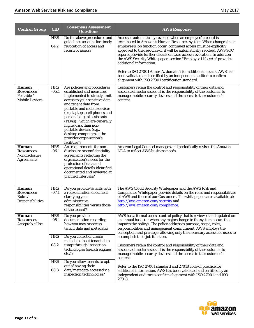| <b>Control Group</b>                                                   | <b>CID</b>            | <b>Consensus Assessment</b><br><b>Questions</b>                                                                                                                                                                                                                                                                                                                                                              | <b>AWS Response</b>                                                                                                                                                                                                                                                                                                                                                                                                                                                                                                                                                                                                                                           |
|------------------------------------------------------------------------|-----------------------|--------------------------------------------------------------------------------------------------------------------------------------------------------------------------------------------------------------------------------------------------------------------------------------------------------------------------------------------------------------------------------------------------------------|---------------------------------------------------------------------------------------------------------------------------------------------------------------------------------------------------------------------------------------------------------------------------------------------------------------------------------------------------------------------------------------------------------------------------------------------------------------------------------------------------------------------------------------------------------------------------------------------------------------------------------------------------------------|
|                                                                        | <b>HRS</b><br>04.2    | Do the above procedures and<br>guidelines account for timely<br>revocation of access and<br>return of assets?                                                                                                                                                                                                                                                                                                | Access is automatically revoked when an employee's record is<br>terminated in Amazon's Human Resources system. When changes in an<br>employee's job function occur, continued access must be explicitly<br>approved to the resource or it will be automatically revoked. AWS SOC<br>reports provide further details on User access revocation. In addition<br>the AWS Security White paper, section "Employee Lifecycle" provides<br>additional information.<br>Refer to ISO 27001 Annex A, domain 7 for additional details. AWS has<br>been validated and certified by an independent auditor to confirm<br>alignment with ISO 27001 certification standard. |
| <b>Human</b><br><b>Resources</b><br>Portable/<br><b>Mobile Devices</b> | <b>HRS</b><br>$-05.1$ | Are policies and procedures<br>established and measures<br>implemented to strictly limit<br>access to your sensitive data<br>and tenant data from<br>portable and mobile devices<br>(e.g. laptops, cell phones and<br>personal digital assistants<br>(PDAs)), which are generally<br>higher-risk than non-<br>portable devices (e.g.,<br>desktop computers at the<br>provider organization's<br>facilities)? | Customers retain the control and responsibility of their data and<br>associated media assets. It is the responsibility of the customer to<br>manage mobile security devices and the access to the customer's<br>content.                                                                                                                                                                                                                                                                                                                                                                                                                                      |
| <b>Human</b><br><b>Resources</b><br>Nondisclosure<br><b>Agreements</b> | <b>HRS</b><br>$-06.1$ | Are requirements for non-<br>disclosure or confidentiality<br>agreements reflecting the<br>organization's needs for the<br>protection of data and<br>operational details identified,<br>documented and reviewed at<br>planned intervals?                                                                                                                                                                     | Amazon Legal Counsel manages and periodically revises the Amazon<br>NDA to reflect AWS business needs.                                                                                                                                                                                                                                                                                                                                                                                                                                                                                                                                                        |
| Human<br><b>Resources</b><br>Roles/<br>Responsibilities                | <b>HRS</b><br>$-07.1$ | Do you provide tenants with<br>a role definition document<br>clarifying your<br>administrative<br>responsibilities versus those<br>of the tenant?                                                                                                                                                                                                                                                            | The AWS Cloud Security Whitepaper and the AWS Risk and<br>Compliance Whitepaper provide details on the roles and responsibilities<br>of AWS and those of our Customers. The whitepapers area available at:<br>http://aws.amazon.com/security and<br>http://aws.amazon.com/compliance.                                                                                                                                                                                                                                                                                                                                                                         |
| Human<br><b>Resources</b><br>Acceptable Use                            | <b>HRS</b><br>$-08.1$ | Do you provide<br>documentation regarding<br>how you may or access<br>tenant data and metadata?                                                                                                                                                                                                                                                                                                              | AWS has a formal access control policy that is reviewed and updated on<br>an annual basis (or when any major change to the system occurs that<br>impacts the policy). The policy addresses purpose, scope, roles,<br>responsibilities and management commitment. AWS employs the<br>concept of least privilege, allowing only the necessary access for users to                                                                                                                                                                                                                                                                                               |
|                                                                        | <b>HRS</b><br>08.2    | Do you collect or create<br>metadata about tenant data<br>usage through inspection<br>technologies (search engines,<br>$etc.$ )?                                                                                                                                                                                                                                                                             | accomplish their job function.<br>Customers retain the control and responsibility of their data and<br>associated media assets. It is the responsibility of the customer to<br>manage mobile security devices and the access to the customer's<br>content.                                                                                                                                                                                                                                                                                                                                                                                                    |
|                                                                        | <b>HRS</b><br>08.3    | Do you allow tenants to opt<br>out of having their<br>data/metadata accessed via<br>inspection technologies?                                                                                                                                                                                                                                                                                                 | Refer to the ISO 27001 standard and 27018 code of practice for<br>additional information. AWS has been validated and certified by an<br>independent auditor to confirm alignment with ISO 27001 and ISO<br>27018.                                                                                                                                                                                                                                                                                                                                                                                                                                             |

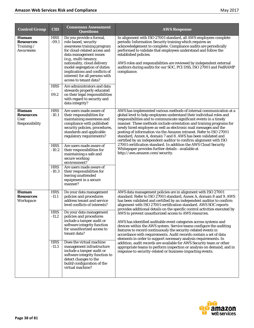| <b>Control Group</b>                                              | <b>CID</b>                                                              | <b>Consensus Assessment</b><br><b>Questions</b>                                                                                                                                                                                                                                                                                                                                                                                                                                      | <b>AWS Response</b>                                                                                                                                                                                                                                                                                                                                                                                                                                                                                                                                                                                                                                                                                                                                                                                                                                                                                                                                                                         |
|-------------------------------------------------------------------|-------------------------------------------------------------------------|--------------------------------------------------------------------------------------------------------------------------------------------------------------------------------------------------------------------------------------------------------------------------------------------------------------------------------------------------------------------------------------------------------------------------------------------------------------------------------------|---------------------------------------------------------------------------------------------------------------------------------------------------------------------------------------------------------------------------------------------------------------------------------------------------------------------------------------------------------------------------------------------------------------------------------------------------------------------------------------------------------------------------------------------------------------------------------------------------------------------------------------------------------------------------------------------------------------------------------------------------------------------------------------------------------------------------------------------------------------------------------------------------------------------------------------------------------------------------------------------|
| Human<br><b>Resources</b><br>Training /<br>Awareness              | <b>HRS</b><br>$-09.1$<br><b>HRS</b><br>09.2                             | Do you provide a formal,<br>role-based, security<br>awareness training program<br>for cloud-related access and<br>data management issues<br>(e.g., multi-tenancy,<br>nationality, cloud delivery<br>model segregation of duties<br>implications and conflicts of<br>interest) for all persons with<br>access to tenant data?<br>Are administrators and data<br>stewards properly educated<br>on their legal responsibilities<br>with regard to security and<br>data integrity?       | In alignment with ISO 27001 standard, all AWS employees complete<br>periodic Information Security training which requires an<br>acknowledgement to complete. Compliance audits are periodically<br>performed to validate that employees understand and follow the<br>established policies.<br>AWS roles and responsibilities are reviewed by independent external<br>auditors during audits for our SOC, PCI DSS, ISO 27001 and FedRAMP<br>compliance.                                                                                                                                                                                                                                                                                                                                                                                                                                                                                                                                      |
| <b>Human</b><br><b>Resources</b><br>User<br><b>Responsibility</b> | <b>HRS</b><br>$-10.1$<br><b>HRS</b><br>$-10.2$<br><b>HRS</b><br>$-10.3$ | Are users made aware of<br>their responsibilities for<br>maintaining awareness and<br>compliance with published<br>security policies, procedures,<br>standards and applicable<br>regulatory requirements?<br>Are users made aware of<br>their responsibilities for<br>maintaining a safe and<br>secure working<br>environment?<br>Are users made aware of<br>their responsibilities for<br>leaving unattended<br>equipment in a secure<br>manner?                                    | AWS has implemented various methods of internal communication at a<br>global level to help employees understand their individual roles and<br>responsibilities and to communicate significant events in a timely<br>manner. These methods include orientation and training programs for<br>newly hired employee as well as electronic mail messages and the<br>posting of information via the Amazon intranet. Refer to ISO 27001<br>standard, Annex A, domain 7 and 8. AWS has been validated and<br>certified by an independent auditor to confirm alignment with ISO<br>27001 certification standard. In addition the AWS Cloud Security<br>Whitepaper provides further details - available at<br>http://aws.amazon.com/security.                                                                                                                                                                                                                                                        |
| Human<br><b>Resources</b><br>Workspace                            | <b>HRS</b><br>$-11.1$<br><b>HRS</b><br>$-11.2$<br><b>HRS</b><br>$-11.3$ | Do your data management<br>policies and procedures<br>address tenant and service<br>level conflicts of interests?<br>Do your data management<br>policies and procedures<br>include a tamper audit or<br>software integrity function<br>for unauthorized access to<br>tenant data?<br>Does the virtual machine<br>management infrastructure<br>include a tamper audit or<br>software integrity function to<br>detect changes to the<br>build/configuration of the<br>virtual machine? | AWS data management policies are in alignment with ISO 27001<br>standard. Refer to ISO 27001 standard, Annex A, domain 8 and 9. AWS<br>has been validated and certified by an independent auditor to confirm<br>alignment with ISO 27001 certification standard. AWS SOC reports<br>provides additional details on the specific control activities executed by<br>AWS to prevent unauthorized access to AWS resources.<br>AWS has identified auditable event categories across systems and<br>devices within the AWS system. Service teams configure the auditing<br>features to record continuously the security-related events in<br>accordance with requirements. Audit records contain a set of data<br>elements in order to support necessary analysis requirements. In<br>addition, audit records are available for AWS Security team or other<br>appropriate teams to perform inspection or analysis on demand, and in<br>response to security-related or business-impacting events. |

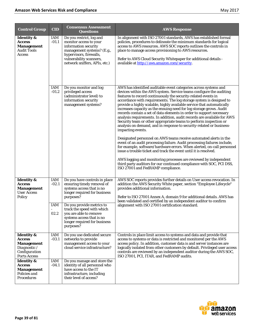| <b>Control Group</b>                                                                                  | <b>CID</b>        | <b>Consensus Assessment</b><br><b>Questions</b>                                                                                                                                                 | <b>AWS Response</b>                                                                                                                                                                                                                                                                                                                                                                                                                                                                                                                                                                                                                                                                                                                                                                                                                                                                                                                                                                                                                                                                                                                                                                                                                    |
|-------------------------------------------------------------------------------------------------------|-------------------|-------------------------------------------------------------------------------------------------------------------------------------------------------------------------------------------------|----------------------------------------------------------------------------------------------------------------------------------------------------------------------------------------------------------------------------------------------------------------------------------------------------------------------------------------------------------------------------------------------------------------------------------------------------------------------------------------------------------------------------------------------------------------------------------------------------------------------------------------------------------------------------------------------------------------------------------------------------------------------------------------------------------------------------------------------------------------------------------------------------------------------------------------------------------------------------------------------------------------------------------------------------------------------------------------------------------------------------------------------------------------------------------------------------------------------------------------|
| <b>Identity &amp;</b><br><b>Access</b><br><b>Management</b><br><b>Audit Tools</b><br><b>Access</b>    | IAM<br>$-01.1$    | Do you restrict, log and<br>monitor access to your<br>information security<br>management systems? (E.g.,<br>hypervisors, firewalls,<br>vulnerability scanners,<br>network sniffers, APIs, etc.) | In alignment with ISO 27001 standards, AWS has established formal<br>policies, procedures to delineate the minimum standards for logical<br>access to AWS resources. AWS SOC reports outlines the controls in<br>place to manage access provisioning to AWS resources.<br>Refer to AWS Cloud Security Whitepaper for additional details -<br>available at http://aws.amazon.com/security.                                                                                                                                                                                                                                                                                                                                                                                                                                                                                                                                                                                                                                                                                                                                                                                                                                              |
|                                                                                                       | IAM<br>$-01.2$    | Do you monitor and log<br>privileged access<br>(administrator level) to<br>information security<br>management systems?                                                                          | AWS has identified auditable event categories across systems and<br>devices within the AWS system. Service teams configure the auditing<br>features to record continuously the security-related events in<br>accordance with requirements. The log storage system is designed to<br>provide a highly scalable, highly available service that automatically<br>increases capacity as the ensuing need for log storage grows. Audit<br>records contain a set of data elements in order to support necessary<br>analysis requirements. In addition, audit records are available for AWS<br>Security team or other appropriate teams to perform inspection or<br>analysis on demand, and in response to security-related or business-<br>impacting events.<br>Designated personnel on AWS teams receive automated alerts in the<br>event of an audit processing failure. Audit processing failures include,<br>for example, software/hardware errors. When alerted, on-call personnel<br>issue a trouble ticket and track the event until it is resolved.<br>AWS logging and monitoring processes are reviewed by independent<br>third party auditors for our continued compliance with SOC, PCI DSS,<br>ISO 27001 and FedRAMP compliance. |
| <b>Identity &amp;</b><br><b>Access</b><br><b>Management</b><br><b>User Access</b><br>Policy           | IAM<br>$-02.1$    | Do you have controls in place<br>ensuring timely removal of<br>systems access that is no<br>longer required for business<br>purposes?                                                           | AWS SOC reports provides further details on User access revocation. In<br>addition the AWS Security White paper, section "Employee Lifecycle"<br>provides additional information.<br>Refer to ISO 27001 Annex A, domain 9 for additional details. AWS has<br>been validated and certified by an independent auditor to confirm                                                                                                                                                                                                                                                                                                                                                                                                                                                                                                                                                                                                                                                                                                                                                                                                                                                                                                         |
|                                                                                                       | IAM<br>÷,<br>02.2 | Do you provide metrics to<br>track the speed with which<br>you are able to remove<br>systems access that is no<br>longer required for business<br>purposes?                                     | alignment with ISO 27001 certification standard.                                                                                                                                                                                                                                                                                                                                                                                                                                                                                                                                                                                                                                                                                                                                                                                                                                                                                                                                                                                                                                                                                                                                                                                       |
| <b>Identity &amp;</b><br><b>Access</b><br>Management<br>Diagnostic /<br>Configuration<br>Ports Access | IAM<br>$-03.1$    | Do you use dedicated secure<br>networks to provide<br>management access to your<br>cloud service infrastructure?                                                                                | Controls in place limit access to systems and data and provide that<br>access to systems or data is restricted and monitored per the AWS<br>access policy. In addition, customer data is and server instances are<br>logically isolated from other customers by default. Privileged user access<br>controls are reviewed by an independent auditor during the AWS SOC,<br>ISO 27001, PCI, ITAR, and FedRAMP audits.                                                                                                                                                                                                                                                                                                                                                                                                                                                                                                                                                                                                                                                                                                                                                                                                                    |
| <b>Identity &amp;</b><br><b>Access</b><br><b>Management</b><br>Policies and<br><b>Procedures</b>      | IAM<br>$-04.1$    | Do you manage and store the<br>identity of all personnel who<br>have access to the IT<br>infrastructure, including<br>their level of access?                                                    |                                                                                                                                                                                                                                                                                                                                                                                                                                                                                                                                                                                                                                                                                                                                                                                                                                                                                                                                                                                                                                                                                                                                                                                                                                        |

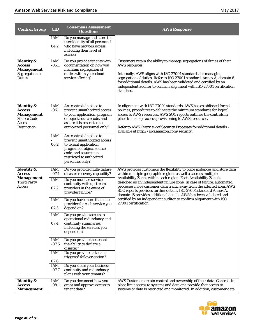| <b>Control Group</b>                                                                                                                                                                                              | <b>CID</b>                                                                                                                             | <b>Consensus Assessment</b><br><b>Questions</b>                                                                                                                                                               | <b>AWS Response</b>                                                                                                                                                                                                                                                                                                                                                                                                                   |
|-------------------------------------------------------------------------------------------------------------------------------------------------------------------------------------------------------------------|----------------------------------------------------------------------------------------------------------------------------------------|---------------------------------------------------------------------------------------------------------------------------------------------------------------------------------------------------------------|---------------------------------------------------------------------------------------------------------------------------------------------------------------------------------------------------------------------------------------------------------------------------------------------------------------------------------------------------------------------------------------------------------------------------------------|
|                                                                                                                                                                                                                   | IAM<br>04.2                                                                                                                            | Do you manage and store the<br>user identity of all personnel<br>who have network access,<br>including their level of<br>access?                                                                              |                                                                                                                                                                                                                                                                                                                                                                                                                                       |
| <b>Identity &amp;</b><br><b>Access</b><br><b>Management</b><br>Segregation of<br><b>Duties</b>                                                                                                                    | IAM<br>$-05.1$                                                                                                                         | Do you provide tenants with<br>documentation on how you<br>maintain segregation of<br>duties within your cloud<br>service offering?                                                                           | Customers retain the ability to manage segregations of duties of their<br>AWS resources.<br>Internally, AWS aligns with ISO 27001 standards for managing<br>segregation of duties. Refer to ISO 27001 standard, Annex A, domain 6<br>for additional details. AWS has been validated and certified by an<br>independent auditor to confirm alignment with ISO 27001 certification<br>standard.                                         |
| <b>Identity &amp;</b><br><b>Access</b><br><b>Management</b><br>Source Code<br>Access<br><b>Restriction</b>                                                                                                        | IAM<br>$-06.1$<br>IAM                                                                                                                  | Are controls in place to<br>prevent unauthorized access<br>to your application, program<br>or object source code, and<br>assure it is restricted to<br>authorized personnel only?<br>Are controls in place to | In alignment with ISO 27001 standards, AWS has established formal<br>policies, procedures to delineate the minimum standards for logical<br>access to AWS resources. AWS SOC reports outlines the controls in<br>place to manage access provisioning to AWS resources.<br>Refer to AWS Overview of Security Processes for additional details -<br>available at http://aws.amazon.com/security.                                        |
|                                                                                                                                                                                                                   | 06.2                                                                                                                                   | prevent unauthorized access<br>to tenant application,<br>program or object source<br>code, and assure it is<br>restricted to authorized<br>personnel only?                                                    |                                                                                                                                                                                                                                                                                                                                                                                                                                       |
| <b>Identity &amp;</b><br>Access<br><b>Management</b><br><b>Third Party</b><br><b>Access</b>                                                                                                                       | IAM<br>$-07.1$<br><b>IAM</b><br>07.2                                                                                                   | Do you provide multi-failure<br>disaster recovery capability?<br>Do you monitor service<br>continuity with upstream<br>providers in the event of<br>provider failure?                                         | AWS provides customers the flexibility to place instances and store data<br>within multiple geographic regions as well as across multiple<br>Availability Zones within each region. Each Availability Zone is<br>designed as an independent failure zone. In case of failure, automated<br>processes move customer data traffic away from the affected area. AWS<br>SOC reports provides further details. ISO 27001 standard Annex A, |
| IAM<br>Do you have more than one<br>27001 certification.<br>provider for each service you<br>07.3<br>depend on?<br>IAM<br>Do you provide access to<br>operational redundancy and<br>07.4<br>continuity summaries, | domain 15 provides additional details. AWS has been validated and<br>certified by an independent auditor to confirm alignment with ISO |                                                                                                                                                                                                               |                                                                                                                                                                                                                                                                                                                                                                                                                                       |
|                                                                                                                                                                                                                   | IAM<br>$-07.5$<br>IAM                                                                                                                  | including the services you<br>depend on?<br>Do you provide the tenant<br>the ability to declare a<br>disaster?<br>Do you provided a tenant-<br>triggered failover option?                                     |                                                                                                                                                                                                                                                                                                                                                                                                                                       |
| <b>Identity &amp;</b>                                                                                                                                                                                             | 07.6<br>IAM<br>$-07.7$<br>IAM                                                                                                          | Do you share your business<br>continuity and redundancy<br>plans with your tenants?<br>Do you document how you                                                                                                | AWS Customers retain control and ownership of their data. Controls in                                                                                                                                                                                                                                                                                                                                                                 |
| <b>Access</b><br><b>Management</b>                                                                                                                                                                                | $-08.1$                                                                                                                                | grant and approve access to<br>tenant data?                                                                                                                                                                   | place limit access to systems and data and provide that access to<br>systems or data is restricted and monitored. In addition, customer data                                                                                                                                                                                                                                                                                          |

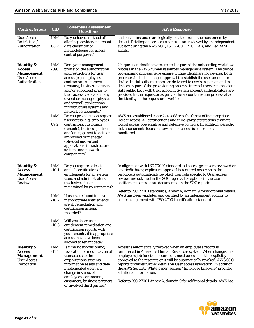| <b>Control Group</b>                                                                               | <b>CID</b>                                                                                                                 | <b>Consensus Assessment</b><br><b>Questions</b>                                                                                                                                                                                                                                                                                                                                                                     | <b>AWS Response</b>                                                                                                                                                                                                                                                                                                                                                                                                                                                                                                                                                                                                                                                                                                                                                                                      |
|----------------------------------------------------------------------------------------------------|----------------------------------------------------------------------------------------------------------------------------|---------------------------------------------------------------------------------------------------------------------------------------------------------------------------------------------------------------------------------------------------------------------------------------------------------------------------------------------------------------------------------------------------------------------|----------------------------------------------------------------------------------------------------------------------------------------------------------------------------------------------------------------------------------------------------------------------------------------------------------------------------------------------------------------------------------------------------------------------------------------------------------------------------------------------------------------------------------------------------------------------------------------------------------------------------------------------------------------------------------------------------------------------------------------------------------------------------------------------------------|
| <b>User Access</b><br><i>Restriction</i> /<br>Authorization                                        | IAM<br>08.2                                                                                                                | Do you have a method of<br>aligning provider and tenant<br>data classification<br>methodologies for access<br>control purposes?                                                                                                                                                                                                                                                                                     | and server instances are logically isolated from other customers by<br>default. Privileged user access controls are reviewed by an independent<br>auditor during the AWS SOC, ISO 27001, PCI, ITAR, and FedRAMP<br>audits.                                                                                                                                                                                                                                                                                                                                                                                                                                                                                                                                                                               |
| <b>Identity &amp;</b><br><b>Access</b><br><b>Management</b><br><b>User Access</b><br>Authorization | IAM<br>$-09.1$<br>IAM                                                                                                      | Does your management<br>provision the authorization<br>and restrictions for user<br>access (e.g. employees,<br>contractors, customers<br>(tenants), business partners<br>and/or suppliers) prior to<br>their access to data and any<br>owned or managed (physical<br>and virtual) applications,<br>infrastructure systems and<br>network components?<br>Do you provide upon request<br>user access (e.g. employees, | Unique user identifiers are created as part of the onboarding workflow<br>process in the AWS human resources management system. The device<br>provisioning process helps ensure unique identifiers for devices. Both<br>processes include manager approval to establish the user account or<br>device. Initial authenticators are delivered to user's in-person and to<br>devices as part of the provisioning process. Internal users can associate<br>SSH public keys with their account. System account authenticators are<br>provided to the requestor as part of the account creation process after<br>the identity of the requestor is verified.<br>AWS has established controls to address the threat of inappropriate<br>insider access. All certifications and third-party attestations evaluate |
|                                                                                                    | 09.2                                                                                                                       | contractors, customers<br>(tenants), business partners<br>and/or suppliers) to data and<br>any owned or managed<br>(physical and virtual)<br>applications, infrastructure<br>systems and network<br>components?                                                                                                                                                                                                     | logical access preventative and detective controls. In addition, periodic<br>risk assessments focus on how insider access is controlled and<br>monitored.                                                                                                                                                                                                                                                                                                                                                                                                                                                                                                                                                                                                                                                |
| <b>Identity &amp;</b><br><b>Access</b><br><b>Management</b><br><b>User Access</b><br>Reviews       | IAM<br>$-10.1$                                                                                                             | Do you require at least<br>annual certification of<br>entitlements for all system<br>users and administrators<br>(exclusive of users<br>maintained by your tenants)?                                                                                                                                                                                                                                                | In alignment with ISO 27001 standard, all access grants are reviewed on<br>a periodic basis; explicit re-approval is required or access to the<br>resource is automatically revoked. Controls specific to User Access<br>reviews are outlined in the SOC reports. Exceptions in the User<br>entitlement controls are documented in the SOC reports.<br>Refer to ISO 27001 standards, Annex A, domain 9 for additional details.                                                                                                                                                                                                                                                                                                                                                                           |
| <b>IAM</b><br>$-10.2$                                                                              | If users are found to have<br>inappropriate entitlements,<br>are all remediation and<br>certification actions<br>recorded? | AWS has been validated and certified by an independent auditor to<br>confirm alignment with ISO 27001 certification standard.                                                                                                                                                                                                                                                                                       |                                                                                                                                                                                                                                                                                                                                                                                                                                                                                                                                                                                                                                                                                                                                                                                                          |
|                                                                                                    | IAM<br>$-10.3$                                                                                                             | Will you share user<br>entitlement remediation and<br>certification reports with<br>your tenants, if inappropriate<br>access may have been<br>allowed to tenant data?                                                                                                                                                                                                                                               |                                                                                                                                                                                                                                                                                                                                                                                                                                                                                                                                                                                                                                                                                                                                                                                                          |
| <b>Identity &amp;</b><br><b>Access</b><br><b>Management</b><br><b>User Access</b><br>Revocation    | IAM<br>$-11.1$                                                                                                             | Is timely deprovisioning,<br>revocation or modification of<br>user access to the<br>organizations systems,<br>information assets and data<br>implemented upon any<br>change in status of<br>employees, contractors,<br>customers, business partners<br>or involved third parties?                                                                                                                                   | Access is automatically revoked when an employee's record is<br>terminated in Amazon's Human Resources system. When changes in an<br>employee's job function occur, continued access must be explicitly<br>approved to the resource or it will be automatically revoked. AWS SOC<br>reports provides further details on User access revocation. In addition<br>the AWS Security White paper, section "Employee Lifecycle" provides<br>additional information.<br>Refer to ISO 27001 Annex A, domain 9 for additional details. AWS has                                                                                                                                                                                                                                                                    |

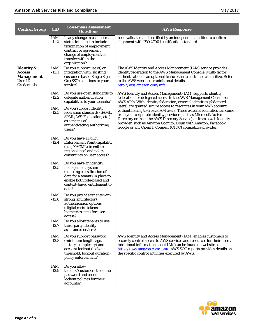| <b>Control Group</b>                                                              | <b>CID</b>     | <b>Consensus Assessment</b><br><b>Questions</b>                                                                                                                                       | <b>AWS Response</b>                                                                                                                                                                                                                                                                                                                                                                                                 |
|-----------------------------------------------------------------------------------|----------------|---------------------------------------------------------------------------------------------------------------------------------------------------------------------------------------|---------------------------------------------------------------------------------------------------------------------------------------------------------------------------------------------------------------------------------------------------------------------------------------------------------------------------------------------------------------------------------------------------------------------|
|                                                                                   | IAM<br>$-11.2$ | Is any change in user access<br>status intended to include<br>termination of employment,<br>contract or agreement,<br>change of employment or<br>transfer within the<br>organization? | been validated and certified by an independent auditor to confirm<br>alignment with ISO 27001 certification standard.                                                                                                                                                                                                                                                                                               |
| <b>Identity</b> &<br><b>Access</b><br><b>Management</b><br>User ID<br>Credentials | IAM<br>$-12.1$ | Do you support use of, or<br>integration with, existing<br>customer-based Single Sign<br>On (SSO) solutions to your<br>service?                                                       | The AWS Identity and Access Management (IAM) service provides<br>identity federation to the AWS Management Console. Multi-factor<br>authentication is an optional feature that a customer can utilize. Refer<br>to the AWS website for additional details -<br>http://aws.amazon.com/mfa.                                                                                                                           |
|                                                                                   | IAM<br>$-12.2$ | Do you use open standards to<br>delegate authentication<br>capabilities to your tenants?                                                                                              | AWS Identity and Access Management (IAM) supports identity<br>federation for delegated access to the AWS Management Console or<br>AWS APIs. With identity federation, external identities (federated                                                                                                                                                                                                                |
|                                                                                   | IAM<br>$-12.3$ | Do you support identity<br>federation standards (SAML,<br>SPML, WS-Federation, etc.)<br>as a means of<br>authenticating/authorizing<br>users?                                         | users) are granted secure access to resources in your AWS account<br>without having to create IAM users. These external identities can come<br>from your corporate identity provider (such as Microsoft Active<br>Directory or from the AWS Directory Service) or from a web identity<br>provider, such as Amazon Cognito, Login with Amazon, Facebook,<br>Google or any OpenID Connect (OIDC) compatible provider. |
|                                                                                   | IAM<br>$-12.4$ | Do you have a Policy<br><b>Enforcement Point capability</b><br>(e.g., XACML) to enforce<br>regional legal and policy<br>constraints on user access?                                   |                                                                                                                                                                                                                                                                                                                                                                                                                     |
|                                                                                   | IAM<br>$-12.5$ | Do you have an identity<br>management system<br>(enabling classification of<br>data for a tenant) in place to<br>enable both role-based and<br>context-based entitlement to<br>data?  |                                                                                                                                                                                                                                                                                                                                                                                                                     |
|                                                                                   | IAM<br>$-12.6$ | Do you provide tenants with<br>strong (multifactor)<br>authentication options<br>(digital certs, tokens,<br>biometrics, etc.) for user<br>access?                                     |                                                                                                                                                                                                                                                                                                                                                                                                                     |
|                                                                                   | IAM<br>$-12.7$ | Do you allow tenants to use<br>third-party identity<br>assurance services?                                                                                                            |                                                                                                                                                                                                                                                                                                                                                                                                                     |
|                                                                                   | IAM<br>$-12.8$ | Do you support password<br>(minimum length, age,<br>history, complexity) and<br>account lockout (lockout<br>threshold, lockout duration)<br>policy enforcement?                       | AWS Identity and Access Management (IAM) enables customers to<br>securely control access to AWS services and resources for their users.<br>Additional information about IAM can be found on website at<br>https://aws.amazon.com/iam/. AWS SOC reports provides details on<br>the specific control activities executed by AWS.                                                                                      |
|                                                                                   | IAM<br>$-12.9$ | Do you allow<br>tenants/customers to define<br>password and account<br>lockout policies for their<br>accounts?                                                                        |                                                                                                                                                                                                                                                                                                                                                                                                                     |

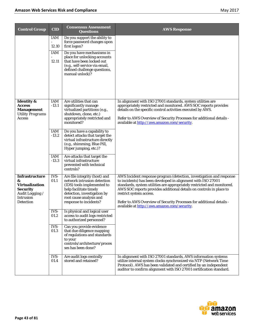| <b>Control Group</b>                                                                                                              | <b>CID</b>                          | <b>Consensus Assessment</b><br><b>Questions</b>                                                                                                                                                                                                             | <b>AWS Response</b>                                                                                                                                                                                                                                                                                                                                                                                                                       |
|-----------------------------------------------------------------------------------------------------------------------------------|-------------------------------------|-------------------------------------------------------------------------------------------------------------------------------------------------------------------------------------------------------------------------------------------------------------|-------------------------------------------------------------------------------------------------------------------------------------------------------------------------------------------------------------------------------------------------------------------------------------------------------------------------------------------------------------------------------------------------------------------------------------------|
|                                                                                                                                   | <b>IAM</b><br>12.10<br>IAM<br>12.11 | Do you support the ability to<br>force password changes upon<br>first logon?<br>Do you have mechanisms in<br>place for unlocking accounts<br>that have been locked out<br>(e.g., self-service via email,<br>defined challenge questions,<br>manual unlock)? |                                                                                                                                                                                                                                                                                                                                                                                                                                           |
| <b>Identity &amp;</b><br><b>Access</b><br><b>Management</b><br><b>Utility Programs</b><br>Access                                  | IAM<br>$-13.1$                      | Are utilities that can<br>significantly manage<br>virtualized partitions (e.g.,<br>shutdown, clone, etc.)<br>appropriately restricted and<br>monitored?                                                                                                     | In alignment with ISO 27001 standards, system utilities are<br>appropriately restricted and monitored. AWS SOC reports provides<br>details on the specific control activities executed by AWS.<br>Refer to AWS Overview of Security Processes for additional details -<br>available at http://aws.amazon.com/security.                                                                                                                    |
|                                                                                                                                   | IAM<br>$-13.2$                      | Do you have a capability to<br>detect attacks that target the<br>virtual infrastructure directly<br>(e.g., shimming, Blue Pill,<br>Hyper jumping, etc.)?                                                                                                    |                                                                                                                                                                                                                                                                                                                                                                                                                                           |
|                                                                                                                                   | IAM<br>$-13.3$                      | Are attacks that target the<br>virtual infrastructure<br>prevented with technical<br>controls?                                                                                                                                                              |                                                                                                                                                                                                                                                                                                                                                                                                                                           |
| <b>Infrastructure</b><br>&<br><b>Virtualization</b><br><b>Security</b><br>Audit Logging /<br><b>Intrusion</b><br><b>Detection</b> | IVS-<br>01.1                        | Are file integrity (host) and<br>network intrusion detection<br>(IDS) tools implemented to<br>help facilitate timely<br>detection, investigation by<br>root cause analysis and<br>response to incidents?                                                    | AWS Incident response program (detection, investigation and response<br>to incidents) has been developed in alignment with ISO 27001<br>standards, system utilities are appropriately restricted and monitored.<br>AWS SOC reports provides additional details on controls in place to<br>restrict system access.<br>Refer to AWS Overview of Security Processes for additional details -<br>available at http://aws.amazon.com/security. |
|                                                                                                                                   | IVS-<br>01.2                        | Is physical and logical user<br>access to audit logs restricted<br>to authorized personnel?                                                                                                                                                                 |                                                                                                                                                                                                                                                                                                                                                                                                                                           |
|                                                                                                                                   | IVS-<br>01.3                        | Can you provide evidence<br>that due diligence mapping<br>of regulations and standards<br>to your<br>controls/architecture/proces<br>ses has been done?                                                                                                     |                                                                                                                                                                                                                                                                                                                                                                                                                                           |
|                                                                                                                                   | IVS-<br>01.4                        | Are audit logs centrally<br>stored and retained?                                                                                                                                                                                                            | In alignment with ISO 27001 standards, AWS information systems<br>utilize internal system clocks synchronized via NTP (Network Time<br>Protocol). AWS has been validated and certified by an independent<br>auditor to confirm alignment with ISO 27001 certification standard.                                                                                                                                                           |

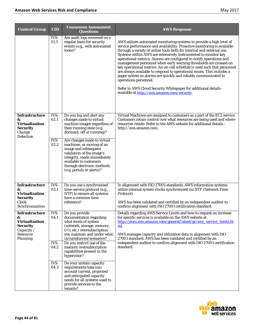| <b>Control Group</b>                                                                                  | <b>CID</b>                                   | <b>Consensus Assessment</b><br><b>Questions</b>                                                                                                                                                                                                                                                                                                                                                                                                                                          | <b>AWS Response</b>                                                                                                                                                                                                                                                                                                                                                                                                                                                                                                                                                                                                                                                                                                                                                                                         |
|-------------------------------------------------------------------------------------------------------|----------------------------------------------|------------------------------------------------------------------------------------------------------------------------------------------------------------------------------------------------------------------------------------------------------------------------------------------------------------------------------------------------------------------------------------------------------------------------------------------------------------------------------------------|-------------------------------------------------------------------------------------------------------------------------------------------------------------------------------------------------------------------------------------------------------------------------------------------------------------------------------------------------------------------------------------------------------------------------------------------------------------------------------------------------------------------------------------------------------------------------------------------------------------------------------------------------------------------------------------------------------------------------------------------------------------------------------------------------------------|
|                                                                                                       | IVS-<br>01.5                                 | Are audit logs reviewed on a<br>regular basis for security<br>events (e.g., with automated<br>tools)?                                                                                                                                                                                                                                                                                                                                                                                    | AWS utilizes automated monitoring systems to provide a high level of<br>service performance and availability. Proactive monitoring is available<br>through a variety of online tools both for internal and external use.<br>Systems within AWS are extensively instrumented to monitor key<br>operational metrics. Alarms are configured to notify operations and<br>management personnel when early warning thresholds are crossed on<br>key operational metrics. An on-call schedule is used such that personnel<br>are always available to respond to operational issues. This includes a<br>pager system so alarms are quickly and reliably communicated to<br>operations personnel.<br>Refer to AWS Cloud Security Whitepaper for additional details -<br>available at http://aws.amazon.com/security. |
| <b>Infrastructure</b><br>&<br><b>Virtualization</b><br><b>Security</b><br>Change<br><b>Detection</b>  | IVS-<br>02.1<br>$IVS-$<br>02.2               | Do you log and alert any<br>changes made to virtual<br>machine images regardless of<br>their running state (e.g.<br>dormant, off or running)?<br>Are changes made to virtual<br>machines, or moving of an<br>image and subsequent<br>validation of the image's<br>integrity, made immediately<br>available to customers<br>through electronic methods<br>(e.g. portals or alerts)?                                                                                                       | Virtual Machines are assigned to customers as a part of the EC2 service.<br>Customers retain control over what resources are being used and where<br>resources reside. Refer to the AWS website for additional details -<br>http://aws.amazon.com.                                                                                                                                                                                                                                                                                                                                                                                                                                                                                                                                                          |
| <b>Infrastructure</b><br>&<br><b>Virtualization</b><br><b>Security</b><br>Clock<br>Synchronization    | IVS-<br>03.1                                 | Do you use a synchronized<br>time-service protocol (e.g.,<br>NTP) to ensure all systems<br>have a common time<br>reference?                                                                                                                                                                                                                                                                                                                                                              | In alignment with ISO 27001 standards, AWS information systems<br>utilize internal system clocks synchronized via NTP (Network Time<br>Protocol).<br>AWS has been validated and certified by an independent auditor to<br>confirm alignment with ISO 27001 certification standard.                                                                                                                                                                                                                                                                                                                                                                                                                                                                                                                          |
| Infrastructure<br>&<br><b>Virtualization</b><br><b>Security</b><br>Capacity /<br>Resource<br>Planning | IVS-<br>04.1<br>IVS-<br>04.2<br>IVS-<br>04.3 | Do you provide<br>documentation regarding<br>what levels of system<br>(network, storage, memory,<br>I/O, etc.) oversubscription<br>you maintain and under what<br>circumstances/scenarios?<br>Do you restrict use of the<br>memory oversubscription<br>capabilities present in the<br>hypervisor?<br>Do your system capacity<br>requirements take into<br>account current, projected<br>and anticipated capacity<br>needs for all systems used to<br>provide services to the<br>tenants? | Details regarding AWS Service Limits and how to request an increase<br>for specific services is available on the AWS website at<br>http://docs.aws.amazon.com/general/latest/gr/aws_service_limits.ht<br>ml.<br>AWS manages capacity and utilization data in alignment with ISO<br>27001 standard. AWS has been validated and certified by an<br>independent auditor to confirm alignment with ISO 27001 certification<br>standard.                                                                                                                                                                                                                                                                                                                                                                         |

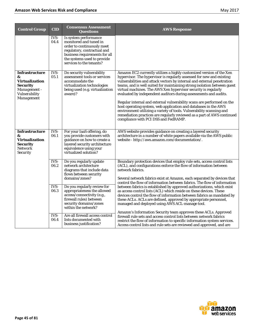| <b>Control Group</b>                                                                                           | <b>CID</b>          | <b>Consensus Assessment</b><br>Questions                                                                                                                                                                 | <b>AWS Response</b>                                                                                                                                                                                                                                                                                                                                                                                                                                                                                                                                                                                                                                                                                                                                                                |
|----------------------------------------------------------------------------------------------------------------|---------------------|----------------------------------------------------------------------------------------------------------------------------------------------------------------------------------------------------------|------------------------------------------------------------------------------------------------------------------------------------------------------------------------------------------------------------------------------------------------------------------------------------------------------------------------------------------------------------------------------------------------------------------------------------------------------------------------------------------------------------------------------------------------------------------------------------------------------------------------------------------------------------------------------------------------------------------------------------------------------------------------------------|
|                                                                                                                | IVS-<br>04.4        | Is system performance<br>monitored and tuned in<br>order to continuously meet<br>regulatory, contractual and<br>business requirements for all<br>the systems used to provide<br>services to the tenants? |                                                                                                                                                                                                                                                                                                                                                                                                                                                                                                                                                                                                                                                                                                                                                                                    |
| <b>Infrastructure</b><br>&<br><b>Virtualization</b><br>Security<br>Management -<br>Vulnerability<br>Management | IVS-<br>05.1        | Do security vulnerability<br>assessment tools or services<br>accommodate the<br>virtualization technologies<br>being used (e.g. virtualization<br>aware)?                                                | Amazon EC2 currently utilizes a highly customized version of the Xen<br>hypervisor. The hypervisor is regularly assessed for new and existing<br>vulnerabilities and attack vectors by internal and external penetration<br>teams, and is well suited for maintaining strong isolation between guest<br>virtual machines. The AWS Xen hypervisor security is regularly<br>evaluated by independent auditors during assessments and audits.<br>Regular internal and external vulnerability scans are performed on the<br>host operating system, web application and databases in the AWS<br>environment utilizing a variety of tools. Vulnerability scanning and<br>remediation practices are regularly reviewed as a part of AWS continued<br>compliance with PCI DSS and FedRAMP. |
| <b>Infrastructure</b><br>&<br><b>Virtualization</b><br><b>Security</b><br><b>Network</b><br><b>Security</b>    | IVS-<br>06.1        | For your IaaS offering, do<br>you provide customers with<br>guidance on how to create a<br>layered security architecture<br>equivalence using your<br>virtualized solution?                              | AWS website provides guidance on creating a layered security<br>architecture in a number of white papers available via the AWS public<br>website - http://aws.amazon.com/documentation/.                                                                                                                                                                                                                                                                                                                                                                                                                                                                                                                                                                                           |
|                                                                                                                | IVS-<br>06.2        | Do you regularly update<br>network architecture<br>diagrams that include data<br>flows between security<br>domains/zones?                                                                                | Boundary protection devices that employ rule sets, access control lists<br>(ACL), and configurations enforce the flow of information between<br>network fabrics.<br>Several network fabrics exist at Amazon, each separated by devices that<br>control the flow of information between fabrics. The flow of information                                                                                                                                                                                                                                                                                                                                                                                                                                                            |
|                                                                                                                | $IVS-$<br>06.3      | Do you regularly review for<br>appropriateness the allowed<br>access/connectivity (e.g.,<br>firewall rules) between<br>security domains/zones<br>within the network?                                     | between fabrics is established by approved authorizations, which exist<br>as access control lists (ACL) which reside on these devices. These<br>devices control the flow of information between fabrics as mandated by<br>these ACLs. ACLs are defined, approved by appropriate personnel,<br>managed and deployed using AWS ACL-manage tool.                                                                                                                                                                                                                                                                                                                                                                                                                                      |
|                                                                                                                | <b>IVS-</b><br>06.4 | Are all firewall access control<br>lists documented with<br>business justification?                                                                                                                      | Amazon's Information Security team approves these ACLs. Approved<br>firewall rule sets and access control lists between network fabrics<br>restrict the flow of information to specific information system services.<br>Access control lists and rule sets are reviewed and approved, and are                                                                                                                                                                                                                                                                                                                                                                                                                                                                                      |

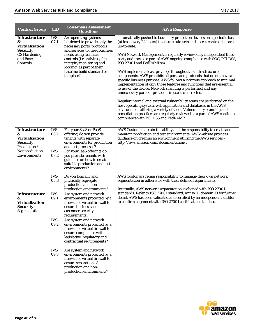| <b>Control Group</b>                                                                                                                  | <b>CID</b>                   | <b>Consensus Assessment</b><br><b>Questions</b>                                                                                                                                                                                                                                    | <b>AWS Response</b>                                                                                                                                                                                                                                                                                                                                                                                                                                                                                                                                                                                                                                                                                                                                                                                                                                                                                                                                                                                                                                                                                       |
|---------------------------------------------------------------------------------------------------------------------------------------|------------------------------|------------------------------------------------------------------------------------------------------------------------------------------------------------------------------------------------------------------------------------------------------------------------------------|-----------------------------------------------------------------------------------------------------------------------------------------------------------------------------------------------------------------------------------------------------------------------------------------------------------------------------------------------------------------------------------------------------------------------------------------------------------------------------------------------------------------------------------------------------------------------------------------------------------------------------------------------------------------------------------------------------------------------------------------------------------------------------------------------------------------------------------------------------------------------------------------------------------------------------------------------------------------------------------------------------------------------------------------------------------------------------------------------------------|
| Infrastructure<br>&<br><b>Virtualization</b><br><b>Security</b><br><b>OS Hardening</b><br>and Base<br>Controls                        | IVS-<br>07.1                 | Are operating systems<br>hardened to provide only the<br>necessary ports, protocols<br>and services to meet business<br>needs using technical<br>controls (i.e antivirus, file<br>integrity monitoring and<br>logging) as part of their<br>baseline build standard or<br>template? | automatically pushed to boundary protection devices on a periodic basis<br>(at least every 24 hours) to ensure rule-sets and access control lists are<br>up-to-date.<br>AWS Network Management is regularly reviewed by independent third-<br>party auditors as a part of AWS ongoing compliance with SOC, PCI DSS,<br>ISO 27001 and FedRAMPsm.<br>AWS implements least privilege throughout its infrastructure<br>components. AWS prohibits all ports and protocols that do not have a<br>specific business purpose. AWS follows a rigorous approach to minimal<br>implementation of only those features and functions that are essential<br>to use of the device. Network scanning is performed and any<br>unnecessary ports or protocols in use are corrected.<br>Regular internal and external vulnerability scans are performed on the<br>host operating system, web application and databases in the AWS<br>environment utilizing a variety of tools. Vulnerability scanning and<br>remediation practices are regularly reviewed as a part of AWS continued<br>compliance with PCI DSS and FedRAMP. |
| <b>Infrastructure</b><br>&<br><b>Virtualization</b><br><b>Security</b><br>Production /<br>Nonproduction<br><i><b>Environments</b></i> | IVS-<br>08.1<br>IVS-<br>08.2 | For your SaaS or PaaS<br>offering, do you provide<br>tenants with separate<br>environments for production<br>and test processes?<br>For your IaaS offering, do<br>you provide tenants with<br>guidance on how to create<br>suitable production and test<br>environments?           | AWS Customers retain the ability and the responsibility to create and<br>maintain production and test environments. AWS website provides<br>guidance on creating an environment utilizing the AWS services -<br>http://aws.amazon.com/documentation/.                                                                                                                                                                                                                                                                                                                                                                                                                                                                                                                                                                                                                                                                                                                                                                                                                                                     |
|                                                                                                                                       | IVS-<br>08.3                 | Do you logically and<br>physically segregate<br>production and non-<br>production environments?                                                                                                                                                                                    | AWS Customers retain responsibility to manage their own network<br>segmentation in adherence with their defined requirements.<br>Internally, AWS network segmentation is aligned with ISO 27001                                                                                                                                                                                                                                                                                                                                                                                                                                                                                                                                                                                                                                                                                                                                                                                                                                                                                                           |
| <b>Infrastructure</b><br>&<br><b>Virtualization</b><br><b>Security</b><br>Segmentation                                                | IVS-<br>09.1<br>IVS-         | Are system and network<br>environments protected by a<br>firewall or virtual firewall to<br>ensure business and<br>customer security<br>requirements?<br>Are system and network                                                                                                    | standards. Refer to ISO 27001 standard, Annex A. domain 13 for further<br>detail. AWS has been validated and certified by an independent auditor<br>to confirm alignment with ISO 27001 certification standard.                                                                                                                                                                                                                                                                                                                                                                                                                                                                                                                                                                                                                                                                                                                                                                                                                                                                                           |
|                                                                                                                                       | 09.2                         | environments protected by a<br>firewall or virtual firewall to<br>ensure compliance with<br>legislative, regulatory and<br>contractual requirements?                                                                                                                               |                                                                                                                                                                                                                                                                                                                                                                                                                                                                                                                                                                                                                                                                                                                                                                                                                                                                                                                                                                                                                                                                                                           |
|                                                                                                                                       | IVS-<br>09.3                 | Are system and network<br>environments protected by a<br>firewall or virtual firewall to<br>ensure separation of<br>production and non-<br>production environments?                                                                                                                |                                                                                                                                                                                                                                                                                                                                                                                                                                                                                                                                                                                                                                                                                                                                                                                                                                                                                                                                                                                                                                                                                                           |

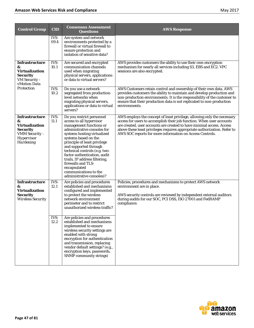| <b>Control Group</b>                                                                                                       | <b>CID</b>   | <b>Consensus Assessment</b><br><b>Questions</b>                                                                                                                                                                                                                                                                                                                                                                               | <b>AWS Response</b>                                                                                                                                                                                                                                                                                                                                                |
|----------------------------------------------------------------------------------------------------------------------------|--------------|-------------------------------------------------------------------------------------------------------------------------------------------------------------------------------------------------------------------------------------------------------------------------------------------------------------------------------------------------------------------------------------------------------------------------------|--------------------------------------------------------------------------------------------------------------------------------------------------------------------------------------------------------------------------------------------------------------------------------------------------------------------------------------------------------------------|
|                                                                                                                            | IVS-<br>09.4 | Are system and network<br>environments protected by a<br>firewall or virtual firewall to<br>ensure protection and<br>isolation of sensitive data?                                                                                                                                                                                                                                                                             |                                                                                                                                                                                                                                                                                                                                                                    |
| <b>Infrastructure</b><br>&<br><b>Virtualization</b><br><b>Security</b><br>VM Security -<br>vMotion Data                    | IVS-<br>10.1 | Are secured and encrypted<br>communication channels<br>used when migrating<br>physical servers, applications<br>or data to virtual servers?                                                                                                                                                                                                                                                                                   | AWS provides customers the ability to use their own encryption<br>mechanism for nearly all services including S3, EBS and EC2. VPC<br>sessions are also encrypted.                                                                                                                                                                                                 |
| Protection                                                                                                                 | IVS-<br>10.2 | Do you use a network<br>segregated from production-<br>level networks when<br>migrating physical servers,<br>applications or data to virtual<br>servers?                                                                                                                                                                                                                                                                      | AWS Customers retain control and ownership of their own data. AWS<br>provides customers the ability to maintain and develop production and<br>non-production environments. It is the responsibility of the customer to<br>ensure that their production data is not replicated to non-production<br>environments.                                                   |
| <b>Infrastructure</b><br>&<br><b>Virtualization</b><br><b>Security</b><br>VMM Security -<br>Hypervisor<br><b>Hardening</b> | IVS-<br>11.1 | Do you restrict personnel<br>access to all hypervisor<br>management functions or<br>administrative consoles for<br>systems hosting virtualized<br>systems based on the<br>principle of least privilege<br>and supported through<br>technical controls (e.g. two-<br>factor authentication, audit<br>trails, IP address filtering,<br>firewalls and TLS-<br>encapsulated<br>communications to the<br>administrative consoles)? | AWS employs the concept of least privilege, allowing only the necessary<br>access for users to accomplish their job function. When user accounts<br>are created, user accounts are created to have minimal access. Access<br>above these least privileges requires appropriate authorization. Refer to<br>AWS SOC reports for more information on Access Controls. |
| <b>Infrastructure</b><br>&<br><b>Virtualization</b><br><b>Security</b><br><b>Wireless Security</b>                         | IVS-<br>12.1 | Are policies and procedures<br>established and mechanisms<br>configured and implemented<br>to protect the wireless<br>network environment<br>perimeter and to restrict<br>unauthorized wireless traffic?                                                                                                                                                                                                                      | Policies, procedures and mechanisms to protect AWS network<br>environment are in place.<br>AWS security controls are reviewed by independent external auditors<br>during audits for our SOC, PCI DSS, ISO 27001 and FedRAMP<br>compliance.                                                                                                                         |
|                                                                                                                            | IVS-<br>12.2 | Are policies and procedures<br>established and mechanisms<br>implemented to ensure<br>wireless security settings are<br>enabled with strong<br>encryption for authentication<br>and transmission, replacing<br>vendor default settings? (e.g.,<br>encryption keys, passwords,<br>SNMP community strings)                                                                                                                      |                                                                                                                                                                                                                                                                                                                                                                    |

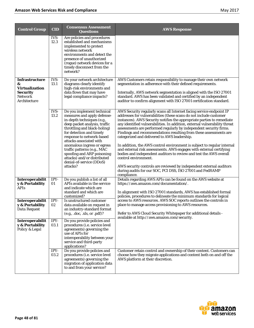| <b>Control Group</b>                                                                                     | <b>CID</b>   | <b>Consensus Assessment</b><br><b>Questions</b>                                                                                                                                                                                                                                                                                                                                                                 | <b>AWS Response</b>                                                                                                                                                                                                                                                                                                                                                                                                                                                                                                                                                                                                                                                                                                                                                                                                                                                                              |
|----------------------------------------------------------------------------------------------------------|--------------|-----------------------------------------------------------------------------------------------------------------------------------------------------------------------------------------------------------------------------------------------------------------------------------------------------------------------------------------------------------------------------------------------------------------|--------------------------------------------------------------------------------------------------------------------------------------------------------------------------------------------------------------------------------------------------------------------------------------------------------------------------------------------------------------------------------------------------------------------------------------------------------------------------------------------------------------------------------------------------------------------------------------------------------------------------------------------------------------------------------------------------------------------------------------------------------------------------------------------------------------------------------------------------------------------------------------------------|
|                                                                                                          | IVS-<br>12.3 | Are policies and procedures<br>established and mechanisms<br>implemented to protect<br>wireless network<br>environments and detect the<br>presence of unauthorized<br>(rogue) network devices for a<br>timely disconnect from the<br>network?                                                                                                                                                                   |                                                                                                                                                                                                                                                                                                                                                                                                                                                                                                                                                                                                                                                                                                                                                                                                                                                                                                  |
| <b>Infrastructure</b><br>&<br><b>Virtualization</b><br><b>Security</b><br><b>Network</b><br>Architecture | IVS-<br>13.1 | Do your network architecture<br>diagrams clearly identify<br>high-risk environments and<br>data flows that may have<br>legal compliance impacts?                                                                                                                                                                                                                                                                | AWS Customers retain responsibility to manage their own network<br>segmentation in adherence with their defined requirements.<br>Internally, AWS network segmentation is aligned with the ISO 27001<br>standard. AWS has been validated and certified by an independent<br>auditor to confirm alignment with ISO 27001 certification standard.                                                                                                                                                                                                                                                                                                                                                                                                                                                                                                                                                   |
|                                                                                                          | IVS-<br>13.2 | Do you implement technical<br>measures and apply defense-<br>in-depth techniques (e.g.,<br>deep packet analysis, traffic<br>throttling and black-holing)<br>for detection and timely<br>response to network-based<br>attacks associated with<br>anomalous ingress or egress<br>traffic patterns (e.g., MAC<br>spoofing and ARP poisoning<br>attacks) and/or distributed<br>denial-of-service (DDoS)<br>attacks? | AWS Security regularly scans all Internet facing service endpoint IP<br>addresses for vulnerabilities (these scans do not include customer<br>instances). AWS Security notifies the appropriate parties to remediate<br>any identified vulnerabilities. In addition, external vulnerability threat<br>assessments are performed regularly by independent security firms.<br>Findings and recommendations resulting from these assessments are<br>categorized and delivered to AWS leadership.<br>In addition, the AWS control environment is subject to regular internal<br>and external risk assessments. AWS engages with external certifying<br>bodies and independent auditors to review and test the AWS overall<br>control environment.<br>AWS security controls are reviewed by independent external auditors<br>during audits for our SOC, PCI DSS, ISO 27001 and FedRAMP<br>compliance. |
| Interoperabilit<br>y & Portability<br>APIs                                                               | IPY-<br>01   | Do you publish a list of all<br>APIs available in the service<br>and indicate which are<br>standard and which are<br>customized?                                                                                                                                                                                                                                                                                | Details regarding AWS APIs can be found on the AWS website at<br>https://aws.amazon.com/documentation/.<br>In alignment with ISO 27001 standards, AWS has established formal<br>policies, procedures to delineate the minimum standards for logical                                                                                                                                                                                                                                                                                                                                                                                                                                                                                                                                                                                                                                              |
| Interoperabilit<br>y & Portability<br>Data Request                                                       | IPY-<br>02   | Is unstructured customer<br>data available on request in<br>an industry-standard format<br>(e.g., .doc, .xls, or .pdf)?                                                                                                                                                                                                                                                                                         | access to AWS resources. AWS SOC reports outlines the controls in<br>place to manage access provisioning to AWS resources.<br>Refer to AWS Cloud Security Whitepaper for additional details -<br>available at http://aws.amazon.com/security.                                                                                                                                                                                                                                                                                                                                                                                                                                                                                                                                                                                                                                                    |
| Interoperabilit<br>y & Portability<br>Policy & Legal                                                     | IPY-<br>03.1 | Do you provide policies and<br>procedures (i.e. service level<br>agreements) governing the<br>use of APIs for<br>interoperability between your<br>service and third-party<br>applications?                                                                                                                                                                                                                      |                                                                                                                                                                                                                                                                                                                                                                                                                                                                                                                                                                                                                                                                                                                                                                                                                                                                                                  |
|                                                                                                          | IPY-<br>03.2 | Do you provide policies and<br>procedures (i.e. service level<br>agreements) governing the<br>migration of application data<br>to and from your service?                                                                                                                                                                                                                                                        | Customer retain control and ownership of their content. Customers can<br>choose how they migrate applications and content both on and off the<br>AWS platform at their discretion.                                                                                                                                                                                                                                                                                                                                                                                                                                                                                                                                                                                                                                                                                                               |

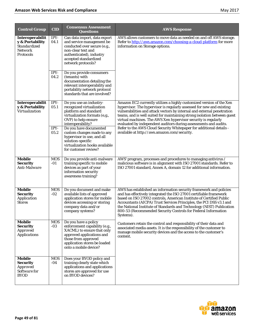| <b>Control Group</b>                                                              | <b>CID</b>          | <b>Consensus Assessment</b><br><b>Questions</b>                                                                                                                                                  | <b>AWS Response</b>                                                                                                                                                                                                                                                                                                                                                                                                                           |
|-----------------------------------------------------------------------------------|---------------------|--------------------------------------------------------------------------------------------------------------------------------------------------------------------------------------------------|-----------------------------------------------------------------------------------------------------------------------------------------------------------------------------------------------------------------------------------------------------------------------------------------------------------------------------------------------------------------------------------------------------------------------------------------------|
| Interoperabilit<br>y & Portability<br>Standardized<br><b>Network</b><br>Protocols | IPY-<br>04.1        | Can data import, data export<br>and service management be<br>conducted over secure (e.g.,<br>non-clear text and<br>authenticated), industry<br>accepted standardized<br>network protocols?       | AWS allows customers to move data as needed on and off AWS storage.<br>Refer to http://aws.amazon.com/choosing-a-cloud-platform for more<br>information on Storage options.                                                                                                                                                                                                                                                                   |
|                                                                                   | IPY-<br>04.2        | Do you provide consumers<br>(tenants) with<br>documentation detailing the<br>relevant interoperability and<br>portability network protocol<br>standards that are involved?                       |                                                                                                                                                                                                                                                                                                                                                                                                                                               |
| Interoperabilit<br>y & Portability<br>Virtualization                              | IPY-<br>05.1        | Do you use an industry-<br>recognized virtualization<br>platform and standard<br>virtualization formats (e,g.,<br>OVF) to help ensure<br>interoperability?                                       | Amazon EC2 currently utilizes a highly customized version of the Xen<br>hypervisor. The hypervisor is regularly assessed for new and existing<br>vulnerabilities and attack vectors by internal and external penetration<br>teams, and is well suited for maintaining strong isolation between guest<br>virtual machines. The AWS Xen hypervisor security is regularly<br>evaluated by independent auditors during assessments and audits.    |
|                                                                                   | IPY-<br>05.2        | Do you have documented<br>custom changes made to any<br>hypervisor in use, and all<br>solution-specific<br>virtualization hooks available<br>for customer review?                                | Refer to the AWS Cloud Security Whitepaper for additional details -<br>available at http://aws.amazon.com/security.                                                                                                                                                                                                                                                                                                                           |
| <b>Mobile</b><br><b>Security</b><br>Anti-Malware                                  | <b>MOS</b><br>-01   | Do you provide anti-malware<br>training specific to mobile<br>devices as part of your<br>information security<br>awareness training?                                                             | AWS' program, processes and procedures to managing antivirus /<br>malicious software is in alignment with ISO 27001 standards. Refer to<br>ISO 27001 standard, Annex A, domain 12 for additional information.                                                                                                                                                                                                                                 |
| <b>Mobile</b><br><b>Security</b><br>Application<br><b>Stores</b>                  | <b>MOS</b><br>$-02$ | Do you document and make<br>available lists of approved<br>application stores for mobile<br>devices accessing or storing<br>company data and/or<br>company systems?                              | AWS has established an information security framework and policies<br>and has effectively integrated the ISO 27001 certifiable framework<br>based on ISO 27002 controls, American Institute of Certified Public<br>Accountants (AICPA) Trust Services Principles, the PCI DSS v3.1 and<br>the National Institute of Standards and Technology (NIST) Publication<br>800-53 (Recommended Security Controls for Federal Information<br>Systems). |
| Mobile<br><b>Security</b><br><b>Approved</b><br><b>Applications</b>               | <b>MOS</b><br>$-03$ | Do you have a policy<br>enforcement capability (e.g.,<br>XACML) to ensure that only<br>approved applications and<br>those from approved<br>application stores be loaded<br>onto a mobile device? | Customers retain the control and responsibility of their data and<br>associated media assets. It is the responsibility of the customer to<br>manage mobile security devices and the access to the customer's<br>content.                                                                                                                                                                                                                      |
| Mobile<br><b>Security</b><br><b>Approved</b><br>Software for<br><b>BYOD</b>       | <b>MOS</b><br>-04   | Does your BYOD policy and<br>training clearly state which<br>applications and applications<br>stores are approved for use<br>on BYOD devices?                                                    |                                                                                                                                                                                                                                                                                                                                                                                                                                               |

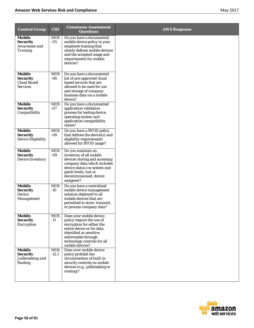| <b>Control Group</b>                                                      | <b>CID</b>            | <b>Consensus Assessment</b><br><b>Questions</b>                                                                                                                                                                    | <b>AWS Response</b> |
|---------------------------------------------------------------------------|-----------------------|--------------------------------------------------------------------------------------------------------------------------------------------------------------------------------------------------------------------|---------------------|
| <b>Mobile</b><br><b>Security</b><br>Awareness and<br><b>Training</b>      | <b>MOS</b><br>$-05$   | Do you have a documented<br>mobile device policy in your<br>employee training that<br>clearly defines mobile devices<br>and the accepted usage and<br>requirements for mobile<br>devices?                          |                     |
| <b>Mobile</b><br><b>Security</b><br><b>Cloud Based</b><br><b>Services</b> | <b>MOS</b><br>$-06$   | Do you have a documented<br>list of pre-approved cloud<br>based services that are<br>allowed to be used for use<br>and storage of company<br>business data via a mobile<br>device?                                 |                     |
| <b>Mobile</b><br><b>Security</b><br>Compatibility                         | <b>MOS</b><br>$-07$   | Do you have a documented<br>application validation<br>process for testing device,<br>operating system and<br>application compatibility<br>issues?                                                                  |                     |
| <b>Mobile</b><br><b>Security</b><br><b>Device Eligibility</b>             | <b>MOS</b><br>$-08$   | Do you have a BYOD policy<br>that defines the device(s) and<br>eligibility requirements<br>allowed for BYOD usage?                                                                                                 |                     |
| Mobile<br><b>Security</b><br><b>Device Inventory</b>                      | <b>MOS</b><br>$-09$   | Do you maintain an<br>inventory of all mobile<br>devices storing and accessing<br>company data which includes<br>device status (os system and<br>patch levels, lost or<br>decommissioned, device<br>assignee)?     |                     |
| <b>Mobile</b><br><b>Security</b><br>Device<br>Management                  | <b>MOS</b><br>$-10$   | Do you have a centralized<br>mobile device management<br>solution deployed to all<br>mobile devices that are<br>permitted to store, transmit,<br>or process company data?                                          |                     |
| <b>Mobile</b><br><b>Security</b><br><b>Encryption</b>                     | <b>MOS</b><br>$-11$   | Does your mobile device<br>policy require the use of<br>encryption for either the<br>entire device or for data<br>identified as sensitive<br>enforceable through<br>technology controls for all<br>mobile devices? |                     |
| <b>Mobile</b><br><b>Security</b><br>Jailbreaking and<br>Rooting           | <b>MOS</b><br>$-12.1$ | Does your mobile device<br>policy prohibit the<br>circumvention of built-in<br>security controls on mobile<br>devices (e.g., jailbreaking or<br>rooting)?                                                          |                     |

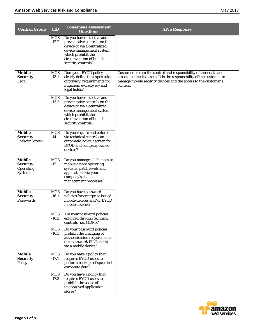| <b>Control Group</b>                                            | <b>CID</b>            | <b>Consensus Assessment</b><br><b>Questions</b>                                                                                                                                               | <b>AWS Response</b>                                                                                                                                                                                                      |
|-----------------------------------------------------------------|-----------------------|-----------------------------------------------------------------------------------------------------------------------------------------------------------------------------------------------|--------------------------------------------------------------------------------------------------------------------------------------------------------------------------------------------------------------------------|
|                                                                 | <b>MOS</b><br>$-12.2$ | Do you have detective and<br>preventative controls on the<br>device or via a centralized<br>device management system<br>which prohibit the<br>circumvention of built-in<br>security controls? |                                                                                                                                                                                                                          |
| Mobile<br><b>Security</b><br>Legal                              | <b>MOS</b><br>$-13.1$ | Does your BYOD policy<br>clearly define the expectation<br>of privacy, requirements for<br>litigation, e-discovery and<br>legal holds?                                                        | Customers retain the control and responsibility of their data and<br>associated media assets. It is the responsibility of the customer to<br>manage mobile security devices and the access to the customer's<br>content. |
|                                                                 | <b>MOS</b><br>$-13.2$ | Do you have detective and<br>preventative controls on the<br>device or via a centralized<br>device management system<br>which prohibit the<br>circumvention of built-in<br>security controls? |                                                                                                                                                                                                                          |
| <b>Mobile</b><br><b>Security</b><br><b>Lockout Screen</b>       | <b>MOS</b><br>$-14$   | Do you require and enforce<br>via technical controls an<br>automatic lockout screen for<br><b>BYOD</b> and company owned<br>devices?                                                          |                                                                                                                                                                                                                          |
| Mobile<br><b>Security</b><br><b>Operating</b><br><b>Systems</b> | <b>MOS</b><br>$-15$   | Do you manage all changes to<br>mobile device operating<br>systems, patch levels and<br>applications via your<br>company's change<br>management processes?                                    |                                                                                                                                                                                                                          |
| Mobile<br><b>Security</b><br>Passwords                          | <b>MOS</b><br>$-16.1$ | Do you have password<br>policies for enterprise issued<br>mobile devices and/or BYOD<br>mobile devices?                                                                                       |                                                                                                                                                                                                                          |
|                                                                 | <b>MOS</b><br>$-16.2$ | Are your password policies<br>enforced through technical<br>controls (i.e. MDM)?                                                                                                              |                                                                                                                                                                                                                          |
|                                                                 | <b>MOS</b><br>$-16.3$ | Do your password policies<br>prohibit the changing of<br>authentication requirements<br>(i.e. password/PIN length)<br>via a mobile device?                                                    |                                                                                                                                                                                                                          |
| Mobile<br><b>Security</b><br>Policy                             | <b>MOS</b><br>$-17.1$ | Do you have a policy that<br>requires BYOD users to<br>perform backups of specified<br>corporate data?                                                                                        |                                                                                                                                                                                                                          |
|                                                                 | <b>MOS</b><br>$-17.2$ | Do you have a policy that<br>requires BYOD users to<br>prohibit the usage of<br>unapproved application<br>stores?                                                                             |                                                                                                                                                                                                                          |

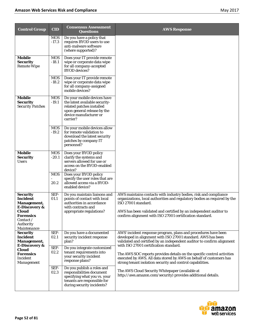| <b>Control Group</b>                                                                     | <b>CID</b>            | <b>Consensus Assessment</b><br><b>Questions</b>                                                                                                                 | <b>AWS Response</b>                                                                                                                                                                                                                                                                                   |
|------------------------------------------------------------------------------------------|-----------------------|-----------------------------------------------------------------------------------------------------------------------------------------------------------------|-------------------------------------------------------------------------------------------------------------------------------------------------------------------------------------------------------------------------------------------------------------------------------------------------------|
|                                                                                          | <b>MOS</b><br>$-17.3$ | Do you have a policy that<br>requires BYOD users to use<br>anti-malware software<br>(where supported)?                                                          |                                                                                                                                                                                                                                                                                                       |
| Mobile<br><b>Security</b><br><b>Remote Wipe</b>                                          | <b>MOS</b><br>$-18.1$ | Does your IT provide remote<br>wipe or corporate data wipe<br>for all company-accepted<br><b>BYOD</b> devices?                                                  |                                                                                                                                                                                                                                                                                                       |
|                                                                                          | <b>MOS</b><br>$-18.2$ | Does your IT provide remote<br>wipe or corporate data wipe<br>for all company-assigned<br>mobile devices?                                                       |                                                                                                                                                                                                                                                                                                       |
| Mobile<br><b>Security</b><br><b>Security Patches</b>                                     | <b>MOS</b><br>$-19.1$ | Do your mobile devices have<br>the latest available security-<br>related patches installed<br>upon general release by the<br>device manufacturer or<br>carrier? |                                                                                                                                                                                                                                                                                                       |
|                                                                                          | <b>MOS</b><br>$-19.2$ | Do your mobile devices allow<br>for remote validation to<br>download the latest security<br>patches by company IT<br>personnel?                                 |                                                                                                                                                                                                                                                                                                       |
| <b>Mobile</b><br><b>Security</b><br><b>Users</b>                                         | <b>MOS</b><br>$-20.1$ | Does your BYOD policy<br>clarify the systems and<br>servers allowed for use or<br>access on the BYOD-enabled<br>device?                                         |                                                                                                                                                                                                                                                                                                       |
|                                                                                          | <b>MOS</b><br>20.2    | Does your BYOD policy<br>specify the user roles that are<br>allowed access via a BYOD-<br>enabled device?                                                       |                                                                                                                                                                                                                                                                                                       |
| <b>Security</b><br>Incident<br>Management,<br>E-Discovery &<br><b>Cloud</b><br>Forensics | SEF-<br>01.1          | Do you maintain liaisons and<br>points of contact with local<br>authorities in accordance<br>with contracts and<br>appropriate regulations?                     | AWS maintains contacts with industry bodies, risk and compliance<br>organizations, local authorities and regulatory bodies as required by the<br>ISO 27001 standard.<br>AWS has been validated and certified by an independent auditor to<br>confirm alignment with ISO 27001 certification standard. |
| <i>Contact</i> /<br><b>Authority</b><br>Maintenance                                      |                       |                                                                                                                                                                 |                                                                                                                                                                                                                                                                                                       |
| <b>Security</b><br>Incident<br>Management,<br><b>E-Discovery &amp;</b>                   | SEF-<br>02.1          | Do you have a documented<br>security incident response<br>plan?                                                                                                 | AWS' incident response program, plans and procedures have been<br>developed in alignment with ISO 27001 standard. AWS has been<br>validated and certified by an independent auditor to confirm alignment<br>with ISO 27001 certification standard.                                                    |
| <b>Cloud</b><br><b>Forensics</b><br><b>Incident</b><br>Management                        | SEF-<br>02.2          | Do you integrate customized<br>tenant requirements into<br>your security incident<br>response plans?                                                            | The AWS SOC reports provides details on the specific control activities<br>executed by AWS. All data stored by AWS on behalf of customers has<br>strong tenant isolation security and control capabilities.                                                                                           |
|                                                                                          | SEF-<br>02.3          | Do you publish a roles and<br>responsibilities document<br>specifying what you vs. your<br>tenants are responsible for<br>during security incidents?            | The AWS Cloud Security Whitepaper (available at<br>http://aws.amazon.com/security) provides additional details.                                                                                                                                                                                       |

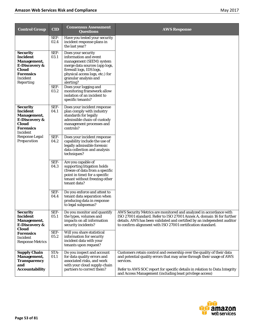| <b>Control Group</b>                                                                                                                                     | $\overline{\text{CID}}$ | <b>Consensus Assessment</b><br><b>Questions</b>                                                                                                                                                               | <b>AWS Response</b>                                                                                                                                                                                                                                                                                    |
|----------------------------------------------------------------------------------------------------------------------------------------------------------|-------------------------|---------------------------------------------------------------------------------------------------------------------------------------------------------------------------------------------------------------|--------------------------------------------------------------------------------------------------------------------------------------------------------------------------------------------------------------------------------------------------------------------------------------------------------|
|                                                                                                                                                          | SEF-<br>02.4            | Have you tested your security<br>incident response plans in<br>the last year?                                                                                                                                 |                                                                                                                                                                                                                                                                                                        |
| <b>Security</b><br>Incident<br><b>Management,</b><br><b>E-Discovery &amp;</b><br><b>Cloud</b><br><b>Forensics</b><br><b>Incident</b><br><b>Reporting</b> | SEF-<br>03.1            | Does your security<br>information and event<br>management (SIEM) system<br>merge data sources (app logs,<br>firewall logs, IDS logs,<br>physical access logs, etc.) for<br>granular analysis and<br>alerting? |                                                                                                                                                                                                                                                                                                        |
|                                                                                                                                                          | SEF-<br>03.2            | Does your logging and<br>monitoring framework allow<br>isolation of an incident to<br>specific tenants?                                                                                                       |                                                                                                                                                                                                                                                                                                        |
| <b>Security</b><br><b>Incident</b><br><b>Management,</b><br><b>E-Discovery &amp;</b><br><b>Cloud</b><br><b>Forensics</b><br><b>Incident</b>              | SEF-<br>04.1            | Does your incident response<br>plan comply with industry<br>standards for legally<br>admissible chain-of-custody<br>management processes and<br>controls?                                                     |                                                                                                                                                                                                                                                                                                        |
| Response Legal<br>Preparation                                                                                                                            | SEF-<br>04.2            | Does your incident response<br>capability include the use of<br>legally admissible forensic<br>data collection and analysis<br>techniques?                                                                    |                                                                                                                                                                                                                                                                                                        |
|                                                                                                                                                          | SEF-<br>04.3            | Are you capable of<br>supporting litigation holds<br>(freeze of data from a specific<br>point in time) for a specific<br>tenant without freezing other<br>tenant data?                                        |                                                                                                                                                                                                                                                                                                        |
|                                                                                                                                                          | SEF-<br>04.4            | Do you enforce and attest to<br>tenant data separation when<br>producing data in response<br>to legal subpoenas?                                                                                              |                                                                                                                                                                                                                                                                                                        |
| <b>Security</b><br><b>Incident</b><br><b>Management,</b><br><b>E-Discovery &amp;</b><br>Cloud                                                            | SEF-<br>05.1            | Do you monitor and quantify<br>the types, volumes and<br>impacts on all information<br>security incidents?                                                                                                    | AWS Security Metrics are monitored and analyzed in accordance with<br>ISO 27001 standard. Refer to ISO 27001 Annex A, domain 16 for further<br>details. AWS has been validated and certified by an independent auditor<br>to confirm alignment with ISO 27001 certification standard.                  |
| <b>Forensics</b><br><b>Incident</b><br><b>Response Metrics</b>                                                                                           | SEF-<br>05.2            | Will you share statistical<br>information for security<br>incident data with your<br>tenants upon request?                                                                                                    |                                                                                                                                                                                                                                                                                                        |
| <b>Supply Chain</b><br><b>Management,</b><br><b>Transparency</b><br>and<br><b>Accountability</b>                                                         | STA-<br>01.1            | Do you inspect and account<br>for data quality errors and<br>associated risks, and work<br>with your cloud supply-chain<br>partners to correct them?                                                          | Customers retain control and ownership over the quality of their data<br>and potential quality errors that may arise through their usage of AWS<br>services.<br>Refer to AWS SOC report for specific details in relation to Data Integrity<br>and Access Management (including least privilege access) |

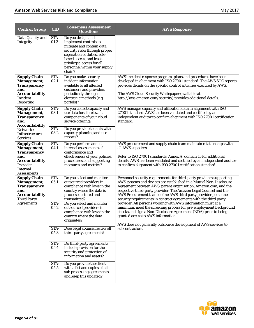| <b>Control Group</b>                                                                                                                 | <b>CID</b>                   | <b>Consensus Assessment</b><br><b>Questions</b>                                                                                                                                                                                                                                           | <b>AWS Response</b>                                                                                                                                                                                                                                                                                                                                                                                                                                                                                                                                                                                                                                                     |
|--------------------------------------------------------------------------------------------------------------------------------------|------------------------------|-------------------------------------------------------------------------------------------------------------------------------------------------------------------------------------------------------------------------------------------------------------------------------------------|-------------------------------------------------------------------------------------------------------------------------------------------------------------------------------------------------------------------------------------------------------------------------------------------------------------------------------------------------------------------------------------------------------------------------------------------------------------------------------------------------------------------------------------------------------------------------------------------------------------------------------------------------------------------------|
| Data Quality and<br><b>Integrity</b>                                                                                                 | STA-<br>01.2                 | Do you design and<br>implement controls to<br>mitigate and contain data<br>security risks through proper<br>separation of duties, role-<br>based access, and least-<br>privileged access for all<br>personnel within your supply<br>chain?                                                |                                                                                                                                                                                                                                                                                                                                                                                                                                                                                                                                                                                                                                                                         |
| <b>Supply Chain</b><br>Management,<br><b>Transparency</b><br>and<br><b>Accountability</b><br><b>Incident</b><br>Reporting            | STA-<br>02.1                 | Do you make security<br>incident information<br>available to all affected<br>customers and providers<br>periodically through<br>electronic methods (e.g.<br>portals)?                                                                                                                     | AWS' incident response program, plans and procedures have been<br>developed in alignment with ISO 27001 standard. The AWS SOC reports<br>provides details on the specific control activities executed by AWS.<br>The AWS Cloud Security Whitepaper (available at<br>http://aws.amazon.com/security) provides additional details.                                                                                                                                                                                                                                                                                                                                        |
| <b>Supply Chain</b><br>Management,<br><b>Transparency</b><br>and<br><b>Accountability</b>                                            | STA-<br>03.1<br>STA-         | Do you collect capacity and<br>use data for all relevant<br>components of your cloud<br>service offering?                                                                                                                                                                                 | AWS manages capacity and utilization data in alignment with ISO<br>27001 standard. AWS has been validated and certified by an<br>independent auditor to confirm alignment with ISO 27001 certification<br>standard.                                                                                                                                                                                                                                                                                                                                                                                                                                                     |
| Network /<br>Infrastructure<br><b>Services</b>                                                                                       | 03.2                         | Do you provide tenants with<br>capacity planning and use<br>reports?                                                                                                                                                                                                                      |                                                                                                                                                                                                                                                                                                                                                                                                                                                                                                                                                                                                                                                                         |
| <b>Supply Chain</b><br>Management,<br><b>Transparency</b><br>and<br><b>Accountability</b><br>Provider<br>Internal<br>Assessments     | STA-<br>04.1                 | Do you perform annual<br>internal assessments of<br>conformance and<br>effectiveness of your policies,<br>procedures, and supporting<br>measures and metrics?                                                                                                                             | AWS procurement and supply chain team maintain relationships with<br>all AWS suppliers.<br>Refer to ISO 27001 standards; Annex A, domain 15 for additional<br>details. AWS has been validated and certified by an independent auditor<br>to confirm alignment with ISO 27001 certification standard.                                                                                                                                                                                                                                                                                                                                                                    |
| <b>Supply Chain</b><br>Management,<br><b>Transparency</b><br>and<br><b>Accountability</b><br><b>Third Party</b><br><i>Agreements</i> | STA-<br>05.1<br>STA-<br>05.2 | Do you select and monitor<br>outsourced providers in<br>compliance with laws in the<br>country where the data is<br>processed, stored and<br>transmitted?<br>Do you select and monitor<br>outsourced providers in<br>compliance with laws in the<br>country where the data<br>originates? | Personnel security requirements for third-party providers supporting<br>AWS systems and devices are established in a Mutual Non-Disclosure<br>Agreement between AWS' parent organization, Amazon.com, and the<br>respective third-party provider. The Amazon Legal Counsel and the<br>AWS Procurement team define AWS third party provider personnel<br>security requirements in contract agreements with the third party<br>provider. All persons working with AWS information must at a<br>minimum, meet the screening process for pre-employment background<br>checks and sign a Non-Disclosure Agreement (NDA) prior to being<br>granted access to AWS information. |
|                                                                                                                                      | STA-<br>05.3                 | Does legal counsel review all<br>third-party agreements?                                                                                                                                                                                                                                  | AWS does not generally outsource development of AWS services to<br>subcontractors.                                                                                                                                                                                                                                                                                                                                                                                                                                                                                                                                                                                      |
|                                                                                                                                      | STA-<br>05.4                 | Do third-party agreements<br>include provision for the<br>security and protection of<br>information and assets?                                                                                                                                                                           |                                                                                                                                                                                                                                                                                                                                                                                                                                                                                                                                                                                                                                                                         |
|                                                                                                                                      | STA-<br>05.5                 | Do you provide the client<br>with a list and copies of all<br>sub processing agreements<br>and keep this updated?                                                                                                                                                                         |                                                                                                                                                                                                                                                                                                                                                                                                                                                                                                                                                                                                                                                                         |

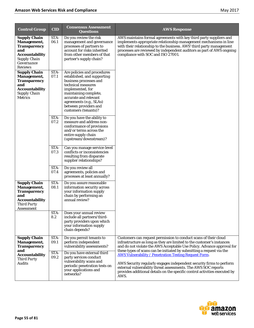| <b>Control Group</b>                                                                                                                             | <b>CID</b>         | <b>Consensus Assessment</b><br><b>Questions</b>                                                                                                                                                                                                              | <b>AWS Response</b>                                                                                                                                                                                                                                                                                                                                                   |
|--------------------------------------------------------------------------------------------------------------------------------------------------|--------------------|--------------------------------------------------------------------------------------------------------------------------------------------------------------------------------------------------------------------------------------------------------------|-----------------------------------------------------------------------------------------------------------------------------------------------------------------------------------------------------------------------------------------------------------------------------------------------------------------------------------------------------------------------|
| <b>Supply Chain</b><br><b>Management,</b><br><b>Transparency</b><br>and<br><b>Accountability</b><br><b>Supply Chain</b><br>Governance<br>Reviews | STA-<br>06.1       | Do you review the risk<br>management and governance<br>processes of partners to<br>account for risks inherited<br>from other members of that<br>partner's supply chain?                                                                                      | AWS maintains formal agreements with key third party suppliers and<br>implements appropriate relationship management mechanisms in line<br>with their relationship to the business. AWS' third party management<br>processes are reviewed by independent auditors as part of AWS ongoing<br>compliance with SOC and ISO 27001.                                        |
| <b>Supply Chain</b><br><b>Management,</b><br><b>Transparency</b><br>and<br><b>Accountability</b><br><b>Supply Chain</b><br><b>Metrics</b>        | STA-<br>07.1       | Are policies and procedures<br>established, and supporting<br>business processes and<br>technical measures<br>implemented, for<br>maintaining complete,<br>accurate and relevant<br>agreements (e.g., SLAs)<br>between providers and<br>customers (tenants)? |                                                                                                                                                                                                                                                                                                                                                                       |
|                                                                                                                                                  | STA-<br>07.2       | Do you have the ability to<br>measure and address non-<br>conformance of provisions<br>and/or terms across the<br>entire supply chain<br>(upstream/downstream)?                                                                                              |                                                                                                                                                                                                                                                                                                                                                                       |
|                                                                                                                                                  | STA-<br>07.3       | Can you manage service-level<br>conflicts or inconsistencies<br>resulting from disparate<br>supplier relationships?                                                                                                                                          |                                                                                                                                                                                                                                                                                                                                                                       |
|                                                                                                                                                  | STA-<br>07.4       | Do you review all<br>agreements, policies and<br>processes at least annually?                                                                                                                                                                                |                                                                                                                                                                                                                                                                                                                                                                       |
| <b>Supply Chain</b><br>Management,<br><b>Transparency</b><br>and<br><b>Accountability</b><br><b>Third Party</b><br>Assessment                    | STA-<br>08.1       | Do you assure reasonable<br>information security across<br>your information supply<br>chain by performing an<br>annual review?                                                                                                                               |                                                                                                                                                                                                                                                                                                                                                                       |
|                                                                                                                                                  | STA-<br>8.2        | Does your annual review<br>include all partners/third-<br>party providers upon which<br>your information supply<br>chain depends?                                                                                                                            |                                                                                                                                                                                                                                                                                                                                                                       |
| <b>Supply Chain</b><br>Management,<br><b>Transparency</b>                                                                                        | STA-<br>09.1       | Do you permit tenants to<br>perform independent<br>vulnerability assessments?                                                                                                                                                                                | Customers can request permission to conduct scans of their cloud<br>infrastructure as long as they are limited to the customer's instances<br>and do not violate the AWS Acceptable Use Policy. Advance approval for                                                                                                                                                  |
| and<br><b>Accountability</b><br><b>Third Party</b><br><b>Audits</b>                                                                              | STA-<br>$\bf 09.2$ | Do you have external third<br>party services conduct<br>vulnerability scans and<br>periodic penetration tests on<br>your applications and<br>networks?                                                                                                       | these types of scans can be initiated by submitting a request via the<br><b>AWS Vulnerability / Penetration Testing Request Form.</b><br>AWS Security regularly engages independent security firms to perform<br>external vulnerability threat assessments. The AWS SOC reports<br>provides additional details on the specific control activities executed by<br>AWS. |

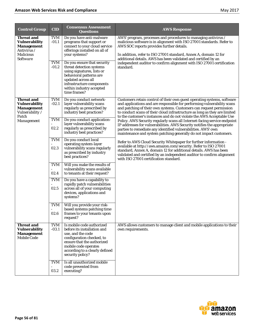| <b>Control Group</b>                                                                                          | <b>CID</b>            | <b>Consensus Assessment</b><br><b>Questions</b>                                                                                                                                                                        | <b>AWS Response</b>                                                                                                                                                                                                                                                                                                                                                              |
|---------------------------------------------------------------------------------------------------------------|-----------------------|------------------------------------------------------------------------------------------------------------------------------------------------------------------------------------------------------------------------|----------------------------------------------------------------------------------------------------------------------------------------------------------------------------------------------------------------------------------------------------------------------------------------------------------------------------------------------------------------------------------|
| <b>Threat and</b><br><b>Vulnerability</b><br><b>Management</b><br>Antivirus /<br><b>Malicious</b><br>Software | <b>TVM</b><br>$-01.1$ | Do you have anti-malware<br>programs that support or<br>connect to your cloud service<br>offerings installed on all of<br>your systems?                                                                                | AWS' program, processes and procedures to managing antivirus /<br>malicious software is in alignment with ISO 27001 standards. Refer to<br>AWS SOC reports provides further details.<br>In addition, refer to ISO 27001 standard, Annex A, domain 12 for<br>additional details. AWS has been validated and certified by an                                                       |
|                                                                                                               | <b>TVM</b><br>$-01.2$ | Do you ensure that security<br>threat detection systems<br>using signatures, lists or<br>behavioral patterns are<br>updated across all<br>infrastructure components<br>within industry accepted<br>time frames?        | independent auditor to confirm alignment with ISO 27001 certification<br>standard.                                                                                                                                                                                                                                                                                               |
| <b>Threat and</b><br><b>Vulnerability</b><br><b>Management</b><br>Vulnerability /<br>Patch                    | <b>TVM</b><br>$-02.1$ | Do you conduct network-<br>layer vulnerability scans<br>regularly as prescribed by<br>industry best practices?                                                                                                         | Customers retain control of their own guest operating systems, software<br>and applications and are responsible for performing vulnerability scans<br>and patching of their own systems. Customers can request permission<br>to conduct scans of their cloud infrastructure as long as they are limited<br>to the customer's instances and do not violate the AWS Acceptable Use |
| Management                                                                                                    | <b>TVM</b><br>02.2    | Do you conduct application-<br>layer vulnerability scans<br>regularly as prescribed by<br>industry best practices?                                                                                                     | Policy. AWS Security regularly scans all Internet-facing service endpoint<br>IP addresses for vulnerabilities. AWS Security notifies the appropriate<br>parties to remediate any identified vulnerabilities. AWS' own<br>maintenance and system patching generally do not impact customers.                                                                                      |
|                                                                                                               | <b>TVM</b><br>02.3    | Do you conduct local<br>operating system-layer<br>vulnerability scans regularly<br>as prescribed by industry<br>best practices?                                                                                        | Refer to AWS Cloud Security Whitepaper for further information -<br>available at http://aws.amazon.com/security. Refer to ISO 27001<br>standard, Annex A, domain 12 for additional details. AWS has been<br>validated and certified by an independent auditor to confirm alignment<br>with ISO 27001 certification standard.                                                     |
|                                                                                                               | <b>TVM</b><br>02.4    | Will you make the results of<br>vulnerability scans available<br>to tenants at their request?                                                                                                                          |                                                                                                                                                                                                                                                                                                                                                                                  |
|                                                                                                               | <b>TVM</b><br>02.5    | Do you have a capability to<br>rapidly patch vulnerabilities<br>across all of your computing<br>devices, applications and<br>systems?                                                                                  |                                                                                                                                                                                                                                                                                                                                                                                  |
|                                                                                                               | <b>TVM</b><br>02.6    | Will you provide your risk-<br>based systems patching time<br>frames to your tenants upon<br>request?                                                                                                                  |                                                                                                                                                                                                                                                                                                                                                                                  |
| <b>Threat and</b><br><b>Vulnerability</b><br><b>Management</b><br>Mobile Code                                 | <b>TVM</b><br>$-03.1$ | Is mobile code authorized<br>before its installation and<br>use, and the code<br>configuration checked, to<br>ensure that the authorized<br>mobile code operates<br>according to a clearly defined<br>security policy? | AWS allows customers to manage client and mobile applications to their<br>own requirements.                                                                                                                                                                                                                                                                                      |
|                                                                                                               | <b>TVM</b><br>03.2    | Is all unauthorized mobile<br>code prevented from<br>executing?                                                                                                                                                        |                                                                                                                                                                                                                                                                                                                                                                                  |

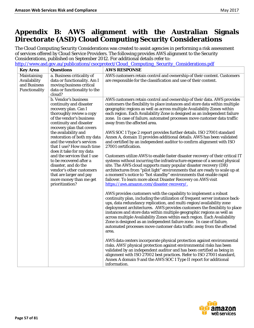## **Appendix B: AWS alignment with the Australian Signals Directorate (ASD) Cloud Computing Security Considerations**

The Cloud Computing Security Considerations was created to assist agencies in performing a risk assessment of services offered by Cloud Service Providers. The following provides AWS alignment to the Security Considerations, published on September 2012. For additional details refer to:

[http://www.asd.gov.au/publications/csocprotect/Cloud\\_Computing\\_Security\\_Considerations.pdf](http://www.asd.gov.au/publications/csocprotect/Cloud_Computing_Security_Considerations.pdf)

| <b>Key Area</b>                                              | <b>Questions</b>                                                                                                                                                                        | <b>AWS RESPONSE</b>                                                                                                                                                                                                                                                                                                                                                                                                                                                                                                                                                                                                   |
|--------------------------------------------------------------|-----------------------------------------------------------------------------------------------------------------------------------------------------------------------------------------|-----------------------------------------------------------------------------------------------------------------------------------------------------------------------------------------------------------------------------------------------------------------------------------------------------------------------------------------------------------------------------------------------------------------------------------------------------------------------------------------------------------------------------------------------------------------------------------------------------------------------|
| Maintaining<br>Availability<br>and Business<br>Functionality | a. Business criticality of<br>data or functionality. Am I<br>moving business critical<br>data or functionality to the<br>cloud?                                                         | AWS customers retain control and ownership of their content. Customers<br>are responsible for the classification and use of their content.                                                                                                                                                                                                                                                                                                                                                                                                                                                                            |
|                                                              | b. Vendor's business<br>continuity and disaster<br>recovery plan. Can I<br>thoroughly review a copy<br>of the vendor's business<br>continuity and disaster<br>recovery plan that covers | AWS customers retain control and ownership of their data. AWS provides<br>customers the flexibility to place instances and store data within multiple<br>geographic regions as well as across multiple Availability Zones within<br>each region. Each Availability Zone is designed as an independent failure<br>zone. In case of failure, automated processes move customer data traffic<br>away from the affected area.                                                                                                                                                                                             |
|                                                              | the availability and<br>restoration of both my data<br>and the vendor's services<br>that I use? How much time<br>does it take for my data                                               | AWS SOC 1 Type 2 report provides further details. ISO 27001 standard<br>Annex A, domain 11 provides additional details. AWS has been validated<br>and certified by an independent auditor to confirm alignment with ISO<br>27001 certification.                                                                                                                                                                                                                                                                                                                                                                       |
|                                                              | and the services that I use<br>to be recovered after a<br>disaster, and do the<br>vendor's other customers<br>that are larger and pay<br>more money than me get<br>prioritization?      | Customers utilize AWS to enable faster disaster recovery of their critical IT<br>systems without incurring the infrastructure expense of a second physical<br>site. The AWS cloud supports many popular disaster recovery (DR)<br>architectures from "pilot light" environments that are ready to scale up at<br>a moment's notice to "hot standby" environments that enable rapid<br>failover. To learn more about Disaster Recovery on AWS visit<br>https://aws.amazon.com/disaster-recovery/.                                                                                                                      |
|                                                              |                                                                                                                                                                                         | AWS provides customers with the capability to implement a robust<br>continuity plan, including the utilization of frequent server instance back-<br>ups, data redundancy replication, and multi-region/availability zone<br>deployment architectures. AWS provides customers the flexibility to place<br>instances and store data within multiple geographic regions as well as<br>across multiple Availability Zones within each region. Each Availability<br>Zone is designed as an independent failure zone. In case of failure,<br>automated processes move customer data traffic away from the affected<br>area. |
|                                                              |                                                                                                                                                                                         | AWS data centers incorporate physical protection against environmental<br>risks. AWS' physical protection against environmental risks has been<br>validated by an independent auditor and has been certified as being in<br>alignment with ISO 27002 best practices. Refer to ISO 27001 standard,<br>Annex A domain 9 and the AWS SOC 1 Type II report for additional<br>information.                                                                                                                                                                                                                                 |

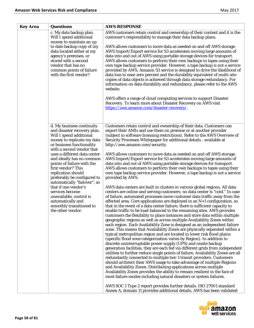| <b>Key Area</b> | <b>Questions</b>                                                                                                                                                                                                                                                                                                                                                                                                                                                                                                              | <b>AWS RESPONSE</b>                                                                                                                                                                                                                                                                                                                                                                                                                                                                                                                                                                                                                                                                                                                                                                                                                                                                                                                                                                                                                                                                                                                                                                                                                                                                                                                                                                                                                                                                                                                                                                                                                                                                                                                                                                                                                                                                                                                                                                                                                                                                                                                                                                                                                                                                                                                                                                                                                                             |
|-----------------|-------------------------------------------------------------------------------------------------------------------------------------------------------------------------------------------------------------------------------------------------------------------------------------------------------------------------------------------------------------------------------------------------------------------------------------------------------------------------------------------------------------------------------|-----------------------------------------------------------------------------------------------------------------------------------------------------------------------------------------------------------------------------------------------------------------------------------------------------------------------------------------------------------------------------------------------------------------------------------------------------------------------------------------------------------------------------------------------------------------------------------------------------------------------------------------------------------------------------------------------------------------------------------------------------------------------------------------------------------------------------------------------------------------------------------------------------------------------------------------------------------------------------------------------------------------------------------------------------------------------------------------------------------------------------------------------------------------------------------------------------------------------------------------------------------------------------------------------------------------------------------------------------------------------------------------------------------------------------------------------------------------------------------------------------------------------------------------------------------------------------------------------------------------------------------------------------------------------------------------------------------------------------------------------------------------------------------------------------------------------------------------------------------------------------------------------------------------------------------------------------------------------------------------------------------------------------------------------------------------------------------------------------------------------------------------------------------------------------------------------------------------------------------------------------------------------------------------------------------------------------------------------------------------------------------------------------------------------------------------------------------------|
|                 | c. My data backup plan.<br>Will I spend additional<br>money to maintain an up<br>to date backup copy of my<br>data located either at my<br>agency's premises, or<br>stored with a second<br>vendor that has no<br>common points of failure<br>with the first vendor?                                                                                                                                                                                                                                                          | AWS customers retain control and ownership of their content and it is the<br>customer's responsibility to manage their data backup plans.<br>AWS allows customers to move data as needed on and off AWS storage.<br>AWS Import/Export service for S3 accelerates moving large amounts of<br>data into and out of AWS using portable storage devices for transport.<br>AWS allows customers to perform their own backups to tapes using their<br>own tape backup service provider. However, a tape backup is not a service<br>provided by AWS. Amazon S3 service is designed to drive the likelihood of<br>data loss to near zero percent and the durability equivalent of multi-site<br>copies of data objects is achieved through data storage redundancy. For<br>information on data durability and redundancy, please refer to the AWS<br>website.<br>AWS offers a range of cloud computing services to support Disaster<br>Recovery. To learn more about Disaster Recovery on AWS visit<br>https://aws.amazon.com/disaster-recovery/                                                                                                                                                                                                                                                                                                                                                                                                                                                                                                                                                                                                                                                                                                                                                                                                                                                                                                                                                                                                                                                                                                                                                                                                                                                                                                                                                                                                                        |
|                 | d. My business continuity<br>and disaster recovery plan.<br>Will I spend additional<br>money to replicate my data<br>or business functionality<br>with a second vendor that<br>uses a different data center<br>and ideally has no common<br>points of failure with the<br>first vendor? This<br>replication should<br>preferably be configured to<br>automatically "failover", so<br>that if one vendor's<br>services become<br>unavailable, control is<br>automatically and<br>smoothly transitioned to<br>the other vendor. | Customers retain control and ownership of their data. Customers can<br>export their AMIs and use them on premise or at another provider<br>(subject to software licensing restrictions). Refer to the AWS Overview of<br>Security Processes Whitepaper for additional details - available at<br>http://aws.amazon.com/security.<br>AWS allows customers to move data as needed on and off AWS storage.<br>AWS Import/Export service for S3 accelerates moving large amounts of<br>data into and out of AWS using portable storage devices for transport.<br>AWS allows customers to perform their own backups to tapes using their<br>own tape backup service provider. However, a tape backup is not a service<br>provided by AWS.<br>AWS data centers are built in clusters in various global regions. All data<br>centers are online and serving customers; no data center is "cold." In case<br>of failure, automated processes move customer data traffic away from the<br>affected area. Core applications are deployed in an N+1 configuration, so<br>that in the event of a data center failure, there is sufficient capacity to<br>enable traffic to be load-balanced to the remaining sites. AWS provides<br>customers the flexibility to place instances and store data within multiple<br>geographic regions as well as across multiple Availability Zones within<br>each region. Each Availability Zone is designed as an independent failure<br>zone. This means that Availability Zones are physically separated within a<br>typical metropolitan region and are located in lower risk flood plains<br>(specific flood zone categorization varies by Region). In addition to<br>discrete uninterruptable power supply (UPS) and onsite backup<br>generation facilities, they are each fed via different grids from independent<br>utilities to further reduce single points of failure. Availability Zones are all<br>redundantly connected to multiple tier-1 transit providers. Customers<br>should architect their AWS usage to take advantage of multiple Regions<br>and Availability Zones. Distributing applications across multiple<br>Availability Zones provides the ability to remain resilient in the face of<br>most failure modes including natural disasters or system failures.<br>AWS SOC 1 Type 2 report provides further details. ISO 27001 standard<br>Annex A, domain 11 provides additional details. AWS has been validated |

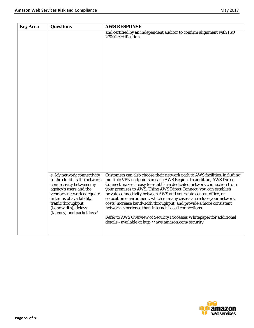| <b>Key Area</b> | <b>Questions</b>                                                                                                                                                                                                                                     | <b>AWS RESPONSE</b>                                                                                                                                                                                                                                                                                                                                                                                                                                                                                                                                                                                                                                                                                         |
|-----------------|------------------------------------------------------------------------------------------------------------------------------------------------------------------------------------------------------------------------------------------------------|-------------------------------------------------------------------------------------------------------------------------------------------------------------------------------------------------------------------------------------------------------------------------------------------------------------------------------------------------------------------------------------------------------------------------------------------------------------------------------------------------------------------------------------------------------------------------------------------------------------------------------------------------------------------------------------------------------------|
|                 |                                                                                                                                                                                                                                                      | and certified by an independent auditor to confirm alignment with ISO<br>27001 certification.                                                                                                                                                                                                                                                                                                                                                                                                                                                                                                                                                                                                               |
|                 | e. My network connectivity<br>to the cloud. Is the network<br>connectivity between my<br>agency's users and the<br>vendor's network adequate<br>in terms of availability,<br>traffic throughput<br>(bandwidth), delays<br>(latency) and packet loss? | Customers can also choose their network path to AWS facilities, including<br>multiple VPN endpoints in each AWS Region. In addition, AWS Direct<br>Connect makes it easy to establish a dedicated network connection from<br>your premises to AWS. Using AWS Direct Connect, you can establish<br>private connectivity between AWS and your data center, office, or<br>colocation environment, which in many cases can reduce your network<br>costs, increase bandwidth throughput, and provide a more consistent<br>network experience than Internet-based connections.<br>Refer to AWS Overview of Security Processes Whitepaper for additional<br>details - available at http://aws.amazon.com/security. |

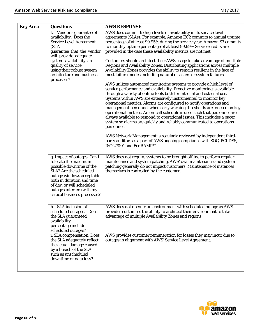| <b>Key Area</b> | <b>Questions</b>                                                                                                                                                                                                                                                                                   | <b>AWS RESPONSE</b>                                                                                                                                                                                                                                                                                                                                                                                                                                                                                                                                                                                                                                                                                                                                                                                                                                                                                                                                                                                                                                                                                                                                                                                                                                                                                                                                                                                                                                                                                                   |
|-----------------|----------------------------------------------------------------------------------------------------------------------------------------------------------------------------------------------------------------------------------------------------------------------------------------------------|-----------------------------------------------------------------------------------------------------------------------------------------------------------------------------------------------------------------------------------------------------------------------------------------------------------------------------------------------------------------------------------------------------------------------------------------------------------------------------------------------------------------------------------------------------------------------------------------------------------------------------------------------------------------------------------------------------------------------------------------------------------------------------------------------------------------------------------------------------------------------------------------------------------------------------------------------------------------------------------------------------------------------------------------------------------------------------------------------------------------------------------------------------------------------------------------------------------------------------------------------------------------------------------------------------------------------------------------------------------------------------------------------------------------------------------------------------------------------------------------------------------------------|
|                 | f. Vendor's guarantee of<br>availability. Does the<br><b>Service Level Agreement</b><br>(SLA<br>guarantee that the vendor<br>will provide adequate<br>system availability an<br>quality of service,<br>using their robust system<br>architecture and business<br>processes?                        | AWS does commit to high levels of availability in its service level<br>agreements (SLAs). For example, Amazon EC2 commits to annual uptime<br>percentage of at least 99.95% during the service year. Amazon S3 commits<br>to monthly uptime percentage of at least 99.99% Service credits are<br>provided in the case these availability metrics are not met.<br>Customers should architect their AWS usage to take advantage of multiple<br>Regions and Availability Zones. Distributing applications across multiple<br>Availability Zones provides the ability to remain resilient in the face of<br>most failure modes including natural disasters or system failures.<br>AWS utilizes automated monitoring systems to provide a high level of<br>service performance and availability. Proactive monitoring is available<br>through a variety of online tools both for internal and external use.<br>Systems within AWS are extensively instrumented to monitor key<br>operational metrics. Alarms are configured to notify operations and<br>management personnel when early warning thresholds are crossed on key<br>operational metrics. An on-call schedule is used such that personnel are<br>always available to respond to operational issues. This includes a pager<br>system so alarms are quickly and reliably communicated to operations<br>personnel.<br>AWS Network Management is regularly reviewed by independent third-<br>party auditors as a part of AWS ongoing compliance with SOC, PCI DSS, |
|                 | g. Impact of outages. Can I<br>tolerate the maximum<br>possible downtime of the<br><b>SLA?</b> Are the scheduled<br>outage windows acceptable<br>both in duration and time<br>of day, or will scheduled<br>outages interfere with my<br>critical business processes?                               | ISO 27001 and FedRAMPsm.<br>AWS does not require systems to be brought offline to perform regular<br>maintenance and system patching. AWS' own maintenance and system<br>patching generally do not impact customers. Maintenance of instances<br>themselves is controlled by the customer.                                                                                                                                                                                                                                                                                                                                                                                                                                                                                                                                                                                                                                                                                                                                                                                                                                                                                                                                                                                                                                                                                                                                                                                                                            |
|                 | h. SLA inclusion of<br>scheduled outages. Does<br>the SLA guaranteed<br>availability<br>percentage include<br>scheduled outages?<br>i. SLA compensation. Does<br>the SLA adequately reflect<br>the actual damage caused<br>by a breach of the SLA<br>such as unscheduled<br>downtime or data loss? | AWS does not operate an environment with scheduled outage as AWS<br>provides customers the ability to architect their environment to take<br>advantage of multiple Availability Zones and regions.<br>AWS provides customer remuneration for losses they may incur due to<br>outages in alignment with AWS' Service Level Agreement.                                                                                                                                                                                                                                                                                                                                                                                                                                                                                                                                                                                                                                                                                                                                                                                                                                                                                                                                                                                                                                                                                                                                                                                  |
|                 |                                                                                                                                                                                                                                                                                                    |                                                                                                                                                                                                                                                                                                                                                                                                                                                                                                                                                                                                                                                                                                                                                                                                                                                                                                                                                                                                                                                                                                                                                                                                                                                                                                                                                                                                                                                                                                                       |

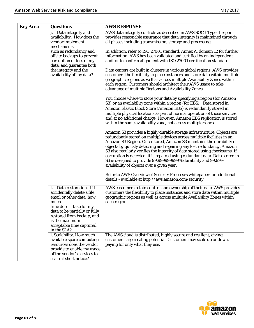| <b>Key Area</b> | <b>Questions</b>                                                                                                                                                                                                                                    | <b>AWS RESPONSE</b>                                                                                                                                                                                                                                                                                                                                                                                                                                                                                                                                                               |
|-----------------|-----------------------------------------------------------------------------------------------------------------------------------------------------------------------------------------------------------------------------------------------------|-----------------------------------------------------------------------------------------------------------------------------------------------------------------------------------------------------------------------------------------------------------------------------------------------------------------------------------------------------------------------------------------------------------------------------------------------------------------------------------------------------------------------------------------------------------------------------------|
|                 | j. Data integrity and<br>availability. How does the<br>vendor implement<br>mechanisms                                                                                                                                                               | AWS data integrity controls as described in AWS SOC 1 Type II report<br>provides reasonable assurance that data integrity is maintained through<br>all phases including transmission, storage and processing.                                                                                                                                                                                                                                                                                                                                                                     |
|                 | such as redundancy and<br>offsite backups to prevent<br>corruption or loss of my<br>data, and guarantee both                                                                                                                                        | In addition, refer to ISO 27001 standard, Annex A, domain 12 for further<br>information. AWS has been validated and certified by an independent<br>auditor to confirm alignment with ISO 27001 certification standard.                                                                                                                                                                                                                                                                                                                                                            |
|                 | the integrity and the<br>availability of my data?                                                                                                                                                                                                   | Data centers are built in clusters in various global regions. AWS provides<br>customers the flexibility to place instances and store data within multiple<br>geographic regions as well as across multiple Availability Zones within<br>each region. Customers should architect their AWS usage to take<br>advantage of multiple Regions and Availability Zones.                                                                                                                                                                                                                  |
|                 |                                                                                                                                                                                                                                                     | You choose where to store your data by specifying a region (for Amazon<br>S3) or an availability zone within a region (for EBS). Data stored in<br>Amazon Elastic Block Store (Amazon EBS) is redundantly stored in<br>multiple physical locations as part of normal operation of those services<br>and at no additional charge. However, Amazon EBS replication is stored<br>within the same availability zone, not across multiple zones.                                                                                                                                       |
|                 |                                                                                                                                                                                                                                                     | Amazon S3 provides a highly durable storage infrastructure. Objects are<br>redundantly stored on multiple devices across multiple facilities in an<br>Amazon S3 Region. Once stored, Amazon S3 maintains the durability of<br>objects by quickly detecting and repairing any lost redundancy. Amazon<br>S3 also regularly verifies the integrity of data stored using checksums. If<br>corruption is detected, it is repaired using redundant data. Data stored in<br>S3 is designed to provide 99.999999999% durability and 99.99%<br>availability of objects over a given year. |
|                 |                                                                                                                                                                                                                                                     | Refer to AWS Overview of Security Processes white paper for additional<br>details - available at http://aws.amazon.com/security                                                                                                                                                                                                                                                                                                                                                                                                                                                   |
|                 | k. Data restoration. If I<br>accidentally delete a file,<br>email or other data, how<br>much<br>time does it take for my<br>data to be partially or fully<br>restored from backup, and<br>is the maximum<br>acceptable time captured<br>in the SLA? | AWS customers retain control and ownership of their data. AWS provides<br>customers the flexibility to place instances and store data within multiple<br>geographic regions as well as across multiple Availability Zones within<br>each region.                                                                                                                                                                                                                                                                                                                                  |
|                 | l. Scalability. How much<br>available spare computing<br>resources does the vendor<br>provide to enable my usage<br>of the vendor's services to<br>scale at short notice?                                                                           | The AWS cloud is distributed, highly secure and resilient, giving<br>customers large scaling potential. Customers may scale up or down,<br>paying for only what they use.                                                                                                                                                                                                                                                                                                                                                                                                         |

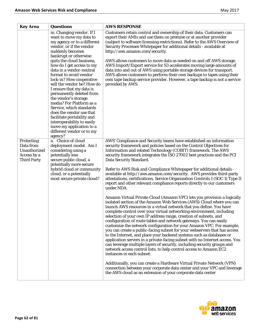| <b>Key Area</b>                                                              | Questions                                                                                                                                                                                                                                                                                                                                                                                                                                                                                                                                                                                                                                 | <b>AWS RESPONSE</b>                                                                                                                                                                                                                                                                                                                                                                                                                                                                                                                                                                                                                                                                                                                                                                                                                                                                                                                                                                                                                                                                                                                                                                                                                                                                                                                                                                                                                                                                                                                                                                                                                                                                                                                                                                                   |
|------------------------------------------------------------------------------|-------------------------------------------------------------------------------------------------------------------------------------------------------------------------------------------------------------------------------------------------------------------------------------------------------------------------------------------------------------------------------------------------------------------------------------------------------------------------------------------------------------------------------------------------------------------------------------------------------------------------------------------|-------------------------------------------------------------------------------------------------------------------------------------------------------------------------------------------------------------------------------------------------------------------------------------------------------------------------------------------------------------------------------------------------------------------------------------------------------------------------------------------------------------------------------------------------------------------------------------------------------------------------------------------------------------------------------------------------------------------------------------------------------------------------------------------------------------------------------------------------------------------------------------------------------------------------------------------------------------------------------------------------------------------------------------------------------------------------------------------------------------------------------------------------------------------------------------------------------------------------------------------------------------------------------------------------------------------------------------------------------------------------------------------------------------------------------------------------------------------------------------------------------------------------------------------------------------------------------------------------------------------------------------------------------------------------------------------------------------------------------------------------------------------------------------------------------|
|                                                                              | m. Changing vendor. If I<br>want to move my data to<br>my agency or to a different<br>vendor, or if the vendor<br>suddenly becomes<br>bankrupt or otherwise<br>quits the cloud business,<br>how do I get access to my<br>data in a vendor-neutral<br>format to avoid vendor<br>lock-in? How cooperative<br>will the vendor be? How do<br>I ensure that my data is<br>permanently deleted from<br>the vendor's storage<br>media? For Platform as a<br>Service, which standards<br>does the vendor use that<br>facilitate portability and<br>interoperability to easily<br>move my application to a<br>different vendor or to my<br>agency? | Customers retain control and ownership of their data. Customers can<br>export their AMIs and use them on premise or at another provider<br>(subject to software licensing restrictions). Refer to the AWS Overview of<br>Security Processes Whitepaper for additional details - available at<br>http://aws.amazon.com/security.<br>AWS allows customers to move data as needed on and off AWS storage.<br>AWS Import/Export service for S3 accelerates moving large amounts of<br>data into and out of AWS using portable storage devices for transport.<br>AWS allows customers to perform their own backups to tapes using their<br>own tape backup service provider. However, a tape backup is not a service<br>provided by AWS.                                                                                                                                                                                                                                                                                                                                                                                                                                                                                                                                                                                                                                                                                                                                                                                                                                                                                                                                                                                                                                                                   |
| Protecting<br>Data from<br>Unauthorized<br>Access by a<br><b>Third Party</b> | a. Choice of cloud<br>deployment model. Am I<br>considering using a<br>potentially less<br>secure public cloud, a<br>potentially more secure<br>hybrid cloud or community<br>cloud, or a potentially<br>most secure private cloud?                                                                                                                                                                                                                                                                                                                                                                                                        | AWS' Compliance and Security teams have established an information<br>security framework and policies based on the Control Objectives for<br>Information and related Technology (COBIT) framework. The AWS<br>security framework integrates the ISO 27002 best practices and the PCI<br>Data Security Standard.<br>Refer to AWS Risk and Compliance Whitepaper for additional details -<br>available at http://aws.amazon.com/security. AWS provides third-party<br>attestations, certifications, Service Organization Controls 1 (SOC 1) Type II<br>report and other relevant compliance reports directly to our customers<br>under NDA.<br>Amazon Virtual Private Cloud (Amazon VPC) lets you provision a logically<br>isolated section of the Amazon Web Services (AWS) Cloud where you can<br>launch AWS resources in a virtual network that you define. You have<br>complete control over your virtual networking environment, including<br>selection of your own IP address range, creation of subnets, and<br>configuration of route tables and network gateways. You can easily<br>customize the network configuration for your Amazon VPC. For example,<br>you can create a public-facing subnet for your webservers that has access<br>to the Internet, and place your backend systems such as databases or<br>application servers in a private-facing subnet with no Internet access. You<br>can leverage multiple layers of security, including security groups and<br>network access control lists, to help control access to Amazon EC2<br>instances in each subnet.<br>Additionally, you can create a Hardware Virtual Private Network (VPN)<br>connection between your corporate data center and your VPC and leverage<br>the AWS cloud as an extension of your corporate data center |

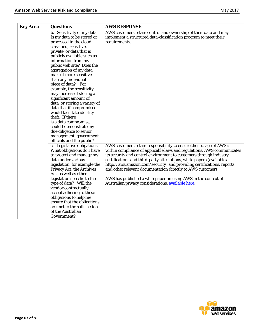| <b>Key Area</b> | <b>Questions</b>                                           | <b>AWS RESPONSE</b>                                                     |
|-----------------|------------------------------------------------------------|-------------------------------------------------------------------------|
|                 | b. Sensitivity of my data.                                 | AWS customers retain control and ownership of their data and may        |
|                 | Is my data to be stored or                                 | implement a structured data-classification program to meet their        |
|                 | processed in the cloud                                     | requirements.                                                           |
|                 | classified, sensitive,                                     |                                                                         |
|                 | private, or data that is                                   |                                                                         |
|                 | publicly available such as                                 |                                                                         |
|                 | information from my                                        |                                                                         |
|                 | public web site? Does the                                  |                                                                         |
|                 | aggregation of my data                                     |                                                                         |
|                 | make it more sensitive                                     |                                                                         |
|                 | than any individual                                        |                                                                         |
|                 | piece of data? For                                         |                                                                         |
|                 | example, the sensitivity                                   |                                                                         |
|                 | may increase if storing a<br>significant amount of         |                                                                         |
|                 | data, or storing a variety of                              |                                                                         |
|                 | data that if compromised                                   |                                                                         |
|                 | would facilitate identity                                  |                                                                         |
|                 | theft. If there                                            |                                                                         |
|                 | is a data compromise,                                      |                                                                         |
|                 | could I demonstrate my                                     |                                                                         |
|                 | due diligence to senior                                    |                                                                         |
|                 | management, government                                     |                                                                         |
|                 | officials and the public?                                  |                                                                         |
|                 | c. Legislative obligations.                                | AWS customers retain responsibility to ensure their usage of AWS is     |
|                 | What obligations do I have                                 | within compliance of applicable laws and regulations. AWS communicates  |
|                 | to protect and manage my                                   | its security and control environment to customers through industry      |
|                 | data under various                                         | certifications and third-party attestations, white papers (available at |
|                 | legislation, for example the                               | http://aws.amazon.com/security) and providing certifications, reports   |
|                 | Privacy Act, the Archives                                  | and other relevant documentation directly to AWS customers.             |
|                 | Act, as well as other                                      |                                                                         |
|                 | legislation specific to the                                | AWS has published a whitepaper on using AWS in the context of           |
|                 | type of data? Will the                                     | Australian privacy considerations, available here.                      |
|                 | vendor contractually                                       |                                                                         |
|                 | accept adhering to these                                   |                                                                         |
|                 | obligations to help me                                     |                                                                         |
|                 | ensure that the obligations<br>are met to the satisfaction |                                                                         |
|                 | of the Australian                                          |                                                                         |
|                 | Government?                                                |                                                                         |
|                 |                                                            |                                                                         |

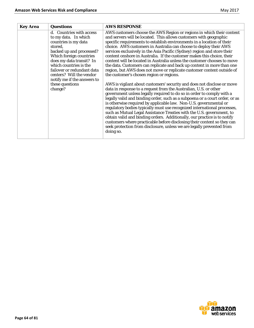| <b>Key Area</b> | <b>Questions</b>                                                                                                                                                                                                                                                                          | <b>AWS RESPONSE</b>                                                                                                                                                                                                                                                                                                                                                                                                                                                                                                                                                                                                                                                                                                                                                        |
|-----------------|-------------------------------------------------------------------------------------------------------------------------------------------------------------------------------------------------------------------------------------------------------------------------------------------|----------------------------------------------------------------------------------------------------------------------------------------------------------------------------------------------------------------------------------------------------------------------------------------------------------------------------------------------------------------------------------------------------------------------------------------------------------------------------------------------------------------------------------------------------------------------------------------------------------------------------------------------------------------------------------------------------------------------------------------------------------------------------|
|                 | d. Countries with access<br>to my data. In which<br>countries is my data<br>stored,<br>backed up and processed?<br>Which foreign countries<br>does my data transit? In<br>which countries is the<br>failover or redundant data<br>centers? Will the vendor<br>notify me if the answers to | AWS customers choose the AWS Region or regions in which their content<br>and servers will be located. This allows customers with geographic<br>specific requirements to establish environments in a location of their<br>choice. AWS customers in Australia can choose to deploy their AWS<br>services exclusively in the Asia Pacific (Sydney) region and store their<br>content onshore in Australia. If the customer makes this choice, their<br>content will be located in Australia unless the customer chooses to move<br>the data. Customers can replicate and back up content in more than one<br>region, but AWS does not move or replicate customer content outside of<br>the customer's chosen region or regions.                                               |
|                 | these questions<br>change?                                                                                                                                                                                                                                                                | AWS is vigilant about customers' security and does not disclose or move<br>data in response to a request from the Australian, U.S. or other<br>government unless legally required to do so in order to comply with a<br>legally valid and binding order, such as a subpoena or a court order, or as<br>is otherwise required by applicable law. Non-U.S. governmental or<br>regulatory bodies typically must use recognized international processes,<br>such as Mutual Legal Assistance Treaties with the U.S. government, to<br>obtain valid and binding orders. Additionally, our practice is to notify<br>customers where practicable before disclosing their content so they can<br>seek protection from disclosure, unless we are legally prevented from<br>doing so. |

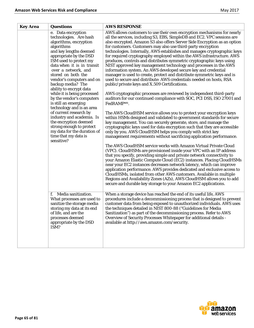| <b>Key Area</b> | <b>Questions</b>                                                                                                                                                                                                                                                                                                           | <b>AWS RESPONSE</b>                                                                                                                                                                                                                                                                                                                                                                                                                                                                                                                                                                                                                                                                                                                                                                                                                                                   |
|-----------------|----------------------------------------------------------------------------------------------------------------------------------------------------------------------------------------------------------------------------------------------------------------------------------------------------------------------------|-----------------------------------------------------------------------------------------------------------------------------------------------------------------------------------------------------------------------------------------------------------------------------------------------------------------------------------------------------------------------------------------------------------------------------------------------------------------------------------------------------------------------------------------------------------------------------------------------------------------------------------------------------------------------------------------------------------------------------------------------------------------------------------------------------------------------------------------------------------------------|
|                 | e. Data encryption<br>technologies. Are hash<br>algorithms, encryption<br>algorithms<br>and key lengths deemed<br>appropriate by the DSD<br>ISM used to protect my<br>data when it is in transit<br>over a network, and<br>stored on both the<br>vendor's computers and on<br>backup media? The<br>ability to encrypt data | AWS allows customers to use their own encryption mechanisms for nearly<br>all the services, including S3, EBS, SimpleDB and EC2. VPC sessions are<br>also encrypted. Amazon S3 also offers Server Side Encryption as an option<br>for customers. Customers may also use third-party encryption<br>technologies. Internally, AWS establishes and manages cryptographic keys<br>for required cryptography employed within the AWS infrastructure. AWS<br>produces, controls and distributes symmetric cryptographic keys using<br>NIST approved key management technology and processes in the AWS<br>information system. An AWS developed secure key and credential<br>manager is used to create, protect and distribute symmetric keys and is<br>used to secure and distribute: AWS credentials needed on hosts, RSA<br>public/private keys and X.509 Certifications. |
|                 | while it is being processed<br>by the vendor's computers<br>is still an emerging<br>technology and is an area                                                                                                                                                                                                              | AWS cryptographic processes are reviewed by independent third-party<br>auditors for our continued compliance with SOC, PCI DSS, ISO 27001 and<br>FedRAMPsm.                                                                                                                                                                                                                                                                                                                                                                                                                                                                                                                                                                                                                                                                                                           |
|                 | of current research by<br>industry and academia. Is<br>the encryption deemed<br>strong enough to protect<br>my data for the duration of<br>time that my data is<br>sensitive?                                                                                                                                              | The AWS CloudHSM service allows you to protect your encryption keys<br>within HSMs designed and validated to government standards for secure<br>key management. You can securely generate, store, and manage the<br>cryptographic keys used for data encryption such that they are accessible<br>only by you. AWS CloudHSM helps you comply with strict key<br>management requirements without sacrificing application performance.                                                                                                                                                                                                                                                                                                                                                                                                                                   |
|                 |                                                                                                                                                                                                                                                                                                                            | The AWS CloudHSM service works with Amazon Virtual Private Cloud<br>(VPC). CloudHSMs are provisioned inside your VPC with an IP address<br>that you specify, providing simple and private network connectivity to<br>your Amazon Elastic Compute Cloud (EC2) instances. Placing CloudHSMs<br>near your EC2 instances decreases network latency, which can improve<br>application performance. AWS provides dedicated and exclusive access to<br>CloudHSMs, isolated from other AWS customers. Available in multiple<br>Regions and Availability Zones (AZs), AWS CloudHSM allows you to add<br>secure and durable key storage to your Amazon EC2 applications.                                                                                                                                                                                                        |
|                 | Media sanitization.<br>f.<br>What processes are used to<br>sanitize the storage media<br>storing my data at its end<br>of life, and are the<br>processes deemed<br>appropriate by the DSD<br>ISM?                                                                                                                          | When a storage device has reached the end of its useful life, AWS<br>procedures include a decommissioning process that is designed to prevent<br>customer data from being exposed to unauthorized individuals. AWS uses<br>the techniques detailed in NIST 800-88 ("Guidelines for Media<br>Sanitization") as part of the decommissioning process. Refer to AWS<br>Overview of Security Processes Whitepaper for additional details -<br>available at http://aws.amazon.com/security.                                                                                                                                                                                                                                                                                                                                                                                 |

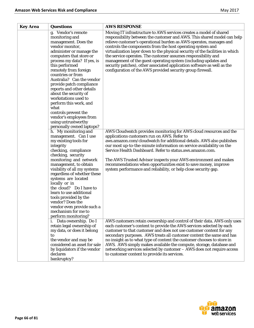| <b>Key Area</b> | <b>Questions</b>                                                                                                                                                                                                                                                                                                                                                                                                                       | <b>AWS RESPONSE</b>                                                                                                                                                                                                                                                                                                                                                                                                                                                                                                                                                                                                                             |
|-----------------|----------------------------------------------------------------------------------------------------------------------------------------------------------------------------------------------------------------------------------------------------------------------------------------------------------------------------------------------------------------------------------------------------------------------------------------|-------------------------------------------------------------------------------------------------------------------------------------------------------------------------------------------------------------------------------------------------------------------------------------------------------------------------------------------------------------------------------------------------------------------------------------------------------------------------------------------------------------------------------------------------------------------------------------------------------------------------------------------------|
|                 | g. Vendor's remote<br>monitoring and<br>management. Does the<br>vendor monitor,<br>administer or manage the<br>computers that store or<br>process my data? If yes, is<br>this performed<br>remotely from foreign<br>countries or from<br>Australia? Can the vendor<br>provide patch compliance<br>reports and other details<br>about the security of<br>workstations used to<br>perform this work, and<br>what<br>controls prevent the | Moving IT infrastructure to AWS services creates a model of shared<br>responsibility between the customer and AWS. This shared model can help<br>relieve customer's operational burden as AWS operates, manages and<br>controls the components from the host operating system and<br>virtualization layer down to the physical security of the facilities in which<br>the service operates. The customer assumes responsibility and<br>management of the guest operating system (including updates and<br>security patches), other associated application software as well as the<br>configuration of the AWS provided security group firewall. |
|                 | vendor's employees from<br>using untrustworthy<br>personally owned laptops?                                                                                                                                                                                                                                                                                                                                                            |                                                                                                                                                                                                                                                                                                                                                                                                                                                                                                                                                                                                                                                 |
|                 | h. My monitoring and<br>management. Can I use<br>my existing tools for<br>integrity<br>checking, compliance<br>checking, security<br>monitoring and network<br>management, to obtain<br>visibility of all my systems<br>regardless of whether these                                                                                                                                                                                    | AWS Cloudwatch provides monitoring for AWS cloud resources and the<br>applications customers run on AWS. Refer to<br>aws.amazon.com/cloudwatch for additional details. AWS also publishes<br>our most up-to-the-minute information on service availability on the<br>Service Health Dashboard. Refer to status.aws.amazon.com.<br>The AWS Trusted Advisor inspects your AWS environment and makes<br>recommendations when opportunities exist to save money, improve<br>system performance and reliability, or help close security gap.                                                                                                         |
|                 | systems are located<br>locally or in<br>the cloud? Do I have to<br>learn to use additional<br>tools provided by the<br>vendor? Does the<br>vendor even provide such a<br>mechanism for me to<br>perform monitoring?                                                                                                                                                                                                                    |                                                                                                                                                                                                                                                                                                                                                                                                                                                                                                                                                                                                                                                 |
|                 | Data ownership. Do I<br>retain legal ownership of<br>my data, or does it belong<br>to<br>the vendor and may be<br>considered an asset for sale<br>by liquidators if the vendor<br>declares<br>bankruptcy?                                                                                                                                                                                                                              | AWS customers retain ownership and control of their data. AWS only uses<br>each customer's content to provide the AWS services selected by each<br>customer to that customer and does not use customer content for any<br>secondary purposes. AWS treats all customer content the same and has<br>no insight as to what type of content the customer chooses to store in<br>AWS. AWS simply makes available the compute, storage, database and<br>networking services selected by customer - AWS does not require access<br>to customer content to provide its services.                                                                        |

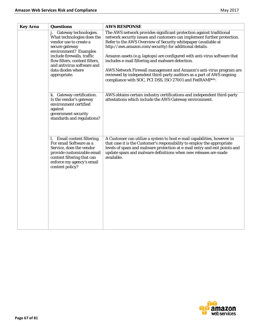| <b>Key Area</b>                                                                   | <b>Questions</b>                                                                                                                                                                                  | <b>AWS RESPONSE</b>                                                                                                                                                                                                                                                                                                                     |
|-----------------------------------------------------------------------------------|---------------------------------------------------------------------------------------------------------------------------------------------------------------------------------------------------|-----------------------------------------------------------------------------------------------------------------------------------------------------------------------------------------------------------------------------------------------------------------------------------------------------------------------------------------|
| secure gateway<br>include firewalls, traffic<br>data diodes where<br>appropriate. | Gateway technologies.<br>What technologies does the<br>vendor use to create a<br>environment? Examples                                                                                            | The AWS network provides significant protection against traditional<br>network security issues and customers can implement further protection.<br>Refer to the AWS Overview of Security whitepaper (available at<br>http://aws.amazon.com/security) for additional details.                                                             |
|                                                                                   | flow filters, content filters,<br>and antivirus software and                                                                                                                                      | Amazon assets (e.g. laptops) are configured with anti-virus software that<br>includes e-mail filtering and malware detection.<br>AWS Network Firewall management and Amazon's anti-virus program are<br>reviewed by independent third-party auditors as a part of AWS ongoing<br>compliance with SOC, PCI DSS, ISO 27001 and FedRAMPsm. |
|                                                                                   |                                                                                                                                                                                                   |                                                                                                                                                                                                                                                                                                                                         |
|                                                                                   | k. Gateway certification.<br>Is the vendor's gateway<br>environment certified<br>against<br>government security<br>standards and regulations?                                                     | AWS obtains certain industry certifications and independent third-party<br>attestations which include the AWS Gateway environment.                                                                                                                                                                                                      |
|                                                                                   | Email content filtering.<br>l.<br>For email Software as a<br>Service, does the vendor<br>provide customizable email<br>content filtering that can<br>enforce my agency's email<br>content policy? | A Customer can utilize a system to host e-mail capabilities, however in<br>that case it is the Customer's responsibility to employ the appropriate<br>levels of spam and malware protection at e-mail entry and exit points and<br>update spam and malware definitions when new releases are made<br>available.                         |
|                                                                                   |                                                                                                                                                                                                   |                                                                                                                                                                                                                                                                                                                                         |

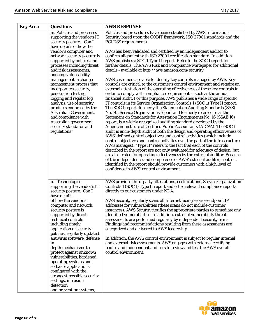| <b>Key Area</b> | <b>Questions</b>                                                                                                                                                                                                                                                                                                                   | <b>AWS RESPONSE</b>                                                                                                                                                                                                                                                                                                                                                                                                                                                                                                                                                                                                                                                                                                                                                                                                                                                                                                                                                                                                                                                                                                                                                                                                                                                                                                                                                                                                                                                                                                |
|-----------------|------------------------------------------------------------------------------------------------------------------------------------------------------------------------------------------------------------------------------------------------------------------------------------------------------------------------------------|--------------------------------------------------------------------------------------------------------------------------------------------------------------------------------------------------------------------------------------------------------------------------------------------------------------------------------------------------------------------------------------------------------------------------------------------------------------------------------------------------------------------------------------------------------------------------------------------------------------------------------------------------------------------------------------------------------------------------------------------------------------------------------------------------------------------------------------------------------------------------------------------------------------------------------------------------------------------------------------------------------------------------------------------------------------------------------------------------------------------------------------------------------------------------------------------------------------------------------------------------------------------------------------------------------------------------------------------------------------------------------------------------------------------------------------------------------------------------------------------------------------------|
|                 | m. Policies and processes<br>supporting the vendor's IT<br>security posture. Can I<br>have details of how the                                                                                                                                                                                                                      | Policies and procedures have been established by AWS Information<br>Security based upon the COBIT framework, ISO 27001 standards and the<br>PCI DSS requirements.                                                                                                                                                                                                                                                                                                                                                                                                                                                                                                                                                                                                                                                                                                                                                                                                                                                                                                                                                                                                                                                                                                                                                                                                                                                                                                                                                  |
|                 | vendor's computer and<br>network security posture is<br>supported by policies and<br>processes including threat<br>and risk assessments,                                                                                                                                                                                           | AWS has been validated and certified by an independent auditor to<br>confirm alignment with ISO 27001 certification standard. In addition<br>AWS publishes a SOC 1 Type II report. Refer to the SOC 1 report for<br>further details. The AWS Risk and Compliance whitepaper for additional<br>details - available at http://aws.amazon.com/security.                                                                                                                                                                                                                                                                                                                                                                                                                                                                                                                                                                                                                                                                                                                                                                                                                                                                                                                                                                                                                                                                                                                                                               |
|                 | ongoing vulnerability<br>management, a change<br>management process that<br>incorporates security,<br>penetration testing,<br>logging and regular log<br>analysis, use of security<br>products endorsed by the<br>Australian Government,<br>and compliance with<br>Australian government<br>security standards and<br>regulations? | AWS customers are able to identify key controls managed by AWS. Key<br>controls are critical to the customer's control environment and require an<br>external attestation of the operating effectiveness of these key controls in<br>order to comply with compliance requirements—such as the annual<br>financial audit. For this purpose, AWS publishes a wide range of specific<br>IT controls in its Service Organization Controls 1 (SOC 1) Type II report.<br>The SOC 1 report, formerly the Statement on Auditing Standards (SAS)<br>No. 70, Service Organizations report and formerly referred to as the<br>Statement on Standards for Attestation Engagements No. 16 (SSAE 16)<br>report, is a widely recognized auditing standard developed by the<br>American Institute of Certified Public Accountants (AICPA). The SOC 1<br>audit is an in-depth audit of both the design and operating effectiveness of<br>AWS' defined control objectives and control activities (which include<br>control objectives and control activities over the part of the infrastructure<br>AWS manages). "Type II" refers to the fact that each of the controls<br>described in the report are not only evaluated for adequacy of design, but<br>are also tested for operating effectiveness by the external auditor. Because<br>of the independence and competence of AWS' external auditor, controls<br>identified in the report should provide customers with a high level of<br>confidence in AWS' control environment. |
|                 | n. Technologies<br>supporting the vendor's IT<br>security posture. Can I<br>have details                                                                                                                                                                                                                                           | AWS provides third-party attestations, certifications, Service Organization<br>Controls 1 (SOC 1) Type II report and other relevant compliance reports<br>directly to our customers under NDA.                                                                                                                                                                                                                                                                                                                                                                                                                                                                                                                                                                                                                                                                                                                                                                                                                                                                                                                                                                                                                                                                                                                                                                                                                                                                                                                     |
|                 | of how the vendor's<br>computer and network<br>security posture is<br>supported by direct<br>technical controls<br>including timely<br>application of security<br>patches, regularly updated                                                                                                                                       | AWS Security regularly scans all Internet facing service endpoint IP<br>addresses for vulnerabilities (these scans do not include customer<br>instances). AWS Security notifies the appropriate parties to remediate any<br>identified vulnerabilities. In addition, external vulnerability threat<br>assessments are performed regularly by independent security firms.<br>Findings and recommendations resulting from these assessments are<br>categorized and delivered to AWS leadership.                                                                                                                                                                                                                                                                                                                                                                                                                                                                                                                                                                                                                                                                                                                                                                                                                                                                                                                                                                                                                      |
|                 | antivirus software, defense<br>in<br>depth mechanisms to<br>protect against unknown<br>vulnerabilities, hardened<br>operating systems and<br>software applications<br>configured with the<br>strongest possible security                                                                                                           | In addition, the AWS control environment is subject to regular internal<br>and external risk assessments. AWS engages with external certifying<br>bodies and independent auditors to review and test the AWS overall<br>control environment.                                                                                                                                                                                                                                                                                                                                                                                                                                                                                                                                                                                                                                                                                                                                                                                                                                                                                                                                                                                                                                                                                                                                                                                                                                                                       |
|                 | settings, intrusion<br>detection<br>and prevention systems,                                                                                                                                                                                                                                                                        |                                                                                                                                                                                                                                                                                                                                                                                                                                                                                                                                                                                                                                                                                                                                                                                                                                                                                                                                                                                                                                                                                                                                                                                                                                                                                                                                                                                                                                                                                                                    |

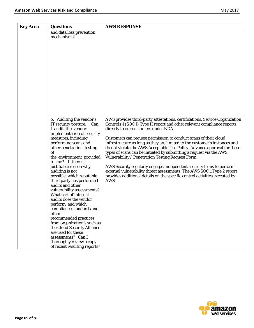| <b>Key Area</b> | <b>Questions</b>                                                                                                                                                                                                                                                                                                                                                                                                                                                                                                                                                                                                                                                                                                       | <b>AWS RESPONSE</b>                                                                                                                                                                                                                                                                                                                                                                                                                                                                                                                                                                                                                                                                                                                                                                              |
|-----------------|------------------------------------------------------------------------------------------------------------------------------------------------------------------------------------------------------------------------------------------------------------------------------------------------------------------------------------------------------------------------------------------------------------------------------------------------------------------------------------------------------------------------------------------------------------------------------------------------------------------------------------------------------------------------------------------------------------------------|--------------------------------------------------------------------------------------------------------------------------------------------------------------------------------------------------------------------------------------------------------------------------------------------------------------------------------------------------------------------------------------------------------------------------------------------------------------------------------------------------------------------------------------------------------------------------------------------------------------------------------------------------------------------------------------------------------------------------------------------------------------------------------------------------|
|                 | and data loss prevention<br>mechanisms?                                                                                                                                                                                                                                                                                                                                                                                                                                                                                                                                                                                                                                                                                |                                                                                                                                                                                                                                                                                                                                                                                                                                                                                                                                                                                                                                                                                                                                                                                                  |
|                 | o. Auditing the vendor's<br>IT security posture.<br>Can<br>I audit the vendor'<br>implementation of security<br>measures, including<br>performing scans and<br>other penetration testing<br>of<br>the environment provided<br>to me? If there is<br>justifiable reason why<br>auditing is not<br>possible, which reputable<br>third party has performed<br>audits and other<br>vulnerability assessments?<br>What sort of internal<br>audits does the vendor<br>perform, and which<br>compliance standards and<br>other<br>recommended practices<br>from organization's such as<br>the Cloud Security Alliance<br>are used for these<br>assessments? Can I<br>thoroughly review a copy<br>of recent resulting reports? | AWS provides third-party attestations, certifications, Service Organization<br>Controls 1 (SOC 1) Type II report and other relevant compliance reports<br>directly to our customers under NDA.<br>Customers can request permission to conduct scans of their cloud<br>infrastructure as long as they are limited to the customer's instances and<br>do not violate the AWS Acceptable Use Policy. Advance approval for these<br>types of scans can be initiated by submitting a request via the AWS<br>Vulnerability / Penetration Testing Request Form.<br>AWS Security regularly engages independent security firms to perform<br>external vulnerability threat assessments. The AWS SOC 1 Type 2 report<br>provides additional details on the specific control activities executed by<br>AWS. |

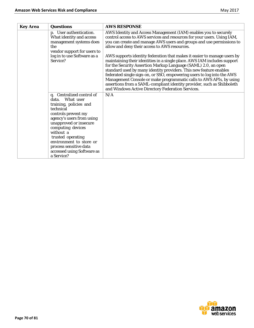| <b>Key Area</b> | <b>Questions</b>                                                                                                                                                                                                                                                                                                             | <b>AWS RESPONSE</b>                                                                                                                                                                                                                                                                                                                                                                                                                                                                                                                                                                                                                                                                                                                                                                                                                                   |
|-----------------|------------------------------------------------------------------------------------------------------------------------------------------------------------------------------------------------------------------------------------------------------------------------------------------------------------------------------|-------------------------------------------------------------------------------------------------------------------------------------------------------------------------------------------------------------------------------------------------------------------------------------------------------------------------------------------------------------------------------------------------------------------------------------------------------------------------------------------------------------------------------------------------------------------------------------------------------------------------------------------------------------------------------------------------------------------------------------------------------------------------------------------------------------------------------------------------------|
|                 | p. User authentication.<br>What identity and access<br>management systems does<br>the<br>vendor support for users to<br>log in to use Software as a<br>Service?                                                                                                                                                              | AWS Identity and Access Management (IAM) enables you to securely<br>control access to AWS services and resources for your users. Using IAM,<br>you can create and manage AWS users and groups and use permissions to<br>allow and deny their access to AWS resources.<br>AWS supports identity federation that makes it easier to manage users by<br>maintaining their identities in a single place. AWS IAM includes support<br>for the Security Assertion Markup Language (SAML) 2.0, an open<br>standard used by many identity providers. This new feature enables<br>federated single sign-on, or SSO, empowering users to log into the AWS<br>Management Console or make programmatic calls to AWS APIs, by using<br>assertions from a SAML-compliant identity provider, such as Shibboleth<br>and Windows Active Directory Federation Services. |
|                 | q. Centralized control of<br>What user<br>data.<br>training, policies and<br>technical<br>controls prevent my<br>agency's users from using<br>unapproved or insecure<br>computing devices<br>without a<br>trusted operating<br>environment to store or<br>process sensitive data<br>accessed using Software as<br>a Service? | N/A                                                                                                                                                                                                                                                                                                                                                                                                                                                                                                                                                                                                                                                                                                                                                                                                                                                   |

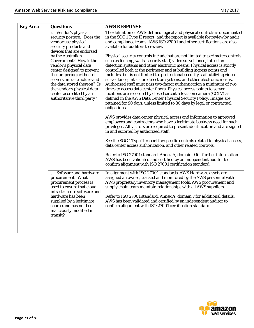| <b>Key Area</b> | <b>Questions</b>                                                                                                                                                                                                                                                                      | <b>AWS RESPONSE</b>                                                                                                                                                                                                                                                                                                                                                                                                                                                                                                                                                                                                                                                                                                                                                                                                                                           |
|-----------------|---------------------------------------------------------------------------------------------------------------------------------------------------------------------------------------------------------------------------------------------------------------------------------------|---------------------------------------------------------------------------------------------------------------------------------------------------------------------------------------------------------------------------------------------------------------------------------------------------------------------------------------------------------------------------------------------------------------------------------------------------------------------------------------------------------------------------------------------------------------------------------------------------------------------------------------------------------------------------------------------------------------------------------------------------------------------------------------------------------------------------------------------------------------|
|                 | r. Vendor's physical<br>security posture. Does the<br>vendor use physical<br>security products and<br>devices that are endorsed                                                                                                                                                       | The definition of AWS-defined logical and physical controls is documented<br>in the SOC 1 Type II report, and the report is available for review by audit<br>and compliance teams. AWS ISO 27001 and other certifications are also<br>available for auditors to review.                                                                                                                                                                                                                                                                                                                                                                                                                                                                                                                                                                                       |
|                 | by the Australian<br>Government? How is the<br>vendor's physical data<br>center designed to prevent<br>the tampering or theft of<br>servers, infrastructure and<br>the data stored thereon? Is<br>the vendor's physical data<br>center accredited by an<br>authoritative third party? | Physical security controls include but are not limited to perimeter controls<br>such as fencing, walls, security staff, video surveillance, intrusion<br>detection systems and other electronic means. Physical access is strictly<br>controlled both at the perimeter and at building ingress points and<br>includes, but is not limited to, professional security staff utilizing video<br>surveillance, intrusion detection systems, and other electronic means.<br>Authorized staff must pass two-factor authentication a minimum of two<br>times to access data center floors. Physical access points to server<br>locations are recorded by closed circuit television camera (CCTV) as<br>defined in the AWS Data Center Physical Security Policy. Images are<br>retained for 90 days, unless limited to 30 days by legal or contractual<br>obligations |
|                 |                                                                                                                                                                                                                                                                                       | AWS provides data center physical access and information to approved<br>employees and contractors who have a legitimate business need for such<br>privileges. All visitors are required to present identification and are signed<br>in and escorted by authorized staff.                                                                                                                                                                                                                                                                                                                                                                                                                                                                                                                                                                                      |
|                 |                                                                                                                                                                                                                                                                                       | See the SOC 1 Type II report for specific controls related to physical access,<br>data center access authorization, and other related controls.                                                                                                                                                                                                                                                                                                                                                                                                                                                                                                                                                                                                                                                                                                               |
|                 |                                                                                                                                                                                                                                                                                       | Refer to ISO 27001 standard, Annex A, domain 9 for further information.<br>AWS has been validated and certified by an independent auditor to<br>confirm alignment with ISO 27001 certification standard.                                                                                                                                                                                                                                                                                                                                                                                                                                                                                                                                                                                                                                                      |
|                 | s. Software and hardware<br>procurement. What<br>procurement process is<br>used to ensure that cloud<br>infrastructure software and<br>hardware has been<br>supplied by a legitimate<br>source and has not been<br>maliciously modified in<br>transit?                                | In alignment with ISO 27001 standards, AWS Hardware assets are<br>assigned an owner, tracked and monitored by the AWS personnel with<br>AWS proprietary inventory management tools. AWS procurement and<br>supply chain team maintain relationships with all AWS suppliers.<br>Refer to ISO 27001 standard, Annex A, domain 7 for additional details.<br>AWS has been validated and certified by an independent auditor to<br>confirm alignment with ISO 27001 certification standard.                                                                                                                                                                                                                                                                                                                                                                        |
|                 |                                                                                                                                                                                                                                                                                       |                                                                                                                                                                                                                                                                                                                                                                                                                                                                                                                                                                                                                                                                                                                                                                                                                                                               |

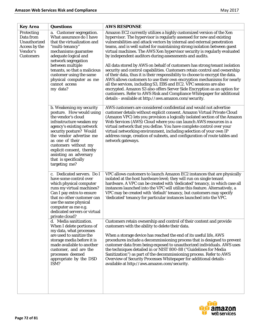| <b>Key Area</b>                                                                          | <b>Questions</b>                                                                                                                                                                                                                                                                                                                     | <b>AWS RESPONSE</b>                                                                                                                                                                                                                                                                                                                                                                                                                                                                                                                                                                                                                                                                                                                                             |
|------------------------------------------------------------------------------------------|--------------------------------------------------------------------------------------------------------------------------------------------------------------------------------------------------------------------------------------------------------------------------------------------------------------------------------------|-----------------------------------------------------------------------------------------------------------------------------------------------------------------------------------------------------------------------------------------------------------------------------------------------------------------------------------------------------------------------------------------------------------------------------------------------------------------------------------------------------------------------------------------------------------------------------------------------------------------------------------------------------------------------------------------------------------------------------------------------------------------|
| Protecting<br>Data from<br>Unauthorized<br>Access by the<br>Vendor's<br><b>Customers</b> | a. Customer segregation.<br>What assurance do I have<br>that the virtualization and<br>"multi-tenancy"<br>mechanisms guarantee<br>adequate logical and<br>network segregation<br>between multiple<br>tenants, so that a malicious<br>customer using the same<br>physical computer as me                                              | Amazon EC2 currently utilizes a highly customized version of the Xen<br>hypervisor. The hypervisor is regularly assessed for new and existing<br>vulnerabilities and attack vectors by internal and external penetration<br>teams, and is well suited for maintaining strong isolation between guest<br>virtual machines. The AWS Xen hypervisor security is regularly evaluated<br>by independent auditors during assessments and audits.<br>All data stored by AWS on behalf of customers has strong tenant isolation<br>security and control capabilities. Customers retain control and ownership<br>of their data, thus it is their responsibility to choose to encrypt the data.<br>AWS allows customers to use their own encryption mechanisms for nearly |
|                                                                                          | cannot access<br>my data?                                                                                                                                                                                                                                                                                                            | all the services, including S3, EBS and EC2. VPC sessions are also<br>encrypted. Amazon S3 also offers Server Side Encryption as an option for<br>customers. Refer to AWS Risk and Compliance Whitepaper for additional<br>details - available at http://aws.amazon.com/security.                                                                                                                                                                                                                                                                                                                                                                                                                                                                               |
|                                                                                          | b. Weakening my security<br>posture. How would using<br>the vendor's cloud<br>infrastructure weaken my<br>agency's existing network<br>security posture? Would<br>the vendor advertise me<br>as one of their<br>customers without my<br>explicit consent, thereby<br>assisting an adversary<br>that is specifically<br>targeting me? | AWS customers are considered confidential and would not advertise<br>customer details without explicit consent. Amazon Virtual Private Cloud<br>(Amazon VPC) lets you provision a logically isolated section of the Amazon<br>Web Services (AWS) Cloud where you can launch AWS resources in a<br>virtual network that you define. You have complete control over your<br>virtual networking environment, including selection of your own IP<br>address range, creation of subnets, and configuration of route tables and<br>network gateways.                                                                                                                                                                                                                  |
|                                                                                          | c. Dedicated servers. Do I<br>have some control over<br>which physical computer<br>runs my virtual machines?<br>Can I pay extra to ensure<br>that no other customer can<br>use the same physical<br>computer as me e.g.<br>dedicated servers or virtual<br>private cloud?                                                            | VPC allows customers to launch Amazon EC2 instances that are physically<br>isolated at the host hardware level; they will run on single tenant<br>hardware. A VPC can be created with 'dedicated' tenancy, in which case all<br>instances launched into the VPC will utilize this feature. Alternatively, a<br>VPC may be created with 'default' tenancy, but customers may specify<br>'dedicated' tenancy for particular instances launched into the VPC.                                                                                                                                                                                                                                                                                                      |
|                                                                                          | d. Media sanitization.<br>When I delete portions of<br>my data, what processes<br>are used to sanitize the<br>storage media before it is<br>made available to another<br>customer, and are the<br>processes deemed<br>appropriate by the DSD<br>ISM?                                                                                 | Customers retain ownership and control of their content and provide<br>customers with the ability to delete their data.<br>When a storage device has reached the end of its useful life, AWS<br>procedures include a decommissioning process that is designed to prevent<br>customer data from being exposed to unauthorized individuals. AWS uses<br>the techniques detailed in or NIST 800-88 ("Guidelines for Media<br>Sanitization") as part of the decommissioning process. Refer to AWS<br>Overview of Security Processes Whitepaper for additional details -<br>available at http://aws.amazon.com/security.                                                                                                                                             |
|                                                                                          |                                                                                                                                                                                                                                                                                                                                      |                                                                                                                                                                                                                                                                                                                                                                                                                                                                                                                                                                                                                                                                                                                                                                 |

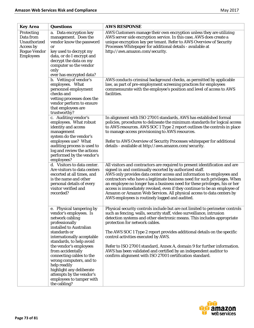| <b>Key Area</b>                                                                                 | <b>Questions</b>                                                                                                                                                                                                                             | <b>AWS RESPONSE</b>                                                                                                                                                                                                                                                                                                                                                                                                                                                                                                                                                                |
|-------------------------------------------------------------------------------------------------|----------------------------------------------------------------------------------------------------------------------------------------------------------------------------------------------------------------------------------------------|------------------------------------------------------------------------------------------------------------------------------------------------------------------------------------------------------------------------------------------------------------------------------------------------------------------------------------------------------------------------------------------------------------------------------------------------------------------------------------------------------------------------------------------------------------------------------------|
| Protecting<br>Data from<br>Unauthorized<br>Access by<br><b>Rogue Vendor</b><br><b>Employees</b> | a. Data encryption key<br>management. Does the<br>vendor know the password<br>or<br>key used to decrypt my<br>data, or do I encrypt and<br>decrypt the data on my<br>computer so the vendor<br>only<br>ever has encrypted data?              | AWS Customers manage their own encryption unless they are utilizing<br>AWS server side encryption service. In this case, AWS does create a<br>unique encryption key per tenant. Refer to AWS Overview of Security<br>Processes Whitepaper for additional details - available at<br>http://aws.amazon.com/security.                                                                                                                                                                                                                                                                 |
|                                                                                                 | b. Vetting of vendor's<br>employees. What<br>personnel employment<br>checks and<br>vetting processes does the<br>vendor perform to ensure<br>that employees are<br>trustworthy?                                                              | AWS conducts criminal background checks, as permitted by applicable<br>law, as part of pre-employment screening practices for employees<br>commensurate with the employee's position and level of access to AWS<br>facilities.                                                                                                                                                                                                                                                                                                                                                     |
|                                                                                                 | c. Auditing vendor's<br>employees. What robust<br>identity and access<br>management<br>system do the vendor's<br>employees use? What<br>auditing process is used to<br>log and review the actions<br>performed by the vendor's<br>employees? | In alignment with ISO 27001 standards, AWS has established formal<br>policies, procedures to delineate the minimum standards for logical access<br>to AWS resources. AWS SOC 1 Type 2 report outlines the controls in place<br>to manage access provisioning to AWS resources.<br>Refer to AWS Overview of Security Processes whitepaper for additional<br>details - available at http://aws.amazon.com/security.                                                                                                                                                                  |
|                                                                                                 | d. Visitors to data center.<br>Are visitors to data centers<br>escorted at all times, and<br>is the name and other<br>personal details of every<br>visitor verified and<br>recorded?                                                         | All visitors and contractors are required to present identification and are<br>signed in and continually escorted by authorized staff.<br>AWS only provides data center access and information to employees and<br>contractors who have a legitimate business need for such privileges. When<br>an employee no longer has a business need for these privileges, his or her<br>access is immediately revoked, even if they continue to be an employee of<br>Amazon or Amazon Web Services. All physical access to data centers by<br>AWS employees is routinely logged and audited. |
|                                                                                                 | e. Physical tampering by<br>vendor's employees. Is<br>network cabling<br>professionally<br>installed to Australian<br>standards or<br>internationally acceptable<br>standards, to help avoid                                                 | Physical security controls include but are not limited to perimeter controls<br>such as fencing, walls, security staff, video surveillance, intrusion<br>detection systems and other electronic means. This includes appropriate<br>protection for network cables.<br>The AWS SOC 1 Type 2 report provides additional details on the specific<br>control activities executed by AWS.                                                                                                                                                                                               |
|                                                                                                 | the vendor's employees<br>from accidentally<br>connecting cables to the<br>wrong computers, and to<br>help readily<br>highlight any deliberate<br>attempts by the vendor's<br>employees to tamper with<br>the cabling?                       | Refer to ISO 27001 standard, Annex A, domain 9 for further information.<br>AWS has been validated and certified by an independent auditor to<br>confirm alignment with ISO 27001 certification standard.                                                                                                                                                                                                                                                                                                                                                                           |

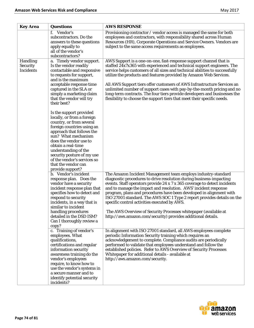| <b>Key Area</b>                                        | <b>Questions</b>                                                                                                                                                                                                                                                                                                                                    | <b>AWS RESPONSE</b>                                                                                                                                                                                                                                                                                                                                                                                                                                                                                                                                                                                                       |
|--------------------------------------------------------|-----------------------------------------------------------------------------------------------------------------------------------------------------------------------------------------------------------------------------------------------------------------------------------------------------------------------------------------------------|---------------------------------------------------------------------------------------------------------------------------------------------------------------------------------------------------------------------------------------------------------------------------------------------------------------------------------------------------------------------------------------------------------------------------------------------------------------------------------------------------------------------------------------------------------------------------------------------------------------------------|
|                                                        | f. Vendor's<br>subcontractors. Do the<br>answers to these questions<br>apply equally to<br>all of the vendor's<br>subcontractors?                                                                                                                                                                                                                   | Provisioning contractor / vendor access is managed the same for both<br>employees and contractors, with responsibility shared across Human<br>Resources (HR), Corporate Operations and Service Owners. Vendors are<br>subject to the same access requirements as employees.                                                                                                                                                                                                                                                                                                                                               |
| <b>Handling</b><br><b>Security</b><br><b>Incidents</b> | a. Timely vendor support.<br>Is the vendor readily<br>contactable and responsive<br>to requests for support,<br>and is the maximum<br>acceptable response time<br>captured in the SLA or<br>simply a marketing claim<br>that the vendor will try<br>their best?                                                                                     | AWS Support is a one-on-one, fast-response support channel that is<br>staffed 24x7x365 with experienced and technical support engineers. The<br>service helps customers of all sizes and technical abilities to successfully<br>utilize the products and features provided by Amazon Web Services.<br>All AWS Support tiers offer customers of AWS Infrastructure Services an<br>unlimited number of support cases with pay-by-the-month pricing and no<br>long-term contracts. The four tiers provide developers and businesses the<br>flexibility to choose the support tiers that meet their specific needs.           |
|                                                        | Is the support provided<br>locally, or from a foreign<br>country, or from several<br>foreign countries using an<br>approach that follows the<br>sun? What mechanism<br>does the vendor use to<br>obtain a real-time<br>understanding of the<br>security posture of my use<br>of the vendor's services so<br>that the vendor can<br>provide support? |                                                                                                                                                                                                                                                                                                                                                                                                                                                                                                                                                                                                                           |
|                                                        | b. Vendor's incident<br>response plan. Does the<br>vendor have a security<br>incident response plan that<br>specifies how to detect and<br>respond to security<br>incidents, in a way that is<br>similar to incident<br>handling procedures<br>detailed in the DSD ISM?<br>Can I thoroughly review a<br>copy?                                       | The Amazon Incident Management team employs industry-standard<br>diagnostic procedures to drive resolution during business-impacting<br>events. Staff operators provide 24 x 7 x 365 coverage to detect incidents<br>and to manage the impact and resolution. AWS' incident response<br>program, plans and procedures have been developed in alignment with<br>ISO 27001 standard. The AWS SOC 1 Type 2 report provides details on the<br>specific control activities executed by AWS.<br>The AWS Overview of Security Processes whitepaper (available at<br>http://aws.amazon.com/security) provides additional details. |
|                                                        | c. Training of vendor's<br>employees. What<br>qualifications,<br>certifications and regular<br>information security<br>awareness training do the<br>vendor's employees<br>require, to know how to<br>use the vendor's systems in<br>a secure manner and to<br>identify potential security<br>incidents?                                             | In alignment with ISO 27001 standard, all AWS employees complete<br>periodic Information Security training which requires an<br>acknowledgement to complete. Compliance audits are periodically<br>performed to validate that employees understand and follow the<br>established policies. Refer to AWS Overview of Security Processes<br>Whitepaper for additional details - available at<br>http://aws.amazon.com/security.                                                                                                                                                                                             |

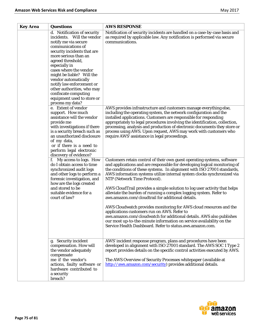| <b>Key Area</b> | <b>Questions</b>                                                                                                                                                                                                                                                                                                                                                                                                        | <b>AWS RESPONSE</b>                                                                                                                                                                                                                                                                                                                                                                                                                                                                                                                                |
|-----------------|-------------------------------------------------------------------------------------------------------------------------------------------------------------------------------------------------------------------------------------------------------------------------------------------------------------------------------------------------------------------------------------------------------------------------|----------------------------------------------------------------------------------------------------------------------------------------------------------------------------------------------------------------------------------------------------------------------------------------------------------------------------------------------------------------------------------------------------------------------------------------------------------------------------------------------------------------------------------------------------|
|                 | d. Notification of security<br>incidents. Will the vendor<br>notify me via secure<br>communications of<br>security incidents that are<br>more serious than an<br>agreed threshold,<br>especially in<br>cases where the vendor<br>might be liable? Will the<br>vendor automatically<br>notify law enforcement or<br>other authorities, who may<br>confiscate computing<br>equipment used to store or<br>process my data? | Notification of security incidents are handled on a case-by-case basis and<br>as required by applicable law. Any notification is performed via secure<br>communications.                                                                                                                                                                                                                                                                                                                                                                           |
|                 | e. Extent of vendor<br>support. How much<br>assistance will the vendor<br>provide me<br>with investigations if there<br>is a security breach such as<br>an unauthorized disclosure<br>of my data,<br>or if there is a need to<br>perform legal electronic<br>discovery of evidence?                                                                                                                                     | AWS provides infrastructure and customers manage everything else,<br>including the operating system, the network configuration and the<br>installed applications. Customers are responsible for responding<br>appropriately to legal procedures involving the identification, collection,<br>processing, analysis and production of electronic documents they store or<br>process using AWS. Upon request, AWS may work with customers who<br>require AWS' assistance in legal proceedings.                                                        |
|                 | f. My access to logs. How<br>do I obtain access to time<br>synchronized audit logs<br>and other logs to perform a<br>forensic investigation, and<br>how are the logs created<br>and stored to be<br>suitable evidence for a<br>court of law?                                                                                                                                                                            | Customers retain control of their own guest operating systems, software<br>and applications and are responsible for developing logical monitoring of<br>the conditions of these systems. In alignment with ISO 27001 standards,<br>AWS information systems utilize internal system clocks synchronized via<br>NTP (Network Time Protocol).<br>AWS CloudTrail provides a simple solution to log user activity that helps<br>alleviate the burden of running a complex logging system. Refer to<br>aws.amazon.com/cloudtrail for additional details. |
|                 |                                                                                                                                                                                                                                                                                                                                                                                                                         | AWS Cloudwatch provides monitoring for AWS cloud resources and the<br>applications customers run on AWS. Refer to<br>aws.amazon.com/cloudwatch for additional details. AWS also publishes<br>our most up-to-the-minute information on service availability on the<br>Service Health Dashboard. Refer to status.aws.amazon.com.                                                                                                                                                                                                                     |
|                 | g. Security incident<br>compensation. How will<br>the vendor adequately<br>compensate<br>me if the vendor's<br>actions, faulty software or<br>hardware contributed to<br>a security<br>breach?                                                                                                                                                                                                                          | AWS' incident response program, plans and procedures have been<br>developed in alignment with ISO 27001 standard. The AWS SOC 1 Type 2<br>report provides details on the specific control activities executed by AWS.<br>The AWS Overview of Security Processes whitepaper (available at<br>http://aws.amazon.com/security) provides additional details.                                                                                                                                                                                           |

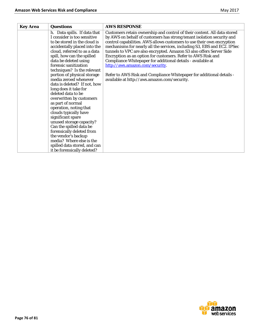| <b>Key Area</b> | <b>Questions</b>                                                                                                                                                                                                                                                                                                                                                                                                                                                                                                                                                                                                                                                                                                                                 | <b>AWS RESPONSE</b>                                                                                                                                                                                                                                                                                                                                                                                                                                                                                                                                                                                                                                                        |
|-----------------|--------------------------------------------------------------------------------------------------------------------------------------------------------------------------------------------------------------------------------------------------------------------------------------------------------------------------------------------------------------------------------------------------------------------------------------------------------------------------------------------------------------------------------------------------------------------------------------------------------------------------------------------------------------------------------------------------------------------------------------------------|----------------------------------------------------------------------------------------------------------------------------------------------------------------------------------------------------------------------------------------------------------------------------------------------------------------------------------------------------------------------------------------------------------------------------------------------------------------------------------------------------------------------------------------------------------------------------------------------------------------------------------------------------------------------------|
|                 | h. Data spills. If data that<br>I consider is too sensitive<br>to be stored in the cloud is<br>accidentally placed into the<br>cloud, referred to as a data<br>spill, how can the spilled<br>data be deleted using<br>forensic sanitization<br>techniques? Is the relevant<br>portion of physical storage<br>media zeroed whenever<br>data is deleted? If not, how<br>long does it take for<br>deleted data to be<br>overwritten by customers<br>as part of normal<br>operation, noting that<br>clouds typically have<br>significant spare<br>unused storage capacity?<br>Can the spilled data be<br>forensically deleted from<br>the vendor's backup<br>media? Where else is the<br>spilled data stored, and can<br>it be forensically deleted? | Customers retain ownership and control of their content. All data stored<br>by AWS on behalf of customers has strong tenant isolation security and<br>control capabilities. AWS allows customers to use their own encryption<br>mechanisms for nearly all the services, including S3, EBS and EC2. IPSec<br>tunnels to VPC are also encrypted. Amazon S3 also offers Server Side<br>Encryption as an option for customers. Refer to AWS Risk and<br>Compliance Whitepaper for additional details - available at<br>http://aws.amazon.com/security.<br>Refer to AWS Risk and Compliance Whitepaper for additional details -<br>available at http://aws.amazon.com/security. |

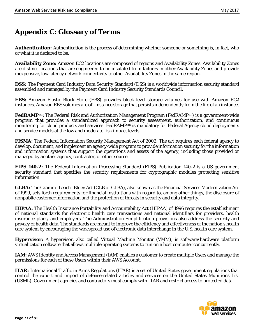# **Appendix C: Glossary of Terms**

**Authentication:** Authentication is the process of determining whether someone or something is, in fact, who or what it is declared to be.

**Availability Zone:** Amazon EC2 locations are composed of regions and Availability Zones. Availability Zones are distinct locations that are engineered to be insulated from failures in other Availability Zones and provide inexpensive, low latency network connectivity to other Availability Zones in the same region.

**DSS:** The Payment Card Industry Data Security Standard (DSS) is a worldwide information security standard assembled and managed by the Payment Card Industry Security Standards Council.

**EBS:** Amazon Elastic Block Store (EBS) provides block level storage volumes for use with Amazon EC2 instances. Amazon EBS volumes are off-instance storage that persists independently from the life of an instance.

**FedRAMP**sm**:** The Federal Risk and Authorization Management Program (FedRAMPsm) is a government-wide program that provides a standardized approach to security assessment, authorization, and continuous monitoring for cloud products and services. FedRAMP<sup>sm</sup> is mandatory for Federal Agency cloud deployments and service models at the low and moderate risk impact levels.

**FISMA:** The Federal Information Security Management Act of 2002. The act requires each federal agency to develop, document, and implement an agency-wide program to provide information security for the information and information systems that support the operations and assets of the agency, including those provided or managed by another agency, contractor, or other source.

**FIPS 140-2:** The Federal Information Processing Standard (FIPS) Publication 140-2 is a US government security standard that specifies the security requirements for cryptographic modules protecting sensitive information.

**GLBA:** The Gramm–Leach–Bliley Act (GLB or GLBA), also known as the Financial Services Modernization Act of 1999, sets forth requirements for financial institutions with regard to, among other things, the disclosure of nonpublic customer information and the protection of threats in security and data integrity.

**HIPAA:** The Health Insurance Portability and Accountability Act (HIPAA) of 1996 requires the establishment of national standards for electronic health care transactions and national identifiers for providers, health insurance plans, and employers. The Administration Simplification provisions also address the security and privacy of health data. The standards are meant to improve the efficiency and effectiveness of the nation's health care system by encouraging the widespread use of electronic data interchange in the U.S. health care system.

**Hypervisor:** A hypervisor, also called Virtual Machine Monitor (VMM), is software/hardware platform virtualization software that allows multiple operating systems to run on a host computer concurrently.

**IAM:** AWS Identity and Access Management (IAM) enables a customer to create multiple Users and manage the permissions for each of these Users within their AWS Account.

**ITAR:** International Traffic in Arms Regulations (ITAR) is a set of United States government regulations that control the export and import of defense-related articles and services on the United States Munitions List (USML). Government agencies and contractors must comply with ITAR and restrict access to protected data.

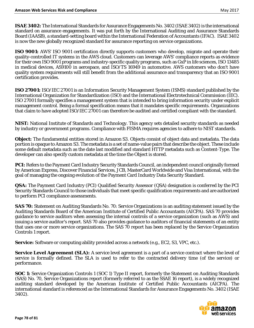**ISAE 3402:** The International Standards for Assurance Engagements No. 3402 (ISAE 3402) is the international standard on assurance engagements. It was put forth by the International Auditing and Assurance Standards Board (IAASB), a standard-setting board within the International Federation of Accountants (IFAC). ISAE 3402 is now the new globally recognized standard for assurance reporting on service organizations.

**ISO 9001:** AWS' ISO 9001 certification directly supports customers who develop, migrate and operate their quality-controlled IT systems in the AWS cloud. Customers can leverage AWS' compliance reports as evidence for their own ISO 9001 programs and industry-specific quality programs, such as GxP in life sciences, ISO 13485 in medical devices, AS9100 in aerospace, and ISO/TS 16949 in automotive. AWS customers who don't have quality system requirements will still benefit from the additional assurance and transparency that an ISO 9001 certification provides.

**ISO 27001:** ISO/IEC 27001 is an Information Security Management System (ISMS) standard published by the International Organization for Standardization (ISO) and the International Electrotechnical Commission (IEC). ISO 27001 formally specifies a management system that is intended to bring information security under explicit management control. Being a formal specification means that it mandates specific requirements. Organizations that claim to have adopted ISO/IEC 27001 can therefore be audited and certified compliant with the standard.

**NIST:** National Institute of Standards and Technology. This agency sets detailed security standards as needed by industry or government programs. Compliance with FISMA requires agencies to adhere to NIST standards.

**Object:** The fundamental entities stored in Amazon S3. Objects consist of object data and metadata. The data portion is opaque to Amazon S3. The metadata is a set of name-value pairs that describe the object. These include some default metadata such as the date last modified and standard HTTP metadata such as Content-Type. The developer can also specify custom metadata at the time the Object is stored.

**PCI:** Refers to the Payment Card Industry Security Standards Council, an independent council originally formed by American Express, Discover Financial Services, JCB, MasterCard Worldwide and Visa International, with the goal of managing the ongoing evolution of the Payment Card Industry Data Security Standard.

**QSA:** The Payment Card Industry (PCI) Qualified Security Assessor (QSA) designation is conferred by the PCI Security Standards Council to those individuals that meet specific qualification requirements and are authorized to perform PCI compliance assessments.

**SAS 70:** Statement on Auditing Standards No. 70: Service Organizations is an auditing statement issued by the Auditing Standards Board of the American Institute of Certified Public Accountants (AICPA). SAS 70 provides guidance to service auditors when assessing the internal controls of a service organization (such as AWS) and issuing a service auditor's report. SAS 70 also provides guidance to auditors of financial statements of an entity that uses one or more service organizations. The SAS 70 report has been replaced by the Service Organization Controls 1 report.

**Service:** Software or computing ability provided across a network (e.g., EC2, S3, VPC, etc.).

**Service Level Agreement (SLA):** A service level agreement is a part of a service contract where the level of service is formally defined. The SLA is used to refer to the contracted delivery time (of the service) or performance.

**SOC 1:** Service Organization Controls 1 (SOC 1) Type II report, formerly the Statement on Auditing Standards (SAS) No. 70, Service Organizations report (formerly referred to as the SSAE 16 report), is a widely recognized auditing standard developed by the American Institute of Certified Public Accountants (AICPA). The international standard is referenced as the International Standards for Assurance Engagements No. 3402 (ISAE 3402).

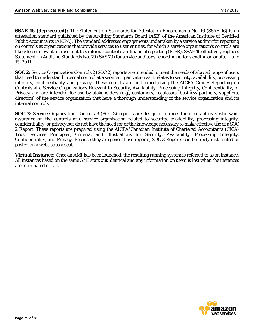**SSAE 16 [deprecated]:** The Statement on Standards for Attestation Engagements No. 16 (SSAE 16) is an attestation standard published by the Auditing Standards Board (ASB) of the American Institute of Certified Public Accountants (AICPA). The standard addresses engagements undertaken by a service auditor for reporting on controls at organizations that provide services to user entities, for which a service organization's controls are likely to be relevant to a user entities internal control over financial reporting (ICFR). SSAE 16 effectively replaces Statement on Auditing Standards No. 70 (SAS 70) for service auditor's reporting periods ending on or after June 15, 2011.

**SOC 2:** Service Organization Controls 2 (SOC 2) reports are intended to meet the needs of a broad range of users that need to understand internal control at a service organization as it relates to security, availability, processing integrity, confidentiality and privacy. These reports are performed using the AICPA Guide: Reporting on Controls at a Service Organizations Relevant to Security, Availability, Processing Integrity, Confidentiality, or Privacy and are intended for use by stakeholders (e.g., customers, regulators, business partners, suppliers, directors) of the service organization that have a thorough understanding of the service organization and its internal controls.

**SOC 3**: Service Organization Controls 3 (SOC 3) reports are designed to meet the needs of uses who want assurance on the controls at a service organization related to security, availability, processing integrity, confidentiality, or privacy but do not have the need for or the knowledge necessary to make effective use of a SOC 2 Report. These reports are prepared using the AICPA/Canadian Institute of Chartered Accountants (CICA) Trust Services Principles, Criteria, and Illustrations for Security, Availability, Processing Integrity, Confidentiality, and Privacy. Because they are general use reports, SOC 3 Reports can be freely distributed or posted on a website as a seal.

**Virtual Instance:** Once an AMI has been launched, the resulting running system is referred to as an instance. All instances based on the same AMI start out identical and any information on them is lost when the instances are terminated or fail.

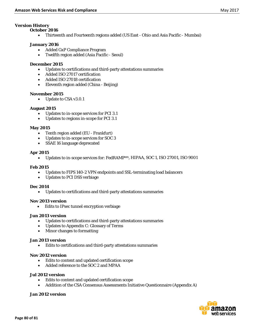## *Version History*

#### **October 2016**

• Thirteenth and Fourteenth regions added (US East - Ohio and Asia Pacific - Mumbai)

#### **January 2016**

- Added GxP Compliance Program
- Twelfth region added (Asia Pacific Seoul)

## **December 2015**

- Updates to certifications and third-party attestations summaries
- Added ISO 27017 certification
- Added ISO 27018 certification
- Eleventh region added (China Beijing)

#### **November 2015**

• Update to CSA v3.0.1

## **August 2015**

- Updates to in-scope services for PCI 3.1
- Updates to regions in-scope for PCI 3.1

## **May 2015**

- Tenth region added (EU Frankfurt)
- Updates to in-scope services for SOC 3
- SSAE 16 language deprecated

## **Apr 2015**

• Updates to in-scope services for: FedRAMPsm, HIPAA, SOC 1, ISO 27001, ISO 9001

# **Feb 2015**

- Updates to FIPS 140-2 VPN endpoints and SSL-terminating load balancers
- Updates to PCI DSS verbiage

#### **Dec 2014**

• Updates to certifications and third-party attestations summaries

#### **Nov 2013 version**

• Edits to IPsec tunnel encryption verbiage

# **Jun 2013 version**

- Updates to certifications and third-party attestations summaries
- Updates to Appendix C: Glossary of Terms
- Minor changes to formatting

#### **Jan 2013 version**

• Edits to certifications and third-party attestations summaries

#### **Nov 2012 version**

- Edits to content and updated certification scope
- Added reference to the SOC 2 and MPAA

# **Jul 2012 version**

- Edits to content and updated certification scope
- Addition of the CSA Consensus Assessments Initiative Questionnaire (Appendix A)

# **Jan 2012 version**